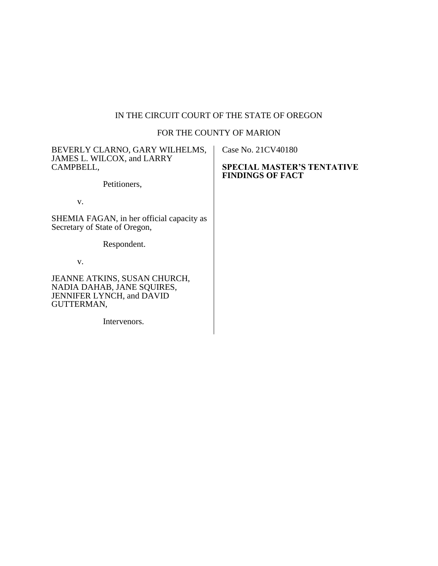# IN THE CIRCUIT COURT OF THE STATE OF OREGON

# FOR THE COUNTY OF MARION

| BEVERLY CLARNO, GARY WILHELMS,<br>JAMES L. WILCOX, and LARRY<br>CAMPBELL,                                    | Case No. 21CV40180<br><b>SPECIAL MASTER'S TENTATIVE</b> |
|--------------------------------------------------------------------------------------------------------------|---------------------------------------------------------|
| Petitioners,                                                                                                 | <b>FINDINGS OF FACT</b>                                 |
| V.                                                                                                           |                                                         |
| SHEMIA FAGAN, in her official capacity as<br>Secretary of State of Oregon,                                   |                                                         |
| Respondent.                                                                                                  |                                                         |
| V.                                                                                                           |                                                         |
| JEANNE ATKINS, SUSAN CHURCH,<br>NADIA DAHAB, JANE SQUIRES,<br><b>JENNIFER LYNCH, and DAVID</b><br>GUTTERMAN, |                                                         |
| Intervenors.                                                                                                 |                                                         |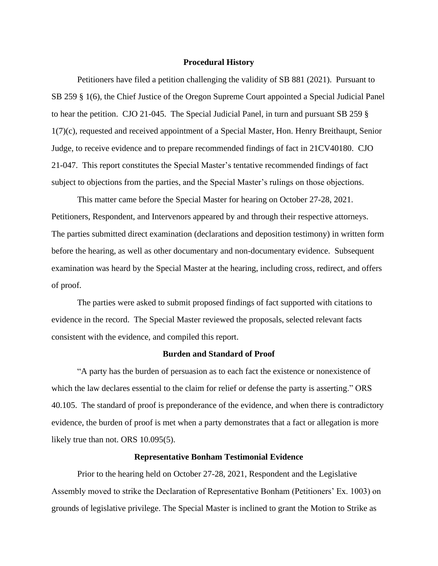#### **Procedural History**

Petitioners have filed a petition challenging the validity of SB 881 (2021). Pursuant to SB 259 § 1(6), the Chief Justice of the Oregon Supreme Court appointed a Special Judicial Panel to hear the petition. CJO 21-045. The Special Judicial Panel, in turn and pursuant SB 259 § 1(7)(c), requested and received appointment of a Special Master, Hon. Henry Breithaupt, Senior Judge, to receive evidence and to prepare recommended findings of fact in 21CV40180. CJO 21-047. This report constitutes the Special Master's tentative recommended findings of fact subject to objections from the parties, and the Special Master's rulings on those objections.

This matter came before the Special Master for hearing on October 27-28, 2021. Petitioners, Respondent, and Intervenors appeared by and through their respective attorneys. The parties submitted direct examination (declarations and deposition testimony) in written form before the hearing, as well as other documentary and non-documentary evidence. Subsequent examination was heard by the Special Master at the hearing, including cross, redirect, and offers of proof.

The parties were asked to submit proposed findings of fact supported with citations to evidence in the record. The Special Master reviewed the proposals, selected relevant facts consistent with the evidence, and compiled this report.

# **Burden and Standard of Proof**

"A party has the burden of persuasion as to each fact the existence or nonexistence of which the law declares essential to the claim for relief or defense the party is asserting." ORS 40.105. The standard of proof is preponderance of the evidence, and when there is contradictory evidence, the burden of proof is met when a party demonstrates that a fact or allegation is more likely true than not. ORS 10.095(5).

#### **Representative Bonham Testimonial Evidence**

Prior to the hearing held on October 27-28, 2021, Respondent and the Legislative Assembly moved to strike the Declaration of Representative Bonham (Petitioners' Ex. 1003) on grounds of legislative privilege. The Special Master is inclined to grant the Motion to Strike as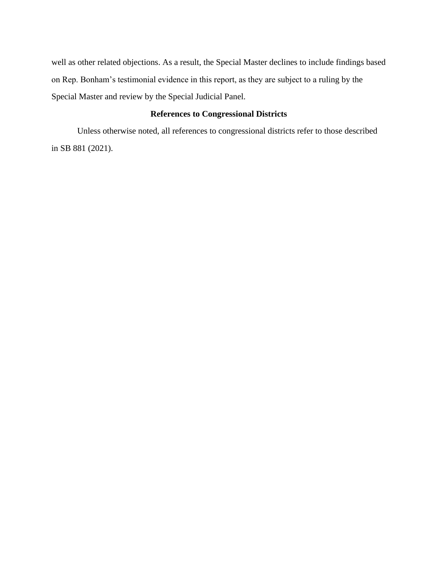well as other related objections. As a result, the Special Master declines to include findings based on Rep. Bonham's testimonial evidence in this report, as they are subject to a ruling by the Special Master and review by the Special Judicial Panel.

# **References to Congressional Districts**

Unless otherwise noted, all references to congressional districts refer to those described in SB 881 (2021).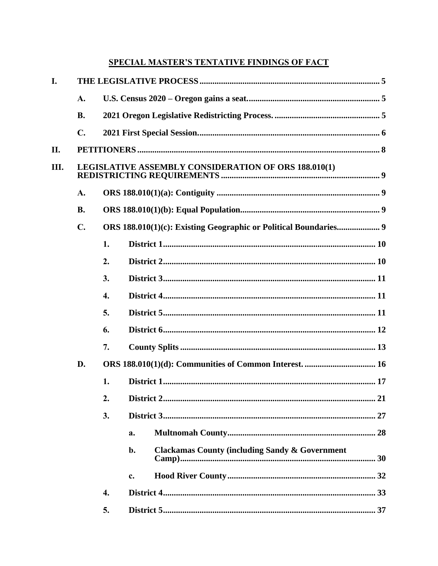# **SPECIAL MASTER'S TENTATIVE FINDINGS OF FACT**

| I.  |                |                    |                                                                 |  |  |  |  |  |
|-----|----------------|--------------------|-----------------------------------------------------------------|--|--|--|--|--|
|     | A.             |                    |                                                                 |  |  |  |  |  |
|     | <b>B.</b>      |                    |                                                                 |  |  |  |  |  |
|     | $\mathbf{C}$ . |                    |                                                                 |  |  |  |  |  |
| II. |                |                    |                                                                 |  |  |  |  |  |
| Ш.  |                |                    | LEGISLATIVE ASSEMBLY CONSIDERATION OF ORS 188.010(1)            |  |  |  |  |  |
|     | A.             |                    |                                                                 |  |  |  |  |  |
|     | <b>B.</b>      |                    |                                                                 |  |  |  |  |  |
|     | $\mathbf{C}$ . |                    |                                                                 |  |  |  |  |  |
|     |                | 1.                 |                                                                 |  |  |  |  |  |
|     |                | 2.                 |                                                                 |  |  |  |  |  |
|     |                | 3.                 |                                                                 |  |  |  |  |  |
|     |                | $\boldsymbol{4}$ . |                                                                 |  |  |  |  |  |
|     |                | 5.                 |                                                                 |  |  |  |  |  |
|     |                | 6.                 |                                                                 |  |  |  |  |  |
|     |                | 7.                 |                                                                 |  |  |  |  |  |
|     | D.             |                    |                                                                 |  |  |  |  |  |
|     |                | 1.                 |                                                                 |  |  |  |  |  |
|     |                | 2.                 |                                                                 |  |  |  |  |  |
|     |                | 3.                 |                                                                 |  |  |  |  |  |
|     |                |                    | a.                                                              |  |  |  |  |  |
|     |                |                    | <b>Clackamas County (including Sandy &amp; Government</b><br>b. |  |  |  |  |  |
|     |                |                    | c.                                                              |  |  |  |  |  |
|     |                | 4.                 |                                                                 |  |  |  |  |  |
|     |                | 5.                 |                                                                 |  |  |  |  |  |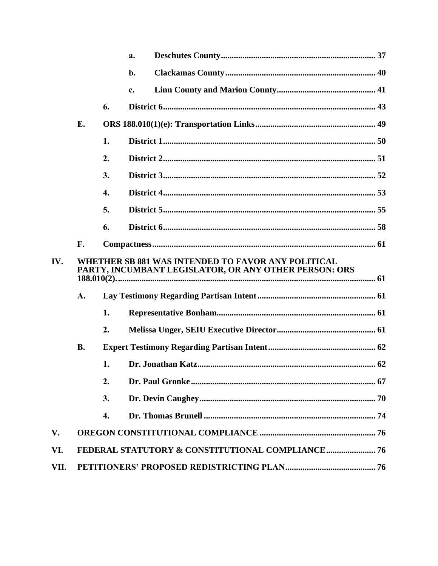|      |                                                                                                             |    | a. |  |  |  |
|------|-------------------------------------------------------------------------------------------------------------|----|----|--|--|--|
|      |                                                                                                             |    | b. |  |  |  |
|      |                                                                                                             |    | c. |  |  |  |
|      |                                                                                                             | 6. |    |  |  |  |
|      | E.                                                                                                          |    |    |  |  |  |
|      |                                                                                                             | 1. |    |  |  |  |
|      |                                                                                                             | 2. |    |  |  |  |
|      |                                                                                                             | 3. |    |  |  |  |
|      |                                                                                                             | 4. |    |  |  |  |
|      |                                                                                                             | 5. |    |  |  |  |
|      |                                                                                                             | 6. |    |  |  |  |
|      | F.                                                                                                          |    |    |  |  |  |
| IV.  | WHETHER SB 881 WAS INTENDED TO FAVOR ANY POLITICAL<br>PARTY, INCUMBANT LEGISLATOR, OR ANY OTHER PERSON: ORS |    |    |  |  |  |
|      | A.                                                                                                          |    |    |  |  |  |
|      |                                                                                                             | 1. |    |  |  |  |
|      |                                                                                                             | 2. |    |  |  |  |
|      | <b>B.</b>                                                                                                   |    |    |  |  |  |
|      |                                                                                                             | 1. |    |  |  |  |
|      |                                                                                                             | 2. |    |  |  |  |
|      |                                                                                                             | 3. |    |  |  |  |
|      |                                                                                                             | 4. |    |  |  |  |
| V.   |                                                                                                             |    |    |  |  |  |
| VI.  |                                                                                                             |    |    |  |  |  |
| VII. |                                                                                                             |    |    |  |  |  |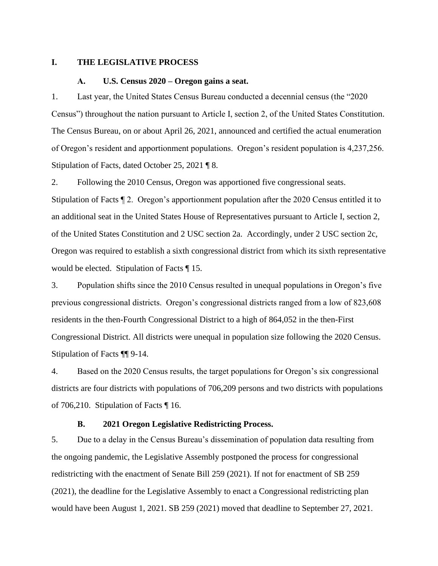#### <span id="page-5-1"></span><span id="page-5-0"></span>**I. THE LEGISLATIVE PROCESS**

#### **A. U.S. Census 2020 – Oregon gains a seat.**

1. Last year, the United States Census Bureau conducted a decennial census (the "2020 Census") throughout the nation pursuant to Article I, section 2, of the United States Constitution. The Census Bureau, on or about April 26, 2021, announced and certified the actual enumeration of Oregon's resident and apportionment populations. Oregon's resident population is 4,237,256. Stipulation of Facts, dated October 25, 2021 ¶ 8.

2. Following the 2010 Census, Oregon was apportioned five congressional seats.

Stipulation of Facts ¶ 2. Oregon's apportionment population after the 2020 Census entitled it to an additional seat in the United States House of Representatives pursuant to Article I, section 2, of the United States Constitution and 2 USC section 2a. Accordingly, under 2 USC section 2c, Oregon was required to establish a sixth congressional district from which its sixth representative would be elected. Stipulation of Facts ¶ 15.

3. Population shifts since the 2010 Census resulted in unequal populations in Oregon's five previous congressional districts. Oregon's congressional districts ranged from a low of 823,608 residents in the then-Fourth Congressional District to a high of 864,052 in the then-First Congressional District. All districts were unequal in population size following the 2020 Census. Stipulation of Facts ¶¶ 9-14.

4. Based on the 2020 Census results, the target populations for Oregon's six congressional districts are four districts with populations of 706,209 persons and two districts with populations of 706,210. Stipulation of Facts ¶ 16.

# **B. 2021 Oregon Legislative Redistricting Process.**

<span id="page-5-2"></span>5. Due to a delay in the Census Bureau's dissemination of population data resulting from the ongoing pandemic, the Legislative Assembly postponed the process for congressional redistricting with the enactment of Senate Bill 259 (2021). If not for enactment of SB 259 (2021), the deadline for the Legislative Assembly to enact a Congressional redistricting plan would have been August 1, 2021. SB 259 (2021) moved that deadline to September 27, 2021.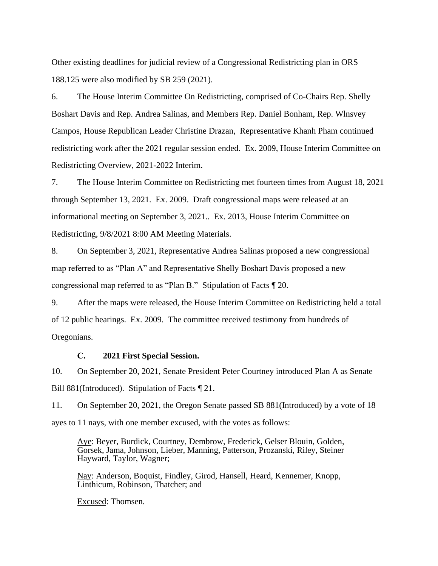Other existing deadlines for judicial review of a Congressional Redistricting plan in ORS 188.125 were also modified by SB 259 (2021).

6. The House Interim Committee On Redistricting, comprised of Co-Chairs Rep. Shelly Boshart Davis and Rep. Andrea Salinas, and Members Rep. Daniel Bonham, Rep. Wlnsvey Campos, House Republican Leader Christine Drazan, Representative Khanh Pham continued redistricting work after the 2021 regular session ended. Ex. 2009, House Interim Committee on Redistricting Overview, 2021-2022 Interim.

7. The House Interim Committee on Redistricting met fourteen times from August 18, 2021 through September 13, 2021. Ex. 2009. Draft congressional maps were released at an informational meeting on September 3, 2021.. Ex. 2013, House Interim Committee on Redistricting, 9/8/2021 8:00 AM Meeting Materials.

8. On September 3, 2021, Representative Andrea Salinas proposed a new congressional map referred to as "Plan A" and Representative Shelly Boshart Davis proposed a new congressional map referred to as "Plan B." Stipulation of Facts ¶ 20.

9. After the maps were released, the House Interim Committee on Redistricting held a total of 12 public hearings. Ex. 2009. The committee received testimony from hundreds of Oregonians.

# **C. 2021 First Special Session.**

<span id="page-6-0"></span>10. On September 20, 2021, Senate President Peter Courtney introduced Plan A as Senate Bill 881(Introduced). Stipulation of Facts ¶ 21.

11. On September 20, 2021, the Oregon Senate passed SB 881(Introduced) by a vote of 18 ayes to 11 nays, with one member excused, with the votes as follows:

Aye: Beyer, Burdick, Courtney, Dembrow, Frederick, Gelser Blouin, Golden, Gorsek, Jama, Johnson, Lieber, Manning, Patterson, Prozanski, Riley, Steiner Hayward, Taylor, Wagner;

Nay: Anderson, Boquist, Findley, Girod, Hansell, Heard, Kennemer, Knopp, Linthicum, Robinson, Thatcher; and

Excused: Thomsen.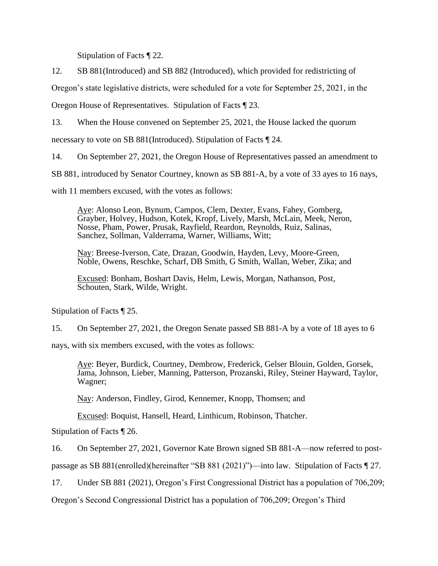Stipulation of Facts ¶ 22.

12. SB 881(Introduced) and SB 882 (Introduced), which provided for redistricting of

Oregon's state legislative districts, were scheduled for a vote for September 25, 2021, in the

Oregon House of Representatives. Stipulation of Facts ¶ 23.

13. When the House convened on September 25, 2021, the House lacked the quorum

necessary to vote on SB 881(Introduced). Stipulation of Facts ¶ 24.

14. On September 27, 2021, the Oregon House of Representatives passed an amendment to

SB 881, introduced by Senator Courtney, known as SB 881-A, by a vote of 33 ayes to 16 nays,

with 11 members excused, with the votes as follows:

Aye: Alonso Leon, Bynum, Campos, Clem, Dexter, Evans, Fahey, Gomberg, Grayber, Holvey, Hudson, Kotek, Kropf, Lively, Marsh, McLain, Meek, Neron, Nosse, Pham, Power, Prusak, Rayfield, Reardon, Reynolds, Ruiz, Salinas, Sanchez, Sollman, Valderrama, Warner, Williams, Witt;

Nay: Breese-Iverson, Cate, Drazan, Goodwin, Hayden, Levy, Moore-Green, Noble, Owens, Reschke, Scharf, DB Smith, G Smith, Wallan, Weber, Zika; and

Excused: Bonham, Boshart Davis, Helm, Lewis, Morgan, Nathanson, Post, Schouten, Stark, Wilde, Wright.

Stipulation of Facts ¶ 25.

15. On September 27, 2021, the Oregon Senate passed SB 881-A by a vote of 18 ayes to 6

nays, with six members excused, with the votes as follows:

Aye: Beyer, Burdick, Courtney, Dembrow, Frederick, Gelser Blouin, Golden, Gorsek, Jama, Johnson, Lieber, Manning, Patterson, Prozanski, Riley, Steiner Hayward, Taylor, Wagner;

Nay: Anderson, Findley, Girod, Kennemer, Knopp, Thomsen; and

Excused: Boquist, Hansell, Heard, Linthicum, Robinson, Thatcher.

Stipulation of Facts ¶ 26.

16. On September 27, 2021, Governor Kate Brown signed SB 881-A—now referred to post-

passage as SB 881(enrolled)(hereinafter "SB 881 (2021)")—into law. Stipulation of Facts ¶ 27.

17. Under SB 881 (2021), Oregon's First Congressional District has a population of 706,209;

Oregon's Second Congressional District has a population of 706,209; Oregon's Third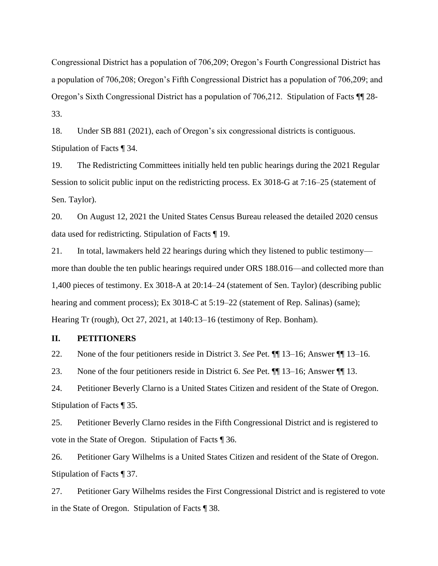Congressional District has a population of 706,209; Oregon's Fourth Congressional District has a population of 706,208; Oregon's Fifth Congressional District has a population of 706,209; and Oregon's Sixth Congressional District has a population of 706,212. Stipulation of Facts ¶¶ 28- 33.

18. Under SB 881 (2021), each of Oregon's six congressional districts is contiguous. Stipulation of Facts ¶ 34.

19. The Redistricting Committees initially held ten public hearings during the 2021 Regular Session to solicit public input on the redistricting process. Ex 3018-G at 7:16–25 (statement of Sen. Taylor).

20. On August 12, 2021 the United States Census Bureau released the detailed 2020 census data used for redistricting. Stipulation of Facts ¶ 19.

21. In total, lawmakers held 22 hearings during which they listened to public testimony more than double the ten public hearings required under ORS 188.016—and collected more than 1,400 pieces of testimony. Ex 3018-A at 20:14–24 (statement of Sen. Taylor) (describing public hearing and comment process); Ex 3018-C at 5:19–22 (statement of Rep. Salinas) (same); Hearing Tr (rough), Oct 27, 2021, at 140:13–16 (testimony of Rep. Bonham).

## <span id="page-8-0"></span>**II. PETITIONERS**

22. None of the four petitioners reside in District 3. *See* Pet. ¶¶ 13–16; Answer ¶¶ 13–16.

23. None of the four petitioners reside in District 6. *See* Pet. ¶¶ 13–16; Answer ¶¶ 13.

24. Petitioner Beverly Clarno is a United States Citizen and resident of the State of Oregon. Stipulation of Facts ¶ 35.

25. Petitioner Beverly Clarno resides in the Fifth Congressional District and is registered to vote in the State of Oregon. Stipulation of Facts ¶ 36.

26. Petitioner Gary Wilhelms is a United States Citizen and resident of the State of Oregon. Stipulation of Facts ¶ 37.

27. Petitioner Gary Wilhelms resides the First Congressional District and is registered to vote in the State of Oregon. Stipulation of Facts ¶ 38.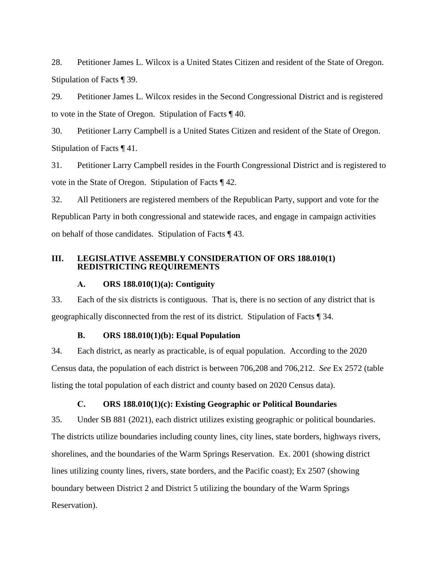28. Petitioner James L. Wilcox is a United States Citizen and resident of the State of Oregon. Stipulation of Facts ¶ 39.

29. Petitioner James L. Wilcox resides in the Second Congressional District and is registered to vote in the State of Oregon. Stipulation of Facts ¶ 40.

30. Petitioner Larry Campbell is a United States Citizen and resident of the State of Oregon. Stipulation of Facts ¶ 41.

31. Petitioner Larry Campbell resides in the Fourth Congressional District and is registered to vote in the State of Oregon. Stipulation of Facts ¶ 42.

32. All Petitioners are registered members of the Republican Party, support and vote for the Republican Party in both congressional and statewide races, and engage in campaign activities on behalf of those candidates. Stipulation of Facts ¶ 43.

# <span id="page-9-1"></span><span id="page-9-0"></span>**III. LEGISLATIVE ASSEMBLY CONSIDERATION OF ORS 188.010(1) REDISTRICTING REQUIREMENTS**

# **A. ORS 188.010(1)(a): Contiguity**

33. Each of the six districts is contiguous. That is, there is no section of any district that is geographically disconnected from the rest of its district. Stipulation of Facts ¶ 34.

# **B. ORS 188.010(1)(b): Equal Population**

<span id="page-9-2"></span>34. Each district, as nearly as practicable, is of equal population. According to the 2020 Census data, the population of each district is between 706,208 and 706,212. *See* Ex 2572 (table listing the total population of each district and county based on 2020 Census data).

# **C. ORS 188.010(1)(c): Existing Geographic or Political Boundaries**

<span id="page-9-3"></span>35. Under SB 881 (2021), each district utilizes existing geographic or political boundaries. The districts utilize boundaries including county lines, city lines, state borders, highways rivers, shorelines, and the boundaries of the Warm Springs Reservation. Ex. 2001 (showing district lines utilizing county lines, rivers, state borders, and the Pacific coast); Ex 2507 (showing boundary between District 2 and District 5 utilizing the boundary of the Warm Springs Reservation).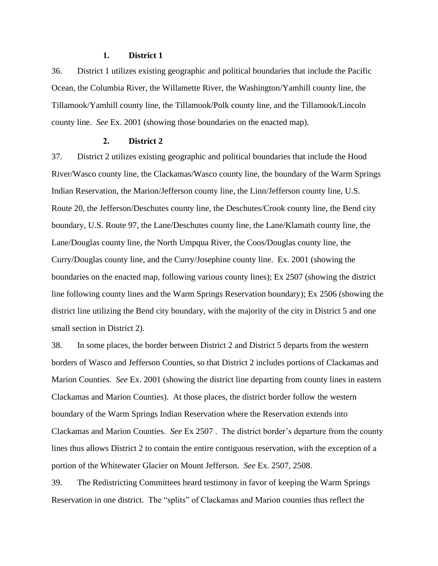# **1. District 1**

<span id="page-10-0"></span>36. District 1 utilizes existing geographic and political boundaries that include the Pacific Ocean, the Columbia River, the Willamette River, the Washington/Yamhill county line, the Tillamook/Yamhill county line, the Tillamook/Polk county line, and the Tillamook/Lincoln county line. *See* Ex. 2001 (showing those boundaries on the enacted map).

#### **2. District 2**

<span id="page-10-1"></span>37. District 2 utilizes existing geographic and political boundaries that include the Hood River/Wasco county line, the Clackamas/Wasco county line, the boundary of the Warm Springs Indian Reservation, the Marion/Jefferson county line, the Linn/Jefferson county line, U.S. Route 20, the Jefferson/Deschutes county line, the Deschutes/Crook county line, the Bend city boundary, U.S. Route 97, the Lane/Deschutes county line, the Lane/Klamath county line, the Lane/Douglas county line, the North Umpqua River, the Coos/Douglas county line, the Curry/Douglas county line, and the Curry/Josephine county line. Ex. 2001 (showing the boundaries on the enacted map, following various county lines); Ex 2507 (showing the district line following county lines and the Warm Springs Reservation boundary); Ex 2506 (showing the district line utilizing the Bend city boundary, with the majority of the city in District 5 and one small section in District 2).

38. In some places, the border between District 2 and District 5 departs from the western borders of Wasco and Jefferson Counties, so that District 2 includes portions of Clackamas and Marion Counties. *See* Ex. 2001 (showing the district line departing from county lines in eastern Clackamas and Marion Counties). At those places, the district border follow the western boundary of the Warm Springs Indian Reservation where the Reservation extends into Clackamas and Marion Counties. *See* Ex 2507 . The district border's departure from the county lines thus allows District 2 to contain the entire contiguous reservation, with the exception of a portion of the Whitewater Glacier on Mount Jefferson. *See* Ex. 2507, 2508.

39. The Redistricting Committees heard testimony in favor of keeping the Warm Springs Reservation in one district. The "splits" of Clackamas and Marion counties thus reflect the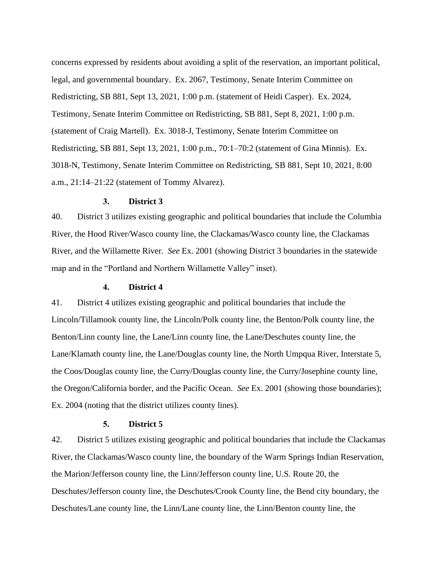concerns expressed by residents about avoiding a split of the reservation, an important political, legal, and governmental boundary. Ex. 2067, Testimony, Senate Interim Committee on Redistricting, SB 881, Sept 13, 2021, 1:00 p.m. (statement of Heidi Casper). Ex. 2024, Testimony, Senate Interim Committee on Redistricting, SB 881, Sept 8, 2021, 1:00 p.m. (statement of Craig Martell). Ex. 3018-J, Testimony, Senate Interim Committee on Redistricting, SB 881, Sept 13, 2021, 1:00 p.m., 70:1–70:2 (statement of Gina Minnis). Ex. 3018-N, Testimony, Senate Interim Committee on Redistricting, SB 881, Sept 10, 2021, 8:00 a.m., 21:14–21:22 (statement of Tommy Alvarez).

#### **3. District 3**

<span id="page-11-0"></span>40. District 3 utilizes existing geographic and political boundaries that include the Columbia River, the Hood River/Wasco county line, the Clackamas/Wasco county line, the Clackamas River, and the Willamette River. *See* Ex. 2001 (showing District 3 boundaries in the statewide map and in the "Portland and Northern Willamette Valley" inset).

# **4. District 4**

<span id="page-11-1"></span>41. District 4 utilizes existing geographic and political boundaries that include the Lincoln/Tillamook county line, the Lincoln/Polk county line, the Benton/Polk county line, the Benton/Linn county line, the Lane/Linn county line, the Lane/Deschutes county line, the Lane/Klamath county line, the Lane/Douglas county line, the North Umpqua River, Interstate 5, the Coos/Douglas county line, the Curry/Douglas county line, the Curry/Josephine county line, the Oregon/California border, and the Pacific Ocean. *See* Ex. 2001 (showing those boundaries); Ex. 2004 (noting that the district utilizes county lines).

#### **5. District 5**

<span id="page-11-2"></span>42. District 5 utilizes existing geographic and political boundaries that include the Clackamas River, the Clackamas/Wasco county line, the boundary of the Warm Springs Indian Reservation, the Marion/Jefferson county line, the Linn/Jefferson county line, U.S. Route 20, the Deschutes/Jefferson county line, the Deschutes/Crook County line, the Bend city boundary, the Deschutes/Lane county line, the Linn/Lane county line, the Linn/Benton county line, the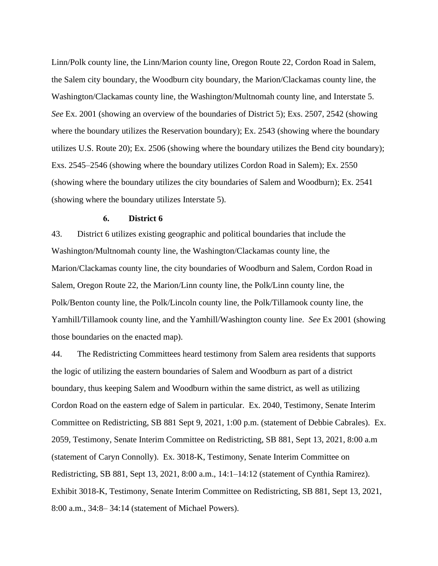Linn/Polk county line, the Linn/Marion county line, Oregon Route 22, Cordon Road in Salem, the Salem city boundary, the Woodburn city boundary, the Marion/Clackamas county line, the Washington/Clackamas county line, the Washington/Multnomah county line, and Interstate 5. *See* Ex. 2001 (showing an overview of the boundaries of District 5); Exs. 2507, 2542 (showing where the boundary utilizes the Reservation boundary); Ex. 2543 (showing where the boundary utilizes U.S. Route 20); Ex. 2506 (showing where the boundary utilizes the Bend city boundary); Exs. 2545–2546 (showing where the boundary utilizes Cordon Road in Salem); Ex. 2550 (showing where the boundary utilizes the city boundaries of Salem and Woodburn); Ex. 2541 (showing where the boundary utilizes Interstate 5).

#### **6. District 6**

<span id="page-12-0"></span>43. District 6 utilizes existing geographic and political boundaries that include the Washington/Multnomah county line, the Washington/Clackamas county line, the Marion/Clackamas county line, the city boundaries of Woodburn and Salem, Cordon Road in Salem, Oregon Route 22, the Marion/Linn county line, the Polk/Linn county line, the Polk/Benton county line, the Polk/Lincoln county line, the Polk/Tillamook county line, the Yamhill/Tillamook county line, and the Yamhill/Washington county line. *See* Ex 2001 (showing those boundaries on the enacted map).

44. The Redistricting Committees heard testimony from Salem area residents that supports the logic of utilizing the eastern boundaries of Salem and Woodburn as part of a district boundary, thus keeping Salem and Woodburn within the same district, as well as utilizing Cordon Road on the eastern edge of Salem in particular. Ex. 2040, Testimony, Senate Interim Committee on Redistricting, SB 881 Sept 9, 2021, 1:00 p.m. (statement of Debbie Cabrales). Ex. 2059, Testimony, Senate Interim Committee on Redistricting, SB 881, Sept 13, 2021, 8:00 a.m (statement of Caryn Connolly). Ex. 3018-K, Testimony, Senate Interim Committee on Redistricting, SB 881, Sept 13, 2021, 8:00 a.m., 14:1–14:12 (statement of Cynthia Ramirez). Exhibit 3018-K, Testimony, Senate Interim Committee on Redistricting, SB 881, Sept 13, 2021, 8:00 a.m., 34:8– 34:14 (statement of Michael Powers).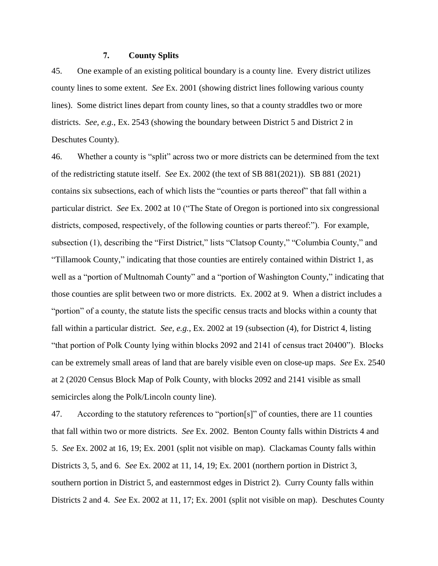## **7. County Splits**

<span id="page-13-0"></span>45. One example of an existing political boundary is a county line. Every district utilizes county lines to some extent. *See* Ex. 2001 (showing district lines following various county lines). Some district lines depart from county lines, so that a county straddles two or more districts. *See, e.g.*, Ex. 2543 (showing the boundary between District 5 and District 2 in Deschutes County).

46. Whether a county is "split" across two or more districts can be determined from the text of the redistricting statute itself. *See* Ex. 2002 (the text of SB 881(2021)). SB 881 (2021) contains six subsections, each of which lists the "counties or parts thereof" that fall within a particular district. *See* Ex. 2002 at 10 ("The State of Oregon is portioned into six congressional districts, composed, respectively, of the following counties or parts thereof:"). For example, subsection (1), describing the "First District," lists "Clatsop County," "Columbia County," and "Tillamook County," indicating that those counties are entirely contained within District 1, as well as a "portion of Multnomah County" and a "portion of Washington County," indicating that those counties are split between two or more districts. Ex. 2002 at 9. When a district includes a "portion" of a county, the statute lists the specific census tracts and blocks within a county that fall within a particular district. *See, e.g.*, Ex. 2002 at 19 (subsection (4), for District 4, listing "that portion of Polk County lying within blocks 2092 and 2141 of census tract 20400"). Blocks can be extremely small areas of land that are barely visible even on close-up maps. *See* Ex. 2540 at 2 (2020 Census Block Map of Polk County, with blocks 2092 and 2141 visible as small semicircles along the Polk/Lincoln county line).

47. According to the statutory references to "portion[s]" of counties, there are 11 counties that fall within two or more districts. *See* Ex. 2002. Benton County falls within Districts 4 and 5. *See* Ex. 2002 at 16, 19; Ex. 2001 (split not visible on map). Clackamas County falls within Districts 3, 5, and 6. *See* Ex. 2002 at 11, 14, 19; Ex. 2001 (northern portion in District 3, southern portion in District 5, and easternmost edges in District 2). Curry County falls within Districts 2 and 4. *See* Ex. 2002 at 11, 17; Ex. 2001 (split not visible on map). Deschutes County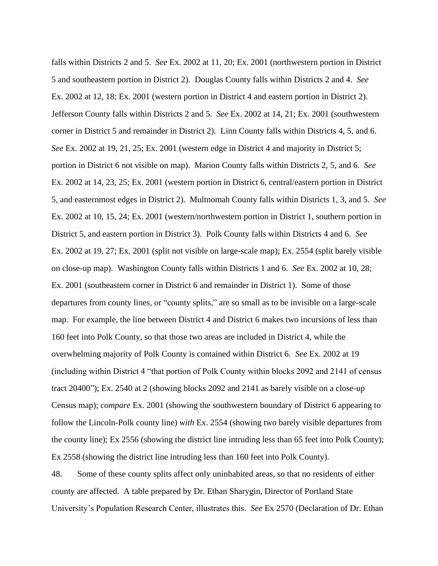falls within Districts 2 and 5. *See* Ex. 2002 at 11, 20; Ex. 2001 (northwestern portion in District 5 and southeastern portion in District 2). Douglas County falls within Districts 2 and 4. *See* Ex. 2002 at 12, 18; Ex. 2001 (western portion in District 4 and eastern portion in District 2). Jefferson County falls within Districts 2 and 5. *See* Ex. 2002 at 14, 21; Ex. 2001 (southwestern corner in District 5 and remainder in District 2). Linn County falls within Districts 4, 5, and 6. *See* Ex. 2002 at 19, 21, 25; Ex. 2001 (western edge in District 4 and majority in District 5; portion in District 6 not visible on map). Marion County falls within Districts 2, 5, and 6. *See* Ex. 2002 at 14, 23, 25; Ex. 2001 (western portion in District 6, central/eastern portion in District 5, and easternmost edges in District 2). Multnomah County falls within Districts 1, 3, and 5. *See* Ex. 2002 at 10, 15, 24; Ex. 2001 (western/northwestern portion in District 1, southern portion in District 5, and eastern portion in District 3). Polk County falls within Districts 4 and 6. *See* Ex. 2002 at 19, 27; Ex. 2001 (split not visible on large-scale map); Ex. 2554 (split barely visible on close-up map). Washington County falls within Districts 1 and 6. *See* Ex. 2002 at 10, 28; Ex. 2001 (southeastern corner in District 6 and remainder in District 1). Some of those departures from county lines, or "county splits," are so small as to be invisible on a large-scale map. For example, the line between District 4 and District 6 makes two incursions of less than 160 feet into Polk County, so that those two areas are included in District 4, while the overwhelming majority of Polk County is contained within District 6. *See* Ex. 2002 at 19 (including within District 4 "that portion of Polk County within blocks 2092 and 2141 of census tract 20400"); Ex. 2540 at 2 (showing blocks 2092 and 2141 as barely visible on a close-up Census map); *compare* Ex. 2001 (showing the southwestern boundary of District 6 appearing to follow the Lincoln-Polk county line) *with* Ex. 2554 (showing two barely visible departures from the county line); Ex 2556 (showing the district line intruding less than 65 feet into Polk County); Ex 2558 (showing the district line intruding less than 160 feet into Polk County).

48. Some of these county splits affect only uninhabited areas, so that no residents of either county are affected. A table prepared by Dr. Ethan Sharygin, Director of Portland State University's Population Research Center, illustrates this. *See* Ex 2570 (Declaration of Dr. Ethan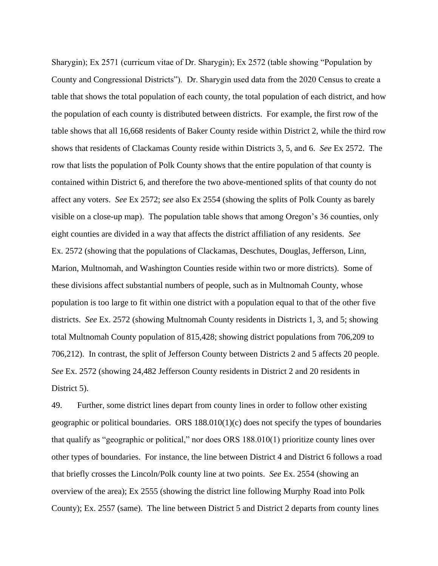Sharygin); Ex 2571 (curricum vitae of Dr. Sharygin); Ex 2572 (table showing "Population by County and Congressional Districts"). Dr. Sharygin used data from the 2020 Census to create a table that shows the total population of each county, the total population of each district, and how the population of each county is distributed between districts. For example, the first row of the table shows that all 16,668 residents of Baker County reside within District 2, while the third row shows that residents of Clackamas County reside within Districts 3, 5, and 6. *See* Ex 2572. The row that lists the population of Polk County shows that the entire population of that county is contained within District 6, and therefore the two above-mentioned splits of that county do not affect any voters. *See* Ex 2572; *see* also Ex 2554 (showing the splits of Polk County as barely visible on a close-up map). The population table shows that among Oregon's 36 counties, only eight counties are divided in a way that affects the district affiliation of any residents. *See* Ex. 2572 (showing that the populations of Clackamas, Deschutes, Douglas, Jefferson, Linn, Marion, Multnomah, and Washington Counties reside within two or more districts). Some of these divisions affect substantial numbers of people, such as in Multnomah County, whose population is too large to fit within one district with a population equal to that of the other five districts. *See* Ex. 2572 (showing Multnomah County residents in Districts 1, 3, and 5; showing total Multnomah County population of 815,428; showing district populations from 706,209 to 706,212). In contrast, the split of Jefferson County between Districts 2 and 5 affects 20 people. *See* Ex. 2572 (showing 24,482 Jefferson County residents in District 2 and 20 residents in District 5).

49. Further, some district lines depart from county lines in order to follow other existing geographic or political boundaries. ORS  $188.010(1)(c)$  does not specify the types of boundaries that qualify as "geographic or political," nor does ORS 188.010(1) prioritize county lines over other types of boundaries. For instance, the line between District 4 and District 6 follows a road that briefly crosses the Lincoln/Polk county line at two points. *See* Ex. 2554 (showing an overview of the area); Ex 2555 (showing the district line following Murphy Road into Polk County); Ex. 2557 (same). The line between District 5 and District 2 departs from county lines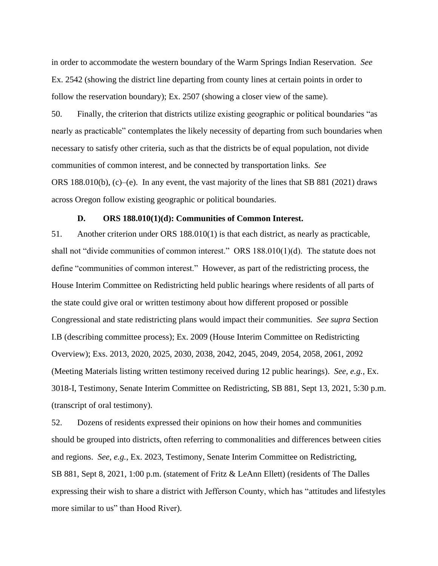in order to accommodate the western boundary of the Warm Springs Indian Reservation. *See* Ex. 2542 (showing the district line departing from county lines at certain points in order to follow the reservation boundary); Ex. 2507 (showing a closer view of the same).

50. Finally, the criterion that districts utilize existing geographic or political boundaries "as nearly as practicable" contemplates the likely necessity of departing from such boundaries when necessary to satisfy other criteria, such as that the districts be of equal population, not divide communities of common interest, and be connected by transportation links. *See* ORS 188.010(b),  $(c)$ –(e). In any event, the vast majority of the lines that SB 881 (2021) draws across Oregon follow existing geographic or political boundaries.

# **D. ORS 188.010(1)(d): Communities of Common Interest.**

<span id="page-16-0"></span>51. Another criterion under ORS 188.010(1) is that each district, as nearly as practicable, shall not "divide communities of common interest." ORS 188.010(1)(d). The statute does not define "communities of common interest." However, as part of the redistricting process, the House Interim Committee on Redistricting held public hearings where residents of all parts of the state could give oral or written testimony about how different proposed or possible Congressional and state redistricting plans would impact their communities. *See supra* Section I.B (describing committee process); Ex. 2009 (House Interim Committee on Redistricting Overview); Exs. 2013, 2020, 2025, 2030, 2038, 2042, 2045, 2049, 2054, 2058, 2061, 2092 (Meeting Materials listing written testimony received during 12 public hearings). *See, e.g.*, Ex. 3018-I, Testimony, Senate Interim Committee on Redistricting, SB 881, Sept 13, 2021, 5:30 p.m. (transcript of oral testimony).

52. Dozens of residents expressed their opinions on how their homes and communities should be grouped into districts, often referring to commonalities and differences between cities and regions. *See, e.g.*, Ex. 2023, Testimony, Senate Interim Committee on Redistricting, SB 881, Sept 8, 2021, 1:00 p.m. (statement of Fritz & LeAnn Ellett) (residents of The Dalles expressing their wish to share a district with Jefferson County, which has "attitudes and lifestyles more similar to us" than Hood River).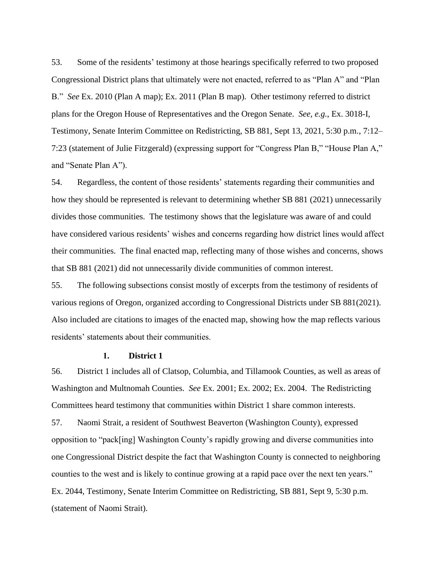53. Some of the residents' testimony at those hearings specifically referred to two proposed Congressional District plans that ultimately were not enacted, referred to as "Plan A" and "Plan B." *See* Ex. 2010 (Plan A map); Ex. 2011 (Plan B map). Other testimony referred to district plans for the Oregon House of Representatives and the Oregon Senate. *See, e.g.*, Ex. 3018-I, Testimony, Senate Interim Committee on Redistricting, SB 881, Sept 13, 2021, 5:30 p.m., 7:12– 7:23 (statement of Julie Fitzgerald) (expressing support for "Congress Plan B," "House Plan A," and "Senate Plan A").

54. Regardless, the content of those residents' statements regarding their communities and how they should be represented is relevant to determining whether SB 881 (2021) unnecessarily divides those communities. The testimony shows that the legislature was aware of and could have considered various residents' wishes and concerns regarding how district lines would affect their communities. The final enacted map, reflecting many of those wishes and concerns, shows that SB 881 (2021) did not unnecessarily divide communities of common interest.

55. The following subsections consist mostly of excerpts from the testimony of residents of various regions of Oregon, organized according to Congressional Districts under SB 881(2021). Also included are citations to images of the enacted map, showing how the map reflects various residents' statements about their communities.

## **1. District 1**

<span id="page-17-0"></span>56. District 1 includes all of Clatsop, Columbia, and Tillamook Counties, as well as areas of Washington and Multnomah Counties. *See* Ex. 2001; Ex. 2002; Ex. 2004. The Redistricting Committees heard testimony that communities within District 1 share common interests.

57. Naomi Strait, a resident of Southwest Beaverton (Washington County), expressed opposition to "pack[ing] Washington County's rapidly growing and diverse communities into one Congressional District despite the fact that Washington County is connected to neighboring counties to the west and is likely to continue growing at a rapid pace over the next ten years." Ex. 2044, Testimony, Senate Interim Committee on Redistricting, SB 881, Sept 9, 5:30 p.m. (statement of Naomi Strait).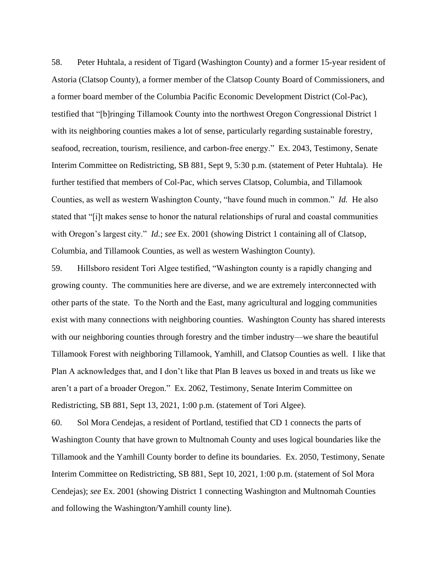58. Peter Huhtala, a resident of Tigard (Washington County) and a former 15-year resident of Astoria (Clatsop County), a former member of the Clatsop County Board of Commissioners, and a former board member of the Columbia Pacific Economic Development District (Col-Pac), testified that "[b]ringing Tillamook County into the northwest Oregon Congressional District 1 with its neighboring counties makes a lot of sense, particularly regarding sustainable forestry, seafood, recreation, tourism, resilience, and carbon-free energy." Ex. 2043, Testimony, Senate Interim Committee on Redistricting, SB 881, Sept 9, 5:30 p.m. (statement of Peter Huhtala). He further testified that members of Col-Pac, which serves Clatsop, Columbia, and Tillamook Counties, as well as western Washington County, "have found much in common." *Id.* He also stated that "[i]t makes sense to honor the natural relationships of rural and coastal communities with Oregon's largest city." *Id.*; *see* Ex. 2001 (showing District 1 containing all of Clatsop, Columbia, and Tillamook Counties, as well as western Washington County).

59. Hillsboro resident Tori Algee testified, "Washington county is a rapidly changing and growing county. The communities here are diverse, and we are extremely interconnected with other parts of the state. To the North and the East, many agricultural and logging communities exist with many connections with neighboring counties. Washington County has shared interests with our neighboring counties through forestry and the timber industry—we share the beautiful Tillamook Forest with neighboring Tillamook, Yamhill, and Clatsop Counties as well. I like that Plan A acknowledges that, and I don't like that Plan B leaves us boxed in and treats us like we aren't a part of a broader Oregon." Ex. 2062, Testimony, Senate Interim Committee on Redistricting, SB 881, Sept 13, 2021, 1:00 p.m. (statement of Tori Algee).

60. Sol Mora Cendejas, a resident of Portland, testified that CD 1 connects the parts of Washington County that have grown to Multnomah County and uses logical boundaries like the Tillamook and the Yamhill County border to define its boundaries. Ex. 2050, Testimony, Senate Interim Committee on Redistricting, SB 881, Sept 10, 2021, 1:00 p.m. (statement of Sol Mora Cendejas); *see* Ex. 2001 (showing District 1 connecting Washington and Multnomah Counties and following the Washington/Yamhill county line).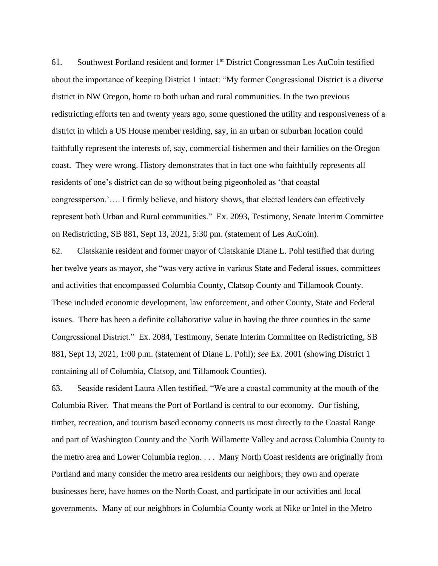61. Southwest Portland resident and former 1st District Congressman Les AuCoin testified about the importance of keeping District 1 intact: "My former Congressional District is a diverse district in NW Oregon, home to both urban and rural communities. In the two previous redistricting efforts ten and twenty years ago, some questioned the utility and responsiveness of a district in which a US House member residing, say, in an urban or suburban location could faithfully represent the interests of, say, commercial fishermen and their families on the Oregon coast. They were wrong. History demonstrates that in fact one who faithfully represents all residents of one's district can do so without being pigeonholed as 'that coastal congressperson.'…. I firmly believe, and history shows, that elected leaders can effectively represent both Urban and Rural communities." Ex. 2093, Testimony, Senate Interim Committee on Redistricting, SB 881, Sept 13, 2021, 5:30 pm. (statement of Les AuCoin).

62. Clatskanie resident and former mayor of Clatskanie Diane L. Pohl testified that during her twelve years as mayor, she "was very active in various State and Federal issues, committees and activities that encompassed Columbia County, Clatsop County and Tillamook County. These included economic development, law enforcement, and other County, State and Federal issues. There has been a definite collaborative value in having the three counties in the same Congressional District." Ex. 2084, Testimony, Senate Interim Committee on Redistricting, SB 881, Sept 13, 2021, 1:00 p.m. (statement of Diane L. Pohl); *see* Ex. 2001 (showing District 1 containing all of Columbia, Clatsop, and Tillamook Counties).

63. Seaside resident Laura Allen testified, "We are a coastal community at the mouth of the Columbia River. That means the Port of Portland is central to our economy. Our fishing, timber, recreation, and tourism based economy connects us most directly to the Coastal Range and part of Washington County and the North Willamette Valley and across Columbia County to the metro area and Lower Columbia region. . . . Many North Coast residents are originally from Portland and many consider the metro area residents our neighbors; they own and operate businesses here, have homes on the North Coast, and participate in our activities and local governments. Many of our neighbors in Columbia County work at Nike or Intel in the Metro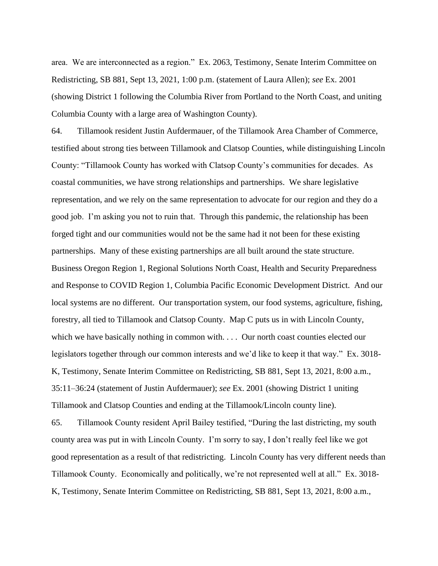area. We are interconnected as a region." Ex. 2063, Testimony, Senate Interim Committee on Redistricting, SB 881, Sept 13, 2021, 1:00 p.m. (statement of Laura Allen); *see* Ex. 2001 (showing District 1 following the Columbia River from Portland to the North Coast, and uniting Columbia County with a large area of Washington County).

64. Tillamook resident Justin Aufdermauer, of the Tillamook Area Chamber of Commerce, testified about strong ties between Tillamook and Clatsop Counties, while distinguishing Lincoln County: "Tillamook County has worked with Clatsop County's communities for decades. As coastal communities, we have strong relationships and partnerships. We share legislative representation, and we rely on the same representation to advocate for our region and they do a good job. I'm asking you not to ruin that. Through this pandemic, the relationship has been forged tight and our communities would not be the same had it not been for these existing partnerships. Many of these existing partnerships are all built around the state structure. Business Oregon Region 1, Regional Solutions North Coast, Health and Security Preparedness and Response to COVID Region 1, Columbia Pacific Economic Development District. And our local systems are no different. Our transportation system, our food systems, agriculture, fishing, forestry, all tied to Tillamook and Clatsop County. Map C puts us in with Lincoln County, which we have basically nothing in common with. . . . Our north coast counties elected our legislators together through our common interests and we'd like to keep it that way." Ex. 3018- K, Testimony, Senate Interim Committee on Redistricting, SB 881, Sept 13, 2021, 8:00 a.m., 35:11–36:24 (statement of Justin Aufdermauer); *see* Ex. 2001 (showing District 1 uniting Tillamook and Clatsop Counties and ending at the Tillamook/Lincoln county line).

65. Tillamook County resident April Bailey testified, "During the last districting, my south county area was put in with Lincoln County. I'm sorry to say, I don't really feel like we got good representation as a result of that redistricting. Lincoln County has very different needs than Tillamook County. Economically and politically, we're not represented well at all." Ex. 3018- K, Testimony, Senate Interim Committee on Redistricting, SB 881, Sept 13, 2021, 8:00 a.m.,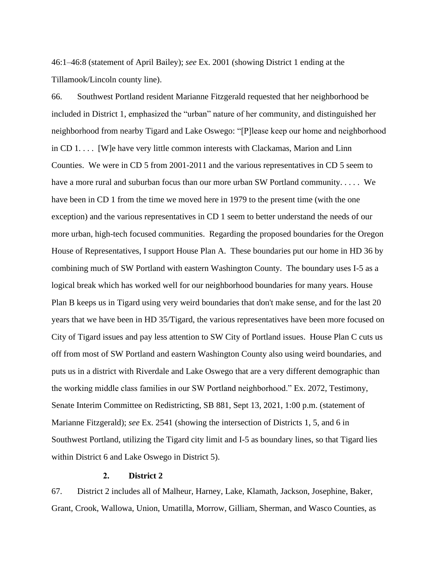46:1–46:8 (statement of April Bailey); *see* Ex. 2001 (showing District 1 ending at the Tillamook/Lincoln county line).

66. Southwest Portland resident Marianne Fitzgerald requested that her neighborhood be included in District 1, emphasized the "urban" nature of her community, and distinguished her neighborhood from nearby Tigard and Lake Oswego: "[P]lease keep our home and neighborhood in CD 1. . . . [W]e have very little common interests with Clackamas, Marion and Linn Counties. We were in CD 5 from 2001-2011 and the various representatives in CD 5 seem to have a more rural and suburban focus than our more urban SW Portland community. . . . . We have been in CD 1 from the time we moved here in 1979 to the present time (with the one exception) and the various representatives in CD 1 seem to better understand the needs of our more urban, high-tech focused communities. Regarding the proposed boundaries for the Oregon House of Representatives, I support House Plan A. These boundaries put our home in HD 36 by combining much of SW Portland with eastern Washington County. The boundary uses I-5 as a logical break which has worked well for our neighborhood boundaries for many years. House Plan B keeps us in Tigard using very weird boundaries that don't make sense, and for the last 20 years that we have been in HD 35/Tigard, the various representatives have been more focused on City of Tigard issues and pay less attention to SW City of Portland issues. House Plan C cuts us off from most of SW Portland and eastern Washington County also using weird boundaries, and puts us in a district with Riverdale and Lake Oswego that are a very different demographic than the working middle class families in our SW Portland neighborhood." Ex. 2072, Testimony, Senate Interim Committee on Redistricting, SB 881, Sept 13, 2021, 1:00 p.m. (statement of Marianne Fitzgerald); *see* Ex. 2541 (showing the intersection of Districts 1, 5, and 6 in Southwest Portland, utilizing the Tigard city limit and I-5 as boundary lines, so that Tigard lies within District 6 and Lake Oswego in District 5).

# **2. District 2**

<span id="page-21-0"></span>67. District 2 includes all of Malheur, Harney, Lake, Klamath, Jackson, Josephine, Baker, Grant, Crook, Wallowa, Union, Umatilla, Morrow, Gilliam, Sherman, and Wasco Counties, as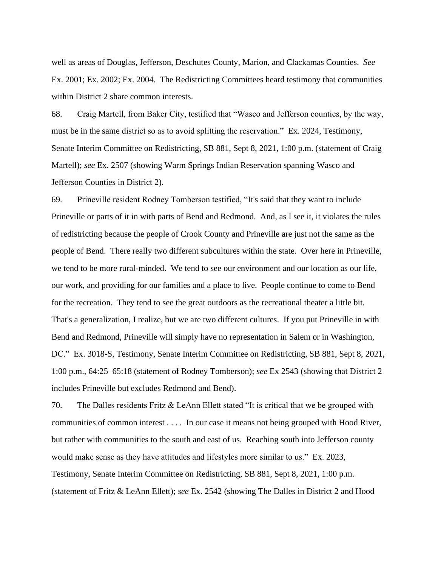well as areas of Douglas, Jefferson, Deschutes County, Marion, and Clackamas Counties. *See* Ex. 2001; Ex. 2002; Ex. 2004. The Redistricting Committees heard testimony that communities within District 2 share common interests.

68. Craig Martell, from Baker City, testified that "Wasco and Jefferson counties, by the way, must be in the same district so as to avoid splitting the reservation." Ex. 2024, Testimony, Senate Interim Committee on Redistricting, SB 881, Sept 8, 2021, 1:00 p.m. (statement of Craig Martell); *see* Ex. 2507 (showing Warm Springs Indian Reservation spanning Wasco and Jefferson Counties in District 2).

69. Prineville resident Rodney Tomberson testified, "It's said that they want to include Prineville or parts of it in with parts of Bend and Redmond. And, as I see it, it violates the rules of redistricting because the people of Crook County and Prineville are just not the same as the people of Bend. There really two different subcultures within the state. Over here in Prineville, we tend to be more rural-minded. We tend to see our environment and our location as our life, our work, and providing for our families and a place to live. People continue to come to Bend for the recreation. They tend to see the great outdoors as the recreational theater a little bit. That's a generalization, I realize, but we are two different cultures. If you put Prineville in with Bend and Redmond, Prineville will simply have no representation in Salem or in Washington, DC." Ex. 3018-S, Testimony, Senate Interim Committee on Redistricting, SB 881, Sept 8, 2021, 1:00 p.m., 64:25–65:18 (statement of Rodney Tomberson); *see* Ex 2543 (showing that District 2 includes Prineville but excludes Redmond and Bend).

70. The Dalles residents Fritz & LeAnn Ellett stated "It is critical that we be grouped with communities of common interest . . . . In our case it means not being grouped with Hood River, but rather with communities to the south and east of us. Reaching south into Jefferson county would make sense as they have attitudes and lifestyles more similar to us." Ex. 2023, Testimony, Senate Interim Committee on Redistricting, SB 881, Sept 8, 2021, 1:00 p.m. (statement of Fritz & LeAnn Ellett); *see* Ex. 2542 (showing The Dalles in District 2 and Hood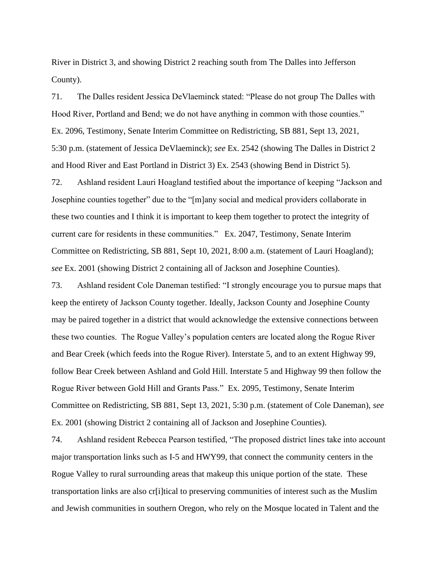River in District 3, and showing District 2 reaching south from The Dalles into Jefferson County).

71. The Dalles resident Jessica DeVlaeminck stated: "Please do not group The Dalles with Hood River, Portland and Bend; we do not have anything in common with those counties." Ex. 2096, Testimony, Senate Interim Committee on Redistricting, SB 881, Sept 13, 2021, 5:30 p.m. (statement of Jessica DeVlaeminck); *see* Ex. 2542 (showing The Dalles in District 2 and Hood River and East Portland in District 3) Ex. 2543 (showing Bend in District 5).

72. Ashland resident Lauri Hoagland testified about the importance of keeping "Jackson and Josephine counties together" due to the "[m]any social and medical providers collaborate in these two counties and I think it is important to keep them together to protect the integrity of current care for residents in these communities." Ex. 2047, Testimony, Senate Interim Committee on Redistricting, SB 881, Sept 10, 2021, 8:00 a.m. (statement of Lauri Hoagland); *see* Ex. 2001 (showing District 2 containing all of Jackson and Josephine Counties).

73. Ashland resident Cole Daneman testified: "I strongly encourage you to pursue maps that keep the entirety of Jackson County together. Ideally, Jackson County and Josephine County may be paired together in a district that would acknowledge the extensive connections between these two counties. The Rogue Valley's population centers are located along the Rogue River and Bear Creek (which feeds into the Rogue River). Interstate 5, and to an extent Highway 99, follow Bear Creek between Ashland and Gold Hill. Interstate 5 and Highway 99 then follow the Rogue River between Gold Hill and Grants Pass." Ex. 2095, Testimony, Senate Interim Committee on Redistricting, SB 881, Sept 13, 2021, 5:30 p.m. (statement of Cole Daneman), *see* Ex. 2001 (showing District 2 containing all of Jackson and Josephine Counties).

74. Ashland resident Rebecca Pearson testified, "The proposed district lines take into account major transportation links such as I-5 and HWY99, that connect the community centers in the Rogue Valley to rural surrounding areas that makeup this unique portion of the state. These transportation links are also cr[i]tical to preserving communities of interest such as the Muslim and Jewish communities in southern Oregon, who rely on the Mosque located in Talent and the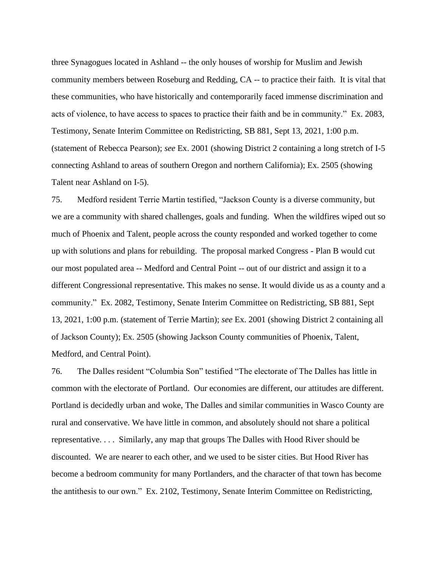three Synagogues located in Ashland -- the only houses of worship for Muslim and Jewish community members between Roseburg and Redding, CA -- to practice their faith. It is vital that these communities, who have historically and contemporarily faced immense discrimination and acts of violence, to have access to spaces to practice their faith and be in community." Ex. 2083, Testimony, Senate Interim Committee on Redistricting, SB 881, Sept 13, 2021, 1:00 p.m. (statement of Rebecca Pearson); *see* Ex. 2001 (showing District 2 containing a long stretch of I-5 connecting Ashland to areas of southern Oregon and northern California); Ex. 2505 (showing Talent near Ashland on I-5).

75. Medford resident Terrie Martin testified, "Jackson County is a diverse community, but we are a community with shared challenges, goals and funding. When the wildfires wiped out so much of Phoenix and Talent, people across the county responded and worked together to come up with solutions and plans for rebuilding. The proposal marked Congress - Plan B would cut our most populated area -- Medford and Central Point -- out of our district and assign it to a different Congressional representative. This makes no sense. It would divide us as a county and a community." Ex. 2082, Testimony, Senate Interim Committee on Redistricting, SB 881, Sept 13, 2021, 1:00 p.m. (statement of Terrie Martin); *see* Ex. 2001 (showing District 2 containing all of Jackson County); Ex. 2505 (showing Jackson County communities of Phoenix, Talent, Medford, and Central Point).

76. The Dalles resident "Columbia Son" testified "The electorate of The Dalles has little in common with the electorate of Portland. Our economies are different, our attitudes are different. Portland is decidedly urban and woke, The Dalles and similar communities in Wasco County are rural and conservative. We have little in common, and absolutely should not share a political representative. . . . Similarly, any map that groups The Dalles with Hood River should be discounted. We are nearer to each other, and we used to be sister cities. But Hood River has become a bedroom community for many Portlanders, and the character of that town has become the antithesis to our own." Ex. 2102, Testimony, Senate Interim Committee on Redistricting,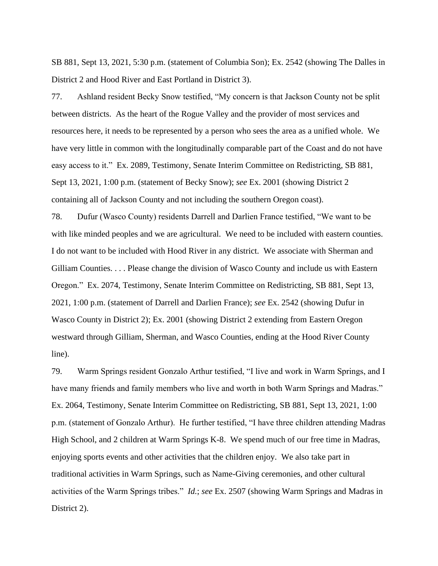SB 881, Sept 13, 2021, 5:30 p.m. (statement of Columbia Son); Ex. 2542 (showing The Dalles in District 2 and Hood River and East Portland in District 3).

77. Ashland resident Becky Snow testified, "My concern is that Jackson County not be split between districts. As the heart of the Rogue Valley and the provider of most services and resources here, it needs to be represented by a person who sees the area as a unified whole. We have very little in common with the longitudinally comparable part of the Coast and do not have easy access to it." Ex. 2089, Testimony, Senate Interim Committee on Redistricting, SB 881, Sept 13, 2021, 1:00 p.m. (statement of Becky Snow); *see* Ex. 2001 (showing District 2 containing all of Jackson County and not including the southern Oregon coast).

78. Dufur (Wasco County) residents Darrell and Darlien France testified, "We want to be with like minded peoples and we are agricultural. We need to be included with eastern counties. I do not want to be included with Hood River in any district. We associate with Sherman and Gilliam Counties. . . . Please change the division of Wasco County and include us with Eastern Oregon." Ex. 2074, Testimony, Senate Interim Committee on Redistricting, SB 881, Sept 13, 2021, 1:00 p.m. (statement of Darrell and Darlien France); *see* Ex. 2542 (showing Dufur in Wasco County in District 2); Ex. 2001 (showing District 2 extending from Eastern Oregon westward through Gilliam, Sherman, and Wasco Counties, ending at the Hood River County line).

79. Warm Springs resident Gonzalo Arthur testified, "I live and work in Warm Springs, and I have many friends and family members who live and worth in both Warm Springs and Madras." Ex. 2064, Testimony, Senate Interim Committee on Redistricting, SB 881, Sept 13, 2021, 1:00 p.m. (statement of Gonzalo Arthur). He further testified, "I have three children attending Madras High School, and 2 children at Warm Springs K-8. We spend much of our free time in Madras, enjoying sports events and other activities that the children enjoy. We also take part in traditional activities in Warm Springs, such as Name-Giving ceremonies, and other cultural activities of the Warm Springs tribes." *Id.*; *see* Ex. 2507 (showing Warm Springs and Madras in District 2).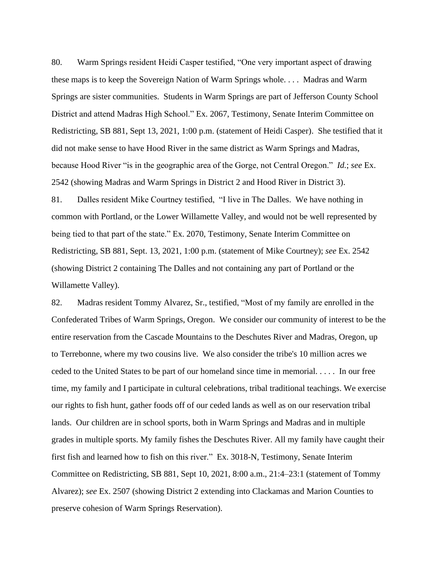80. Warm Springs resident Heidi Casper testified, "One very important aspect of drawing these maps is to keep the Sovereign Nation of Warm Springs whole. . . . Madras and Warm Springs are sister communities. Students in Warm Springs are part of Jefferson County School District and attend Madras High School." Ex. 2067, Testimony, Senate Interim Committee on Redistricting, SB 881, Sept 13, 2021, 1:00 p.m. (statement of Heidi Casper). She testified that it did not make sense to have Hood River in the same district as Warm Springs and Madras, because Hood River "is in the geographic area of the Gorge, not Central Oregon." *Id.*; *see* Ex. 2542 (showing Madras and Warm Springs in District 2 and Hood River in District 3).

81. Dalles resident Mike Courtney testified, "I live in The Dalles. We have nothing in common with Portland, or the Lower Willamette Valley, and would not be well represented by being tied to that part of the state." Ex. 2070, Testimony, Senate Interim Committee on Redistricting, SB 881, Sept. 13, 2021, 1:00 p.m. (statement of Mike Courtney); *see* Ex. 2542 (showing District 2 containing The Dalles and not containing any part of Portland or the Willamette Valley).

82. Madras resident Tommy Alvarez, Sr., testified, "Most of my family are enrolled in the Confederated Tribes of Warm Springs, Oregon. We consider our community of interest to be the entire reservation from the Cascade Mountains to the Deschutes River and Madras, Oregon, up to Terrebonne, where my two cousins live. We also consider the tribe's 10 million acres we ceded to the United States to be part of our homeland since time in memorial. . . . . In our free time, my family and I participate in cultural celebrations, tribal traditional teachings. We exercise our rights to fish hunt, gather foods off of our ceded lands as well as on our reservation tribal lands. Our children are in school sports, both in Warm Springs and Madras and in multiple grades in multiple sports. My family fishes the Deschutes River. All my family have caught their first fish and learned how to fish on this river." Ex. 3018-N, Testimony, Senate Interim Committee on Redistricting, SB 881, Sept 10, 2021, 8:00 a.m., 21:4–23:1 (statement of Tommy Alvarez); *see* Ex. 2507 (showing District 2 extending into Clackamas and Marion Counties to preserve cohesion of Warm Springs Reservation).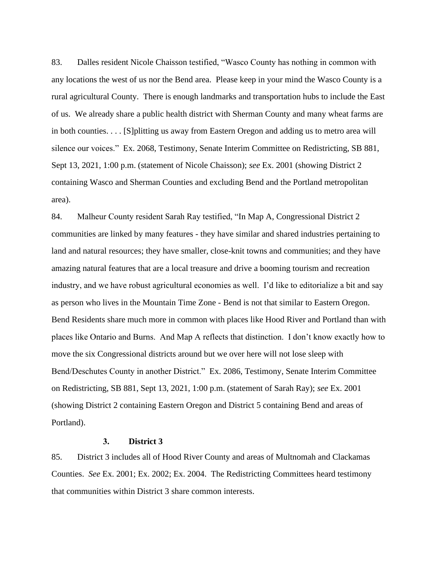83. Dalles resident Nicole Chaisson testified, "Wasco County has nothing in common with any locations the west of us nor the Bend area. Please keep in your mind the Wasco County is a rural agricultural County. There is enough landmarks and transportation hubs to include the East of us. We already share a public health district with Sherman County and many wheat farms are in both counties. . . . [S]plitting us away from Eastern Oregon and adding us to metro area will silence our voices." Ex. 2068, Testimony, Senate Interim Committee on Redistricting, SB 881, Sept 13, 2021, 1:00 p.m. (statement of Nicole Chaisson); *see* Ex. 2001 (showing District 2 containing Wasco and Sherman Counties and excluding Bend and the Portland metropolitan area).

84. Malheur County resident Sarah Ray testified, "In Map A, Congressional District 2 communities are linked by many features - they have similar and shared industries pertaining to land and natural resources; they have smaller, close-knit towns and communities; and they have amazing natural features that are a local treasure and drive a booming tourism and recreation industry, and we have robust agricultural economies as well. I'd like to editorialize a bit and say as person who lives in the Mountain Time Zone - Bend is not that similar to Eastern Oregon. Bend Residents share much more in common with places like Hood River and Portland than with places like Ontario and Burns. And Map A reflects that distinction. I don't know exactly how to move the six Congressional districts around but we over here will not lose sleep with Bend/Deschutes County in another District." Ex. 2086, Testimony, Senate Interim Committee on Redistricting, SB 881, Sept 13, 2021, 1:00 p.m. (statement of Sarah Ray); *see* Ex. 2001 (showing District 2 containing Eastern Oregon and District 5 containing Bend and areas of Portland).

# **3. District 3**

<span id="page-27-0"></span>85. District 3 includes all of Hood River County and areas of Multnomah and Clackamas Counties. *See* Ex. 2001; Ex. 2002; Ex. 2004. The Redistricting Committees heard testimony that communities within District 3 share common interests.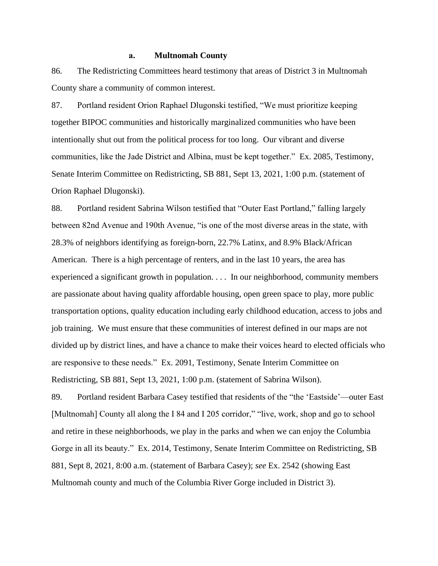# **a. Multnomah County**

<span id="page-28-0"></span>86. The Redistricting Committees heard testimony that areas of District 3 in Multnomah County share a community of common interest.

87. Portland resident Orion Raphael Dlugonski testified, "We must prioritize keeping together BIPOC communities and historically marginalized communities who have been intentionally shut out from the political process for too long. Our vibrant and diverse communities, like the Jade District and Albina, must be kept together." Ex. 2085, Testimony, Senate Interim Committee on Redistricting, SB 881, Sept 13, 2021, 1:00 p.m. (statement of Orion Raphael Dlugonski).

88. Portland resident Sabrina Wilson testified that "Outer East Portland," falling largely between 82nd Avenue and 190th Avenue, "is one of the most diverse areas in the state, with 28.3% of neighbors identifying as foreign-born, 22.7% Latinx, and 8.9% Black/African American. There is a high percentage of renters, and in the last 10 years, the area has experienced a significant growth in population. . . . In our neighborhood, community members are passionate about having quality affordable housing, open green space to play, more public transportation options, quality education including early childhood education, access to jobs and job training. We must ensure that these communities of interest defined in our maps are not divided up by district lines, and have a chance to make their voices heard to elected officials who are responsive to these needs." Ex. 2091, Testimony, Senate Interim Committee on Redistricting, SB 881, Sept 13, 2021, 1:00 p.m. (statement of Sabrina Wilson).

89. Portland resident Barbara Casey testified that residents of the "the 'Eastside'—outer East [Multnomah] County all along the I 84 and I 205 corridor," "live, work, shop and go to school and retire in these neighborhoods, we play in the parks and when we can enjoy the Columbia Gorge in all its beauty." Ex. 2014, Testimony, Senate Interim Committee on Redistricting, SB 881, Sept 8, 2021, 8:00 a.m. (statement of Barbara Casey); *see* Ex. 2542 (showing East Multnomah county and much of the Columbia River Gorge included in District 3).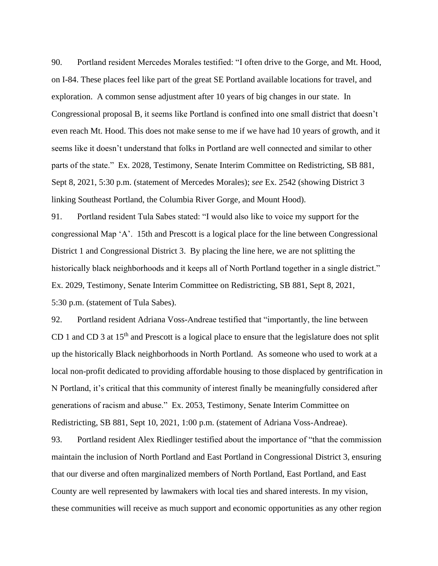90. Portland resident Mercedes Morales testified: "I often drive to the Gorge, and Mt. Hood, on I-84. These places feel like part of the great SE Portland available locations for travel, and exploration. A common sense adjustment after 10 years of big changes in our state. In Congressional proposal B, it seems like Portland is confined into one small district that doesn't even reach Mt. Hood. This does not make sense to me if we have had 10 years of growth, and it seems like it doesn't understand that folks in Portland are well connected and similar to other parts of the state." Ex. 2028, Testimony, Senate Interim Committee on Redistricting, SB 881, Sept 8, 2021, 5:30 p.m. (statement of Mercedes Morales); *see* Ex. 2542 (showing District 3 linking Southeast Portland, the Columbia River Gorge, and Mount Hood).

91. Portland resident Tula Sabes stated: "I would also like to voice my support for the congressional Map 'A'. 15th and Prescott is a logical place for the line between Congressional District 1 and Congressional District 3. By placing the line here, we are not splitting the historically black neighborhoods and it keeps all of North Portland together in a single district." Ex. 2029, Testimony, Senate Interim Committee on Redistricting, SB 881, Sept 8, 2021, 5:30 p.m. (statement of Tula Sabes).

92. Portland resident Adriana Voss-Andreae testified that "importantly, the line between CD 1 and CD 3 at 15<sup>th</sup> and Prescott is a logical place to ensure that the legislature does not split up the historically Black neighborhoods in North Portland. As someone who used to work at a local non-profit dedicated to providing affordable housing to those displaced by gentrification in N Portland, it's critical that this community of interest finally be meaningfully considered after generations of racism and abuse." Ex. 2053, Testimony, Senate Interim Committee on Redistricting, SB 881, Sept 10, 2021, 1:00 p.m. (statement of Adriana Voss-Andreae).

93. Portland resident Alex Riedlinger testified about the importance of "that the commission maintain the inclusion of North Portland and East Portland in Congressional District 3, ensuring that our diverse and often marginalized members of North Portland, East Portland, and East County are well represented by lawmakers with local ties and shared interests. In my vision, these communities will receive as much support and economic opportunities as any other region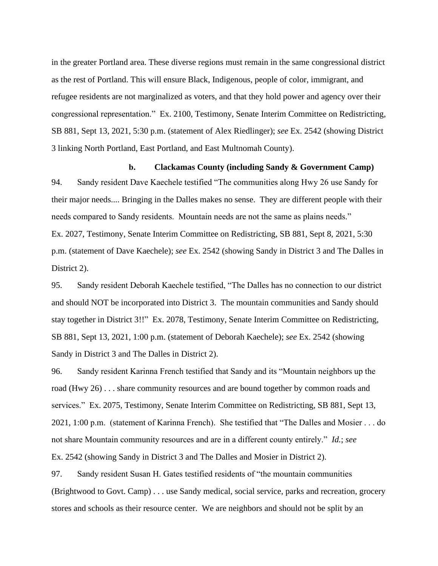in the greater Portland area. These diverse regions must remain in the same congressional district as the rest of Portland. This will ensure Black, Indigenous, people of color, immigrant, and refugee residents are not marginalized as voters, and that they hold power and agency over their congressional representation." Ex. 2100, Testimony, Senate Interim Committee on Redistricting, SB 881, Sept 13, 2021, 5:30 p.m. (statement of Alex Riedlinger); *see* Ex. 2542 (showing District 3 linking North Portland, East Portland, and East Multnomah County).

#### **b. Clackamas County (including Sandy & Government Camp)**

<span id="page-30-0"></span>94. Sandy resident Dave Kaechele testified "The communities along Hwy 26 use Sandy for their major needs.... Bringing in the Dalles makes no sense. They are different people with their needs compared to Sandy residents. Mountain needs are not the same as plains needs." Ex. 2027, Testimony, Senate Interim Committee on Redistricting, SB 881, Sept 8, 2021, 5:30 p.m. (statement of Dave Kaechele); *see* Ex. 2542 (showing Sandy in District 3 and The Dalles in District 2).

95. Sandy resident Deborah Kaechele testified, "The Dalles has no connection to our district and should NOT be incorporated into District 3. The mountain communities and Sandy should stay together in District 3!!" Ex. 2078, Testimony, Senate Interim Committee on Redistricting, SB 881, Sept 13, 2021, 1:00 p.m. (statement of Deborah Kaechele); *see* Ex. 2542 (showing Sandy in District 3 and The Dalles in District 2).

96. Sandy resident Karinna French testified that Sandy and its "Mountain neighbors up the road (Hwy 26) . . . share community resources and are bound together by common roads and services." Ex. 2075, Testimony, Senate Interim Committee on Redistricting, SB 881, Sept 13, 2021, 1:00 p.m. (statement of Karinna French). She testified that "The Dalles and Mosier . . . do not share Mountain community resources and are in a different county entirely." *Id.*; *see* Ex. 2542 (showing Sandy in District 3 and The Dalles and Mosier in District 2).

97. Sandy resident Susan H. Gates testified residents of "the mountain communities (Brightwood to Govt. Camp) . . . use Sandy medical, social service, parks and recreation, grocery stores and schools as their resource center. We are neighbors and should not be split by an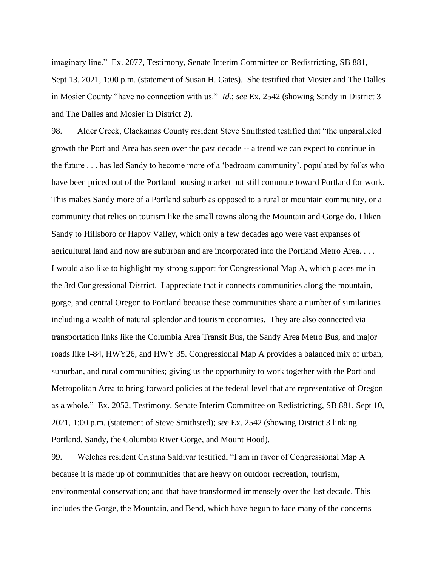imaginary line." Ex. 2077, Testimony, Senate Interim Committee on Redistricting, SB 881, Sept 13, 2021, 1:00 p.m. (statement of Susan H. Gates). She testified that Mosier and The Dalles in Mosier County "have no connection with us." *Id.*; *see* Ex. 2542 (showing Sandy in District 3 and The Dalles and Mosier in District 2).

98. Alder Creek, Clackamas County resident Steve Smithsted testified that "the unparalleled growth the Portland Area has seen over the past decade -- a trend we can expect to continue in the future . . . has led Sandy to become more of a 'bedroom community', populated by folks who have been priced out of the Portland housing market but still commute toward Portland for work. This makes Sandy more of a Portland suburb as opposed to a rural or mountain community, or a community that relies on tourism like the small towns along the Mountain and Gorge do. I liken Sandy to Hillsboro or Happy Valley, which only a few decades ago were vast expanses of agricultural land and now are suburban and are incorporated into the Portland Metro Area. . . . I would also like to highlight my strong support for Congressional Map A, which places me in the 3rd Congressional District. I appreciate that it connects communities along the mountain, gorge, and central Oregon to Portland because these communities share a number of similarities including a wealth of natural splendor and tourism economies. They are also connected via transportation links like the Columbia Area Transit Bus, the Sandy Area Metro Bus, and major roads like I-84, HWY26, and HWY 35. Congressional Map A provides a balanced mix of urban, suburban, and rural communities; giving us the opportunity to work together with the Portland Metropolitan Area to bring forward policies at the federal level that are representative of Oregon as a whole." Ex. 2052, Testimony, Senate Interim Committee on Redistricting, SB 881, Sept 10, 2021, 1:00 p.m. (statement of Steve Smithsted); *see* Ex. 2542 (showing District 3 linking Portland, Sandy, the Columbia River Gorge, and Mount Hood).

99. Welches resident Cristina Saldivar testified, "I am in favor of Congressional Map A because it is made up of communities that are heavy on outdoor recreation, tourism, environmental conservation; and that have transformed immensely over the last decade. This includes the Gorge, the Mountain, and Bend, which have begun to face many of the concerns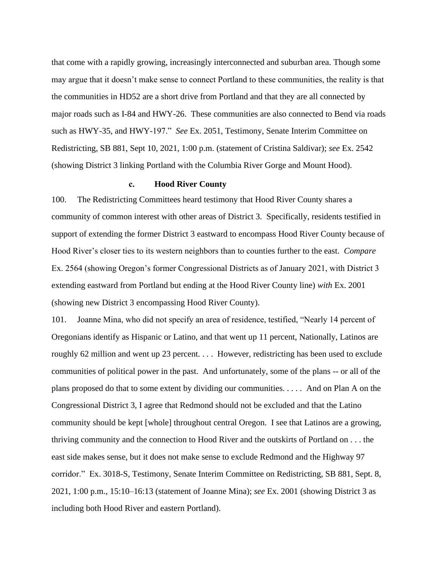that come with a rapidly growing, increasingly interconnected and suburban area. Though some may argue that it doesn't make sense to connect Portland to these communities, the reality is that the communities in HD52 are a short drive from Portland and that they are all connected by major roads such as I-84 and HWY-26. These communities are also connected to Bend via roads such as HWY-35, and HWY-197." *See* Ex. 2051, Testimony, Senate Interim Committee on Redistricting, SB 881, Sept 10, 2021, 1:00 p.m. (statement of Cristina Saldivar); *see* Ex. 2542 (showing District 3 linking Portland with the Columbia River Gorge and Mount Hood).

# **c. Hood River County**

<span id="page-32-0"></span>100. The Redistricting Committees heard testimony that Hood River County shares a community of common interest with other areas of District 3. Specifically, residents testified in support of extending the former District 3 eastward to encompass Hood River County because of Hood River's closer ties to its western neighbors than to counties further to the east. *Compare* Ex. 2564 (showing Oregon's former Congressional Districts as of January 2021, with District 3 extending eastward from Portland but ending at the Hood River County line) *with* Ex. 2001 (showing new District 3 encompassing Hood River County).

101. Joanne Mina, who did not specify an area of residence, testified, "Nearly 14 percent of Oregonians identify as Hispanic or Latino, and that went up 11 percent, Nationally, Latinos are roughly 62 million and went up 23 percent. . . . However, redistricting has been used to exclude communities of political power in the past. And unfortunately, some of the plans -- or all of the plans proposed do that to some extent by dividing our communities. . . . . And on Plan A on the Congressional District 3, I agree that Redmond should not be excluded and that the Latino community should be kept [whole] throughout central Oregon. I see that Latinos are a growing, thriving community and the connection to Hood River and the outskirts of Portland on . . . the east side makes sense, but it does not make sense to exclude Redmond and the Highway 97 corridor." Ex. 3018-S, Testimony, Senate Interim Committee on Redistricting, SB 881, Sept. 8, 2021, 1:00 p.m., 15:10–16:13 (statement of Joanne Mina); *see* Ex. 2001 (showing District 3 as including both Hood River and eastern Portland).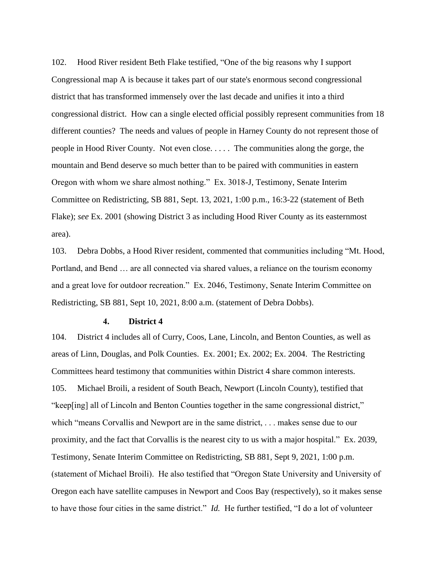102. Hood River resident Beth Flake testified, "One of the big reasons why I support Congressional map A is because it takes part of our state's enormous second congressional district that has transformed immensely over the last decade and unifies it into a third congressional district. How can a single elected official possibly represent communities from 18 different counties? The needs and values of people in Harney County do not represent those of people in Hood River County. Not even close. . . . . The communities along the gorge, the mountain and Bend deserve so much better than to be paired with communities in eastern Oregon with whom we share almost nothing." Ex. 3018-J, Testimony, Senate Interim Committee on Redistricting, SB 881, Sept. 13, 2021, 1:00 p.m., 16:3-22 (statement of Beth Flake); *see* Ex. 2001 (showing District 3 as including Hood River County as its easternmost area).

103. Debra Dobbs, a Hood River resident, commented that communities including "Mt. Hood, Portland, and Bend … are all connected via shared values, a reliance on the tourism economy and a great love for outdoor recreation." Ex. 2046, Testimony, Senate Interim Committee on Redistricting, SB 881, Sept 10, 2021, 8:00 a.m. (statement of Debra Dobbs).

#### **4. District 4**

<span id="page-33-0"></span>104. District 4 includes all of Curry, Coos, Lane, Lincoln, and Benton Counties, as well as areas of Linn, Douglas, and Polk Counties. Ex. 2001; Ex. 2002; Ex. 2004. The Restricting Committees heard testimony that communities within District 4 share common interests. 105. Michael Broili, a resident of South Beach, Newport (Lincoln County), testified that "keep[ing] all of Lincoln and Benton Counties together in the same congressional district," which "means Corvallis and Newport are in the same district, . . . makes sense due to our proximity, and the fact that Corvallis is the nearest city to us with a major hospital." Ex. 2039, Testimony, Senate Interim Committee on Redistricting, SB 881, Sept 9, 2021, 1:00 p.m. (statement of Michael Broili). He also testified that "Oregon State University and University of Oregon each have satellite campuses in Newport and Coos Bay (respectively), so it makes sense to have those four cities in the same district." *Id.* He further testified, "I do a lot of volunteer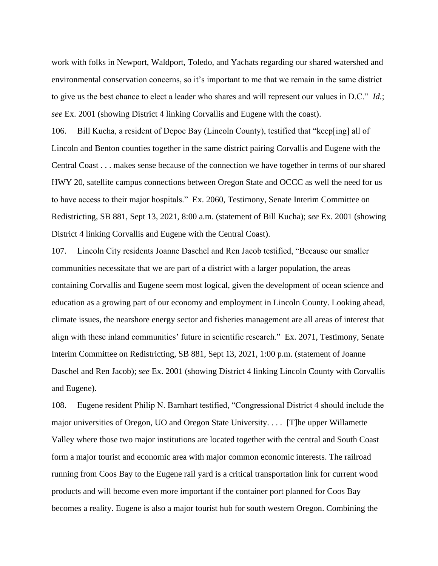work with folks in Newport, Waldport, Toledo, and Yachats regarding our shared watershed and environmental conservation concerns, so it's important to me that we remain in the same district to give us the best chance to elect a leader who shares and will represent our values in D.C." *Id.*; *see* Ex. 2001 (showing District 4 linking Corvallis and Eugene with the coast).

106. Bill Kucha, a resident of Depoe Bay (Lincoln County), testified that "keep[ing] all of Lincoln and Benton counties together in the same district pairing Corvallis and Eugene with the Central Coast . . . makes sense because of the connection we have together in terms of our shared HWY 20, satellite campus connections between Oregon State and OCCC as well the need for us to have access to their major hospitals." Ex. 2060, Testimony, Senate Interim Committee on Redistricting, SB 881, Sept 13, 2021, 8:00 a.m. (statement of Bill Kucha); *see* Ex. 2001 (showing District 4 linking Corvallis and Eugene with the Central Coast).

107. Lincoln City residents Joanne Daschel and Ren Jacob testified, "Because our smaller communities necessitate that we are part of a district with a larger population, the areas containing Corvallis and Eugene seem most logical, given the development of ocean science and education as a growing part of our economy and employment in Lincoln County. Looking ahead, climate issues, the nearshore energy sector and fisheries management are all areas of interest that align with these inland communities' future in scientific research." Ex. 2071, Testimony, Senate Interim Committee on Redistricting, SB 881, Sept 13, 2021, 1:00 p.m. (statement of Joanne Daschel and Ren Jacob); *see* Ex. 2001 (showing District 4 linking Lincoln County with Corvallis and Eugene).

108. Eugene resident Philip N. Barnhart testified, "Congressional District 4 should include the major universities of Oregon, UO and Oregon State University. . . . [T]he upper Willamette Valley where those two major institutions are located together with the central and South Coast form a major tourist and economic area with major common economic interests. The railroad running from Coos Bay to the Eugene rail yard is a critical transportation link for current wood products and will become even more important if the container port planned for Coos Bay becomes a reality. Eugene is also a major tourist hub for south western Oregon. Combining the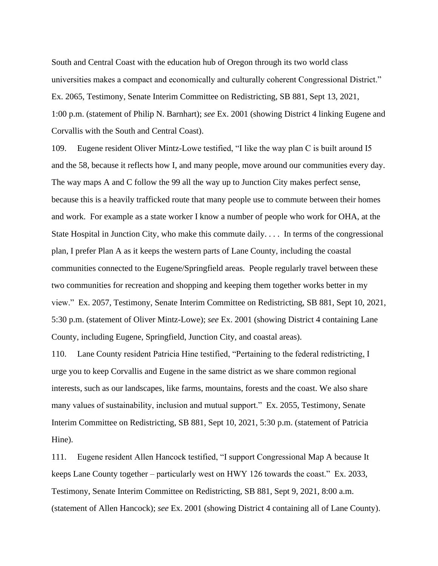South and Central Coast with the education hub of Oregon through its two world class universities makes a compact and economically and culturally coherent Congressional District." Ex. 2065, Testimony, Senate Interim Committee on Redistricting, SB 881, Sept 13, 2021, 1:00 p.m. (statement of Philip N. Barnhart); *see* Ex. 2001 (showing District 4 linking Eugene and Corvallis with the South and Central Coast).

109. Eugene resident Oliver Mintz-Lowe testified, "I like the way plan C is built around I5 and the 58, because it reflects how I, and many people, move around our communities every day. The way maps A and C follow the 99 all the way up to Junction City makes perfect sense, because this is a heavily trafficked route that many people use to commute between their homes and work. For example as a state worker I know a number of people who work for OHA, at the State Hospital in Junction City, who make this commute daily. . . . In terms of the congressional plan, I prefer Plan A as it keeps the western parts of Lane County, including the coastal communities connected to the Eugene/Springfield areas. People regularly travel between these two communities for recreation and shopping and keeping them together works better in my view." Ex. 2057, Testimony, Senate Interim Committee on Redistricting, SB 881, Sept 10, 2021, 5:30 p.m. (statement of Oliver Mintz-Lowe); *see* Ex. 2001 (showing District 4 containing Lane County, including Eugene, Springfield, Junction City, and coastal areas).

110. Lane County resident Patricia Hine testified, "Pertaining to the federal redistricting, I urge you to keep Corvallis and Eugene in the same district as we share common regional interests, such as our landscapes, like farms, mountains, forests and the coast. We also share many values of sustainability, inclusion and mutual support." Ex. 2055, Testimony, Senate Interim Committee on Redistricting, SB 881, Sept 10, 2021, 5:30 p.m. (statement of Patricia Hine).

111. Eugene resident Allen Hancock testified, "I support Congressional Map A because It keeps Lane County together – particularly west on HWY 126 towards the coast." Ex. 2033, Testimony, Senate Interim Committee on Redistricting, SB 881, Sept 9, 2021, 8:00 a.m. (statement of Allen Hancock); *see* Ex. 2001 (showing District 4 containing all of Lane County).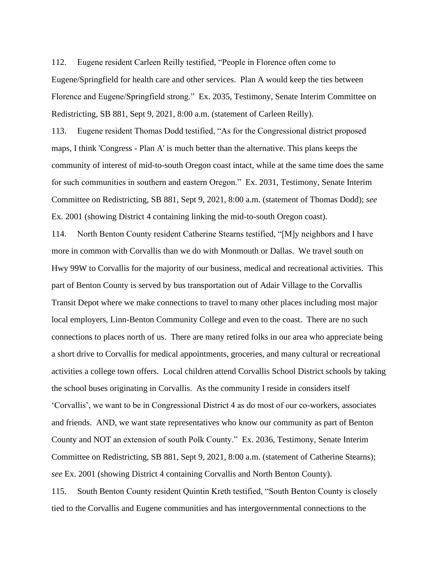112. Eugene resident Carleen Reilly testified, "People in Florence often come to Eugene/Springfield for health care and other services. Plan A would keep the ties between Florence and Eugene/Springfield strong." Ex. 2035, Testimony, Senate Interim Committee on Redistricting, SB 881, Sept 9, 2021, 8:00 a.m. (statement of Carleen Reilly).

113. Eugene resident Thomas Dodd testified, "As for the Congressional district proposed maps, I think 'Congress - Plan A' is much better than the alternative. This plans keeps the community of interest of mid-to-south Oregon coast intact, while at the same time does the same for such communities in southern and eastern Oregon." Ex. 2031, Testimony, Senate Interim Committee on Redistricting, SB 881, Sept 9, 2021, 8:00 a.m. (statement of Thomas Dodd); *see* Ex. 2001 (showing District 4 containing linking the mid-to-south Oregon coast).

114. North Benton County resident Catherine Stearns testified, "[M]y neighbors and I have more in common with Corvallis than we do with Monmouth or Dallas. We travel south on Hwy 99W to Corvallis for the majority of our business, medical and recreational activities. This part of Benton County is served by bus transportation out of Adair Village to the Corvallis Transit Depot where we make connections to travel to many other places including most major local employers, Linn-Benton Community College and even to the coast. There are no such connections to places north of us. There are many retired folks in our area who appreciate being a short drive to Corvallis for medical appointments, groceries, and many cultural or recreational activities a college town offers. Local children attend Corvallis School District schools by taking the school buses originating in Corvallis. As the community I reside in considers itself 'Corvallis', we want to be in Congressional District 4 as do most of our co-workers, associates and friends. AND, we want state representatives who know our community as part of Benton County and NOT an extension of south Polk County." Ex. 2036, Testimony, Senate Interim Committee on Redistricting, SB 881, Sept 9, 2021, 8:00 a.m. (statement of Catherine Stearns); *see* Ex. 2001 (showing District 4 containing Corvallis and North Benton County).

115. South Benton County resident Quintin Kreth testified, "South Benton County is closely tied to the Corvallis and Eugene communities and has intergovernmental connections to the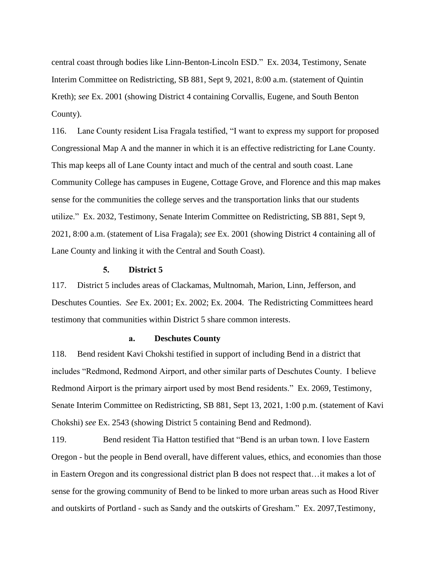central coast through bodies like Linn-Benton-Lincoln ESD." Ex. 2034, Testimony, Senate Interim Committee on Redistricting, SB 881, Sept 9, 2021, 8:00 a.m. (statement of Quintin Kreth); *see* Ex. 2001 (showing District 4 containing Corvallis, Eugene, and South Benton County).

116. Lane County resident Lisa Fragala testified, "I want to express my support for proposed Congressional Map A and the manner in which it is an effective redistricting for Lane County. This map keeps all of Lane County intact and much of the central and south coast. Lane Community College has campuses in Eugene, Cottage Grove, and Florence and this map makes sense for the communities the college serves and the transportation links that our students utilize." Ex. 2032, Testimony, Senate Interim Committee on Redistricting, SB 881, Sept 9, 2021, 8:00 a.m. (statement of Lisa Fragala); *see* Ex. 2001 (showing District 4 containing all of Lane County and linking it with the Central and South Coast).

#### **5. District 5**

117. District 5 includes areas of Clackamas, Multnomah, Marion, Linn, Jefferson, and Deschutes Counties. *See* Ex. 2001; Ex. 2002; Ex. 2004. The Redistricting Committees heard testimony that communities within District 5 share common interests.

#### **a. Deschutes County**

118. Bend resident Kavi Chokshi testified in support of including Bend in a district that includes "Redmond, Redmond Airport, and other similar parts of Deschutes County. I believe Redmond Airport is the primary airport used by most Bend residents." Ex. 2069, Testimony, Senate Interim Committee on Redistricting, SB 881, Sept 13, 2021, 1:00 p.m. (statement of Kavi Chokshi) *see* Ex. 2543 (showing District 5 containing Bend and Redmond).

119. Bend resident Tia Hatton testified that "Bend is an urban town. I love Eastern Oregon - but the people in Bend overall, have different values, ethics, and economies than those in Eastern Oregon and its congressional district plan B does not respect that…it makes a lot of sense for the growing community of Bend to be linked to more urban areas such as Hood River and outskirts of Portland - such as Sandy and the outskirts of Gresham." Ex. 2097,Testimony,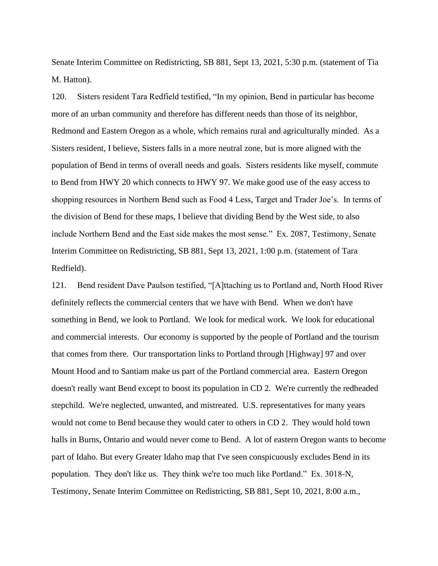Senate Interim Committee on Redistricting, SB 881, Sept 13, 2021, 5:30 p.m. (statement of Tia M. Hatton).

120. Sisters resident Tara Redfield testified, "In my opinion, Bend in particular has become more of an urban community and therefore has different needs than those of its neighbor, Redmond and Eastern Oregon as a whole, which remains rural and agriculturally minded. As a Sisters resident, I believe, Sisters falls in a more neutral zone, but is more aligned with the population of Bend in terms of overall needs and goals. Sisters residents like myself, commute to Bend from HWY 20 which connects to HWY 97. We make good use of the easy access to shopping resources in Northern Bend such as Food 4 Less, Target and Trader Joe's. In terms of the division of Bend for these maps, I believe that dividing Bend by the West side, to also include Northern Bend and the East side makes the most sense." Ex. 2087, Testimony, Senate Interim Committee on Redistricting, SB 881, Sept 13, 2021, 1:00 p.m. (statement of Tara Redfield).

121. Bend resident Dave Paulson testified, "[A]ttaching us to Portland and, North Hood River definitely reflects the commercial centers that we have with Bend. When we don't have something in Bend, we look to Portland. We look for medical work. We look for educational and commercial interests. Our economy is supported by the people of Portland and the tourism that comes from there. Our transportation links to Portland through [Highway] 97 and over Mount Hood and to Santiam make us part of the Portland commercial area. Eastern Oregon doesn't really want Bend except to boost its population in CD 2. We're currently the redheaded stepchild. We're neglected, unwanted, and mistreated. U.S. representatives for many years would not come to Bend because they would cater to others in CD 2. They would hold town halls in Burns, Ontario and would never come to Bend. A lot of eastern Oregon wants to become part of Idaho. But every Greater Idaho map that I've seen conspicuously excludes Bend in its population. They don't like us. They think we're too much like Portland." Ex. 3018-N, Testimony, Senate Interim Committee on Redistricting, SB 881, Sept 10, 2021, 8:00 a.m.,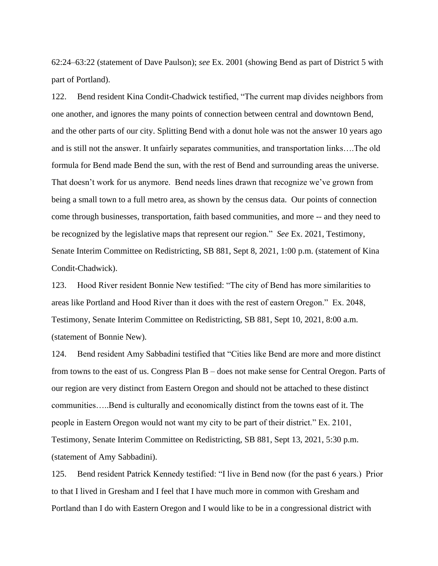62:24–63:22 (statement of Dave Paulson); *see* Ex. 2001 (showing Bend as part of District 5 with part of Portland).

122. Bend resident Kina Condit-Chadwick testified, "The current map divides neighbors from one another, and ignores the many points of connection between central and downtown Bend, and the other parts of our city. Splitting Bend with a donut hole was not the answer 10 years ago and is still not the answer. It unfairly separates communities, and transportation links….The old formula for Bend made Bend the sun, with the rest of Bend and surrounding areas the universe. That doesn't work for us anymore. Bend needs lines drawn that recognize we've grown from being a small town to a full metro area, as shown by the census data. Our points of connection come through businesses, transportation, faith based communities, and more -- and they need to be recognized by the legislative maps that represent our region." *See* Ex. 2021, Testimony, Senate Interim Committee on Redistricting, SB 881, Sept 8, 2021, 1:00 p.m. (statement of Kina Condit-Chadwick).

123. Hood River resident Bonnie New testified: "The city of Bend has more similarities to areas like Portland and Hood River than it does with the rest of eastern Oregon." Ex. 2048, Testimony, Senate Interim Committee on Redistricting, SB 881, Sept 10, 2021, 8:00 a.m. (statement of Bonnie New).

124. Bend resident Amy Sabbadini testified that "Cities like Bend are more and more distinct from towns to the east of us. Congress Plan B – does not make sense for Central Oregon. Parts of our region are very distinct from Eastern Oregon and should not be attached to these distinct communities…..Bend is culturally and economically distinct from the towns east of it. The people in Eastern Oregon would not want my city to be part of their district." Ex. 2101, Testimony, Senate Interim Committee on Redistricting, SB 881, Sept 13, 2021, 5:30 p.m. (statement of Amy Sabbadini).

125. Bend resident Patrick Kennedy testified: "I live in Bend now (for the past 6 years.) Prior to that I lived in Gresham and I feel that I have much more in common with Gresham and Portland than I do with Eastern Oregon and I would like to be in a congressional district with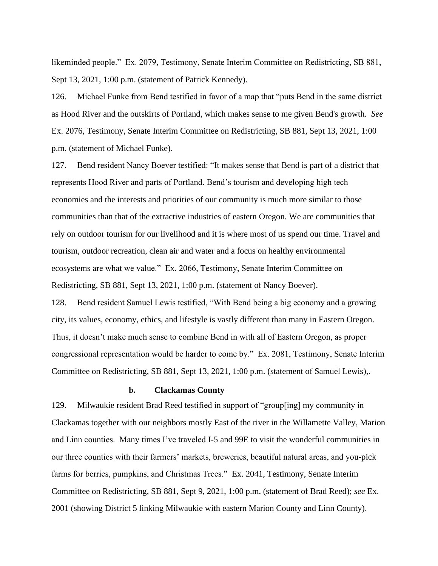likeminded people." Ex. 2079, Testimony, Senate Interim Committee on Redistricting, SB 881, Sept 13, 2021, 1:00 p.m. (statement of Patrick Kennedy).

126. Michael Funke from Bend testified in favor of a map that "puts Bend in the same district as Hood River and the outskirts of Portland, which makes sense to me given Bend's growth. *See*  Ex. 2076, Testimony, Senate Interim Committee on Redistricting, SB 881, Sept 13, 2021, 1:00 p.m. (statement of Michael Funke).

127. Bend resident Nancy Boever testified: "It makes sense that Bend is part of a district that represents Hood River and parts of Portland. Bend's tourism and developing high tech economies and the interests and priorities of our community is much more similar to those communities than that of the extractive industries of eastern Oregon. We are communities that rely on outdoor tourism for our livelihood and it is where most of us spend our time. Travel and tourism, outdoor recreation, clean air and water and a focus on healthy environmental ecosystems are what we value." Ex. 2066, Testimony, Senate Interim Committee on Redistricting, SB 881, Sept 13, 2021, 1:00 p.m. (statement of Nancy Boever).

128. Bend resident Samuel Lewis testified, "With Bend being a big economy and a growing city, its values, economy, ethics, and lifestyle is vastly different than many in Eastern Oregon. Thus, it doesn't make much sense to combine Bend in with all of Eastern Oregon, as proper congressional representation would be harder to come by." Ex. 2081, Testimony, Senate Interim Committee on Redistricting, SB 881, Sept 13, 2021, 1:00 p.m. (statement of Samuel Lewis),.

### **b. Clackamas County**

129. Milwaukie resident Brad Reed testified in support of "group[ing] my community in Clackamas together with our neighbors mostly East of the river in the Willamette Valley, Marion and Linn counties. Many times I've traveled I-5 and 99E to visit the wonderful communities in our three counties with their farmers' markets, breweries, beautiful natural areas, and you-pick farms for berries, pumpkins, and Christmas Trees." Ex. 2041, Testimony, Senate Interim Committee on Redistricting, SB 881, Sept 9, 2021, 1:00 p.m. (statement of Brad Reed); *see* Ex. 2001 (showing District 5 linking Milwaukie with eastern Marion County and Linn County).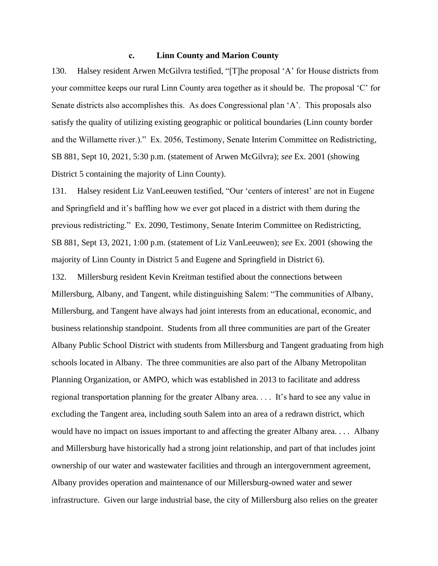## **c. Linn County and Marion County**

130. Halsey resident Arwen McGilvra testified, "[T]he proposal 'A' for House districts from your committee keeps our rural Linn County area together as it should be. The proposal 'C' for Senate districts also accomplishes this. As does Congressional plan 'A'. This proposals also satisfy the quality of utilizing existing geographic or political boundaries (Linn county border and the Willamette river.)." Ex. 2056, Testimony, Senate Interim Committee on Redistricting, SB 881, Sept 10, 2021, 5:30 p.m. (statement of Arwen McGilvra); *see* Ex. 2001 (showing District 5 containing the majority of Linn County).

131. Halsey resident Liz VanLeeuwen testified, "Our 'centers of interest' are not in Eugene and Springfield and it's baffling how we ever got placed in a district with them during the previous redistricting." Ex. 2090, Testimony, Senate Interim Committee on Redistricting, SB 881, Sept 13, 2021, 1:00 p.m. (statement of Liz VanLeeuwen); *see* Ex. 2001 (showing the majority of Linn County in District 5 and Eugene and Springfield in District 6).

132. Millersburg resident Kevin Kreitman testified about the connections between Millersburg, Albany, and Tangent, while distinguishing Salem: "The communities of Albany, Millersburg, and Tangent have always had joint interests from an educational, economic, and business relationship standpoint. Students from all three communities are part of the Greater Albany Public School District with students from Millersburg and Tangent graduating from high schools located in Albany. The three communities are also part of the Albany Metropolitan Planning Organization, or AMPO, which was established in 2013 to facilitate and address regional transportation planning for the greater Albany area. . . . It's hard to see any value in excluding the Tangent area, including south Salem into an area of a redrawn district, which would have no impact on issues important to and affecting the greater Albany area. . . . Albany and Millersburg have historically had a strong joint relationship, and part of that includes joint ownership of our water and wastewater facilities and through an intergovernment agreement, Albany provides operation and maintenance of our Millersburg-owned water and sewer infrastructure. Given our large industrial base, the city of Millersburg also relies on the greater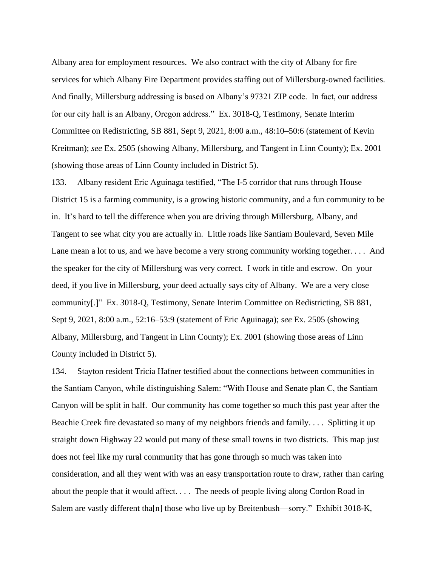Albany area for employment resources. We also contract with the city of Albany for fire services for which Albany Fire Department provides staffing out of Millersburg-owned facilities. And finally, Millersburg addressing is based on Albany's 97321 ZIP code. In fact, our address for our city hall is an Albany, Oregon address." Ex. 3018-Q, Testimony, Senate Interim Committee on Redistricting, SB 881, Sept 9, 2021, 8:00 a.m., 48:10–50:6 (statement of Kevin Kreitman); *see* Ex. 2505 (showing Albany, Millersburg, and Tangent in Linn County); Ex. 2001 (showing those areas of Linn County included in District 5).

133. Albany resident Eric Aguinaga testified, "The I-5 corridor that runs through House District 15 is a farming community, is a growing historic community, and a fun community to be in. It's hard to tell the difference when you are driving through Millersburg, Albany, and Tangent to see what city you are actually in. Little roads like Santiam Boulevard, Seven Mile Lane mean a lot to us, and we have become a very strong community working together. . . . And the speaker for the city of Millersburg was very correct. I work in title and escrow. On your deed, if you live in Millersburg, your deed actually says city of Albany. We are a very close community[.]" Ex. 3018-Q, Testimony, Senate Interim Committee on Redistricting, SB 881, Sept 9, 2021, 8:00 a.m., 52:16–53:9 (statement of Eric Aguinaga); *see* Ex. 2505 (showing Albany, Millersburg, and Tangent in Linn County); Ex. 2001 (showing those areas of Linn County included in District 5).

134. Stayton resident Tricia Hafner testified about the connections between communities in the Santiam Canyon, while distinguishing Salem: "With House and Senate plan C, the Santiam Canyon will be split in half. Our community has come together so much this past year after the Beachie Creek fire devastated so many of my neighbors friends and family. . . . Splitting it up straight down Highway 22 would put many of these small towns in two districts. This map just does not feel like my rural community that has gone through so much was taken into consideration, and all they went with was an easy transportation route to draw, rather than caring about the people that it would affect. . . . The needs of people living along Cordon Road in Salem are vastly different tha[n] those who live up by Breitenbush—sorry." Exhibit 3018-K,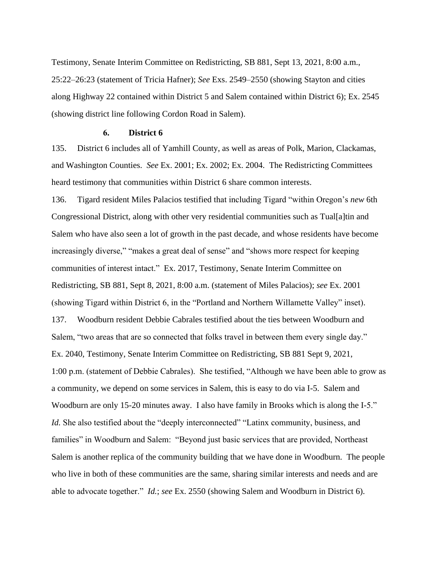Testimony, Senate Interim Committee on Redistricting, SB 881, Sept 13, 2021, 8:00 a.m., 25:22–26:23 (statement of Tricia Hafner); *See* Exs. 2549–2550 (showing Stayton and cities along Highway 22 contained within District 5 and Salem contained within District 6); Ex. 2545 (showing district line following Cordon Road in Salem).

#### **6. District 6**

135. District 6 includes all of Yamhill County, as well as areas of Polk, Marion, Clackamas, and Washington Counties. *See* Ex. 2001; Ex. 2002; Ex. 2004. The Redistricting Committees heard testimony that communities within District 6 share common interests.

136. Tigard resident Miles Palacios testified that including Tigard "within Oregon's *new* 6th Congressional District, along with other very residential communities such as Tual[a]tin and Salem who have also seen a lot of growth in the past decade, and whose residents have become increasingly diverse," "makes a great deal of sense" and "shows more respect for keeping communities of interest intact." Ex. 2017, Testimony, Senate Interim Committee on Redistricting, SB 881, Sept 8, 2021, 8:00 a.m. (statement of Miles Palacios); *see* Ex. 2001 (showing Tigard within District 6, in the "Portland and Northern Willamette Valley" inset). 137. Woodburn resident Debbie Cabrales testified about the ties between Woodburn and Salem, "two areas that are so connected that folks travel in between them every single day." Ex. 2040, Testimony, Senate Interim Committee on Redistricting, SB 881 Sept 9, 2021, 1:00 p.m. (statement of Debbie Cabrales). She testified, "Although we have been able to grow as a community, we depend on some services in Salem, this is easy to do via I-5. Salem and Woodburn are only 15-20 minutes away. I also have family in Brooks which is along the I-5." *Id.* She also testified about the "deeply interconnected" "Latinx community, business, and families" in Woodburn and Salem: "Beyond just basic services that are provided, Northeast Salem is another replica of the community building that we have done in Woodburn. The people who live in both of these communities are the same, sharing similar interests and needs and are able to advocate together." *Id.*; *see* Ex. 2550 (showing Salem and Woodburn in District 6).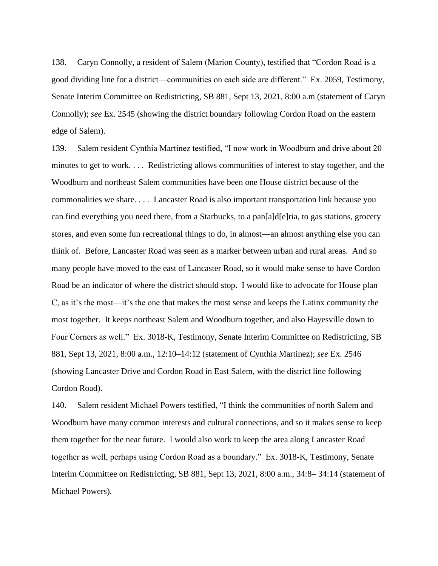138. Caryn Connolly, a resident of Salem (Marion County), testified that "Cordon Road is a good dividing line for a district—communities on each side are different." Ex. 2059, Testimony, Senate Interim Committee on Redistricting, SB 881, Sept 13, 2021, 8:00 a.m (statement of Caryn Connolly); *see* Ex. 2545 (showing the district boundary following Cordon Road on the eastern edge of Salem).

139. Salem resident Cynthia Martinez testified, "I now work in Woodburn and drive about 20 minutes to get to work. . . . Redistricting allows communities of interest to stay together, and the Woodburn and northeast Salem communities have been one House district because of the commonalities we share. . . . Lancaster Road is also important transportation link because you can find everything you need there, from a Starbucks, to a pan[a]d[e]ria, to gas stations, grocery stores, and even some fun recreational things to do, in almost—an almost anything else you can think of. Before, Lancaster Road was seen as a marker between urban and rural areas. And so many people have moved to the east of Lancaster Road, so it would make sense to have Cordon Road be an indicator of where the district should stop. I would like to advocate for House plan C, as it's the most—it's the one that makes the most sense and keeps the Latinx community the most together. It keeps northeast Salem and Woodburn together, and also Hayesville down to Four Corners as well." Ex. 3018-K, Testimony, Senate Interim Committee on Redistricting, SB 881, Sept 13, 2021, 8:00 a.m., 12:10–14:12 (statement of Cynthia Martinez); *see* Ex. 2546 (showing Lancaster Drive and Cordon Road in East Salem, with the district line following Cordon Road).

140. Salem resident Michael Powers testified, "I think the communities of north Salem and Woodburn have many common interests and cultural connections, and so it makes sense to keep them together for the near future. I would also work to keep the area along Lancaster Road together as well, perhaps using Cordon Road as a boundary." Ex. 3018-K, Testimony, Senate Interim Committee on Redistricting, SB 881, Sept 13, 2021, 8:00 a.m., 34:8– 34:14 (statement of Michael Powers).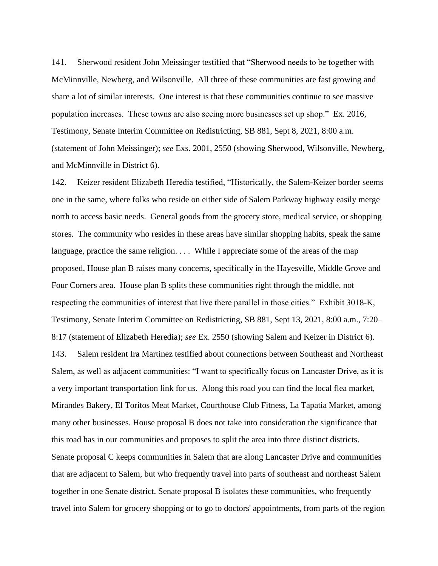141. Sherwood resident John Meissinger testified that "Sherwood needs to be together with McMinnville, Newberg, and Wilsonville. All three of these communities are fast growing and share a lot of similar interests. One interest is that these communities continue to see massive population increases. These towns are also seeing more businesses set up shop." Ex. 2016, Testimony, Senate Interim Committee on Redistricting, SB 881, Sept 8, 2021, 8:00 a.m. (statement of John Meissinger); *see* Exs. 2001, 2550 (showing Sherwood, Wilsonville, Newberg, and McMinnville in District 6).

142. Keizer resident Elizabeth Heredia testified, "Historically, the Salem-Keizer border seems one in the same, where folks who reside on either side of Salem Parkway highway easily merge north to access basic needs. General goods from the grocery store, medical service, or shopping stores. The community who resides in these areas have similar shopping habits, speak the same language, practice the same religion. . . . While I appreciate some of the areas of the map proposed, House plan B raises many concerns, specifically in the Hayesville, Middle Grove and Four Corners area. House plan B splits these communities right through the middle, not respecting the communities of interest that live there parallel in those cities." Exhibit 3018-K, Testimony, Senate Interim Committee on Redistricting, SB 881, Sept 13, 2021, 8:00 a.m., 7:20– 8:17 (statement of Elizabeth Heredia); *see* Ex. 2550 (showing Salem and Keizer in District 6). 143. Salem resident Ira Martinez testified about connections between Southeast and Northeast Salem, as well as adjacent communities: "I want to specifically focus on Lancaster Drive, as it is a very important transportation link for us. Along this road you can find the local flea market, Mirandes Bakery, El Toritos Meat Market, Courthouse Club Fitness, La Tapatia Market, among many other businesses. House proposal B does not take into consideration the significance that this road has in our communities and proposes to split the area into three distinct districts. Senate proposal C keeps communities in Salem that are along Lancaster Drive and communities that are adjacent to Salem, but who frequently travel into parts of southeast and northeast Salem together in one Senate district. Senate proposal B isolates these communities, who frequently travel into Salem for grocery shopping or to go to doctors' appointments, from parts of the region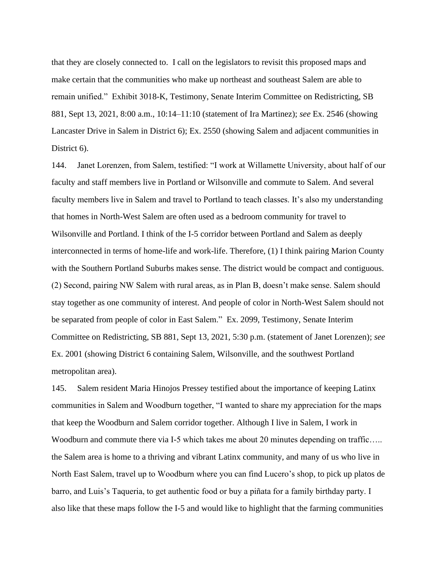that they are closely connected to. I call on the legislators to revisit this proposed maps and make certain that the communities who make up northeast and southeast Salem are able to remain unified." Exhibit 3018-K, Testimony, Senate Interim Committee on Redistricting, SB 881, Sept 13, 2021, 8:00 a.m., 10:14–11:10 (statement of Ira Martinez); *see* Ex. 2546 (showing Lancaster Drive in Salem in District 6); Ex. 2550 (showing Salem and adjacent communities in District 6).

144. Janet Lorenzen, from Salem, testified: "I work at Willamette University, about half of our faculty and staff members live in Portland or Wilsonville and commute to Salem. And several faculty members live in Salem and travel to Portland to teach classes. It's also my understanding that homes in North-West Salem are often used as a bedroom community for travel to Wilsonville and Portland. I think of the I-5 corridor between Portland and Salem as deeply interconnected in terms of home-life and work-life. Therefore, (1) I think pairing Marion County with the Southern Portland Suburbs makes sense. The district would be compact and contiguous. (2) Second, pairing NW Salem with rural areas, as in Plan B, doesn't make sense. Salem should stay together as one community of interest. And people of color in North-West Salem should not be separated from people of color in East Salem." Ex. 2099, Testimony, Senate Interim Committee on Redistricting, SB 881, Sept 13, 2021, 5:30 p.m. (statement of Janet Lorenzen); *see* Ex. 2001 (showing District 6 containing Salem, Wilsonville, and the southwest Portland metropolitan area).

145. Salem resident Maria Hinojos Pressey testified about the importance of keeping Latinx communities in Salem and Woodburn together, "I wanted to share my appreciation for the maps that keep the Woodburn and Salem corridor together. Although I live in Salem, I work in Woodburn and commute there via I-5 which takes me about 20 minutes depending on traffic..... the Salem area is home to a thriving and vibrant Latinx community, and many of us who live in North East Salem, travel up to Woodburn where you can find Lucero's shop, to pick up platos de barro, and Luis's Taqueria, to get authentic food or buy a piñata for a family birthday party. I also like that these maps follow the I-5 and would like to highlight that the farming communities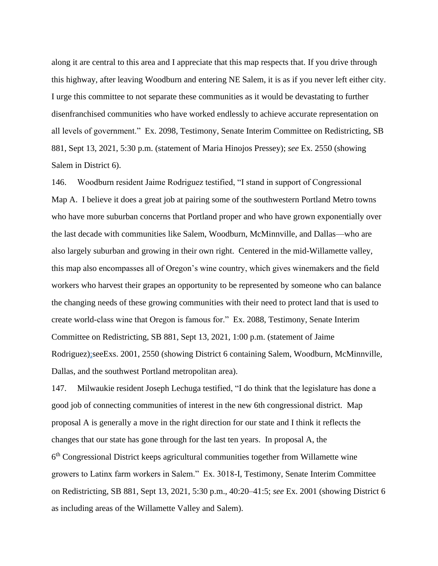along it are central to this area and I appreciate that this map respects that. If you drive through this highway, after leaving Woodburn and entering NE Salem, it is as if you never left either city. I urge this committee to not separate these communities as it would be devastating to further disenfranchised communities who have worked endlessly to achieve accurate representation on all levels of government." Ex. 2098, Testimony, Senate Interim Committee on Redistricting, SB 881, Sept 13, 2021, 5:30 p.m. (statement of Maria Hinojos Pressey); *see* Ex. 2550 (showing Salem in District 6).

146. Woodburn resident Jaime Rodriguez testified, "I stand in support of Congressional Map A. I believe it does a great job at pairing some of the southwestern Portland Metro towns who have more suburban concerns that Portland proper and who have grown exponentially over the last decade with communities like Salem, Woodburn, McMinnville, and Dallas—who are also largely suburban and growing in their own right. Centered in the mid-Willamette valley, this map also encompasses all of Oregon's wine country, which gives winemakers and the field workers who harvest their grapes an opportunity to be represented by someone who can balance the changing needs of these growing communities with their need to protect land that is used to create world-class wine that Oregon is famous for." Ex. 2088, Testimony, Senate Interim Committee on Redistricting, SB 881, Sept 13, 2021, 1:00 p.m. (statement of Jaime Rodriguez);seeExs. 2001, 2550 (showing District 6 containing Salem, Woodburn, McMinnville, Dallas, and the southwest Portland metropolitan area).

147. Milwaukie resident Joseph Lechuga testified, "I do think that the legislature has done a good job of connecting communities of interest in the new 6th congressional district. Map proposal A is generally a move in the right direction for our state and I think it reflects the changes that our state has gone through for the last ten years. In proposal A, the 6<sup>th</sup> Congressional District keeps agricultural communities together from Willamette wine growers to Latinx farm workers in Salem." Ex. 3018-I, Testimony, Senate Interim Committee on Redistricting, SB 881, Sept 13, 2021, 5:30 p.m., 40:20–41:5; *see* Ex. 2001 (showing District 6 as including areas of the Willamette Valley and Salem).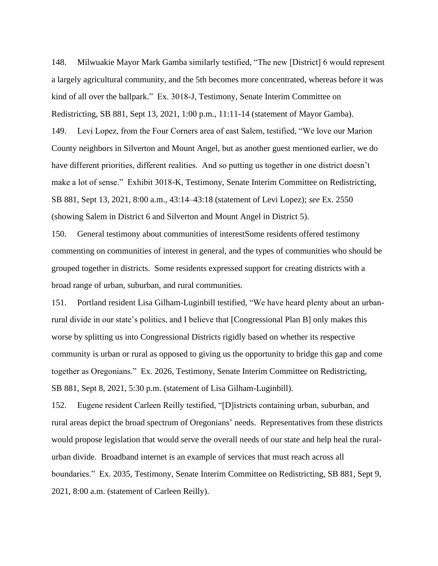148. Milwuakie Mayor Mark Gamba similarly testified, "The new [District] 6 would represent a largely agricultural community, and the 5th becomes more concentrated, whereas before it was kind of all over the ballpark." Ex. 3018-J, Testimony, Senate Interim Committee on Redistricting, SB 881, Sept 13, 2021, 1:00 p.m., 11:11-14 (statement of Mayor Gamba). 149. Levi Lopez, from the Four Corners area of east Salem, testified, "We love our Marion County neighbors in Silverton and Mount Angel, but as another guest mentioned earlier, we do have different priorities, different realities. And so putting us together in one district doesn't make a lot of sense." Exhibit 3018-K, Testimony, Senate Interim Committee on Redistricting, SB 881, Sept 13, 2021, 8:00 a.m., 43:14–43:18 (statement of Levi Lopez); *see* Ex. 2550 (showing Salem in District 6 and Silverton and Mount Angel in District 5).

150. General testimony about communities of interestSome residents offered testimony commenting on communities of interest in general, and the types of communities who should be grouped together in districts. Some residents expressed support for creating districts with a broad range of urban, suburban, and rural communities.

151. Portland resident Lisa Gilham-Luginbill testified, "We have heard plenty about an urbanrural divide in our state's politics, and I believe that [Congressional Plan B] only makes this worse by splitting us into Congressional Districts rigidly based on whether its respective community is urban or rural as opposed to giving us the opportunity to bridge this gap and come together as Oregonians." Ex. 2026, Testimony, Senate Interim Committee on Redistricting, SB 881, Sept 8, 2021, 5:30 p.m. (statement of Lisa Gilham-Luginbill).

152. Eugene resident Carleen Reilly testified, "[D]istricts containing urban, suburban, and rural areas depict the broad spectrum of Oregonians' needs. Representatives from these districts would propose legislation that would serve the overall needs of our state and help heal the ruralurban divide. Broadband internet is an example of services that must reach across all boundaries." Ex. 2035, Testimony, Senate Interim Committee on Redistricting, SB 881, Sept 9, 2021, 8:00 a.m. (statement of Carleen Reilly).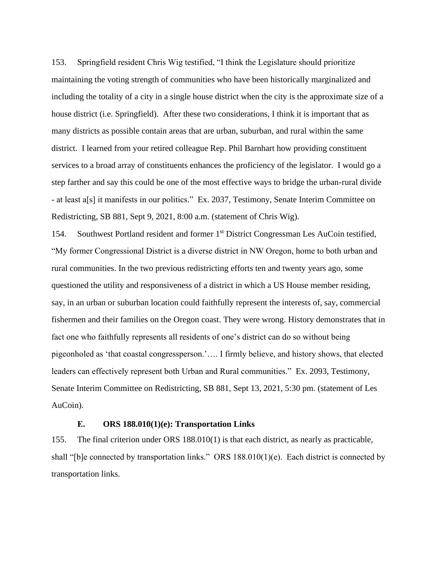153. Springfield resident Chris Wig testified, "I think the Legislature should prioritize maintaining the voting strength of communities who have been historically marginalized and including the totality of a city in a single house district when the city is the approximate size of a house district (i.e. Springfield). After these two considerations, I think it is important that as many districts as possible contain areas that are urban, suburban, and rural within the same district. I learned from your retired colleague Rep. Phil Barnhart how providing constituent services to a broad array of constituents enhances the proficiency of the legislator. I would go a step farther and say this could be one of the most effective ways to bridge the urban-rural divide - at least a[s] it manifests in our politics." Ex. 2037, Testimony, Senate Interim Committee on Redistricting, SB 881, Sept 9, 2021, 8:00 a.m. (statement of Chris Wig).

154. Southwest Portland resident and former 1<sup>st</sup> District Congressman Les AuCoin testified, "My former Congressional District is a diverse district in NW Oregon, home to both urban and rural communities. In the two previous redistricting efforts ten and twenty years ago, some questioned the utility and responsiveness of a district in which a US House member residing, say, in an urban or suburban location could faithfully represent the interests of, say, commercial fishermen and their families on the Oregon coast. They were wrong. History demonstrates that in fact one who faithfully represents all residents of one's district can do so without being pigeonholed as 'that coastal congressperson.'…. I firmly believe, and history shows, that elected leaders can effectively represent both Urban and Rural communities." Ex. 2093, Testimony, Senate Interim Committee on Redistricting, SB 881, Sept 13, 2021, 5:30 pm. (statement of Les AuCoin).

# **E. ORS 188.010(1)(e): Transportation Links**

155. The final criterion under ORS 188.010(1) is that each district, as nearly as practicable, shall "[b]e connected by transportation links." ORS 188.010(1)(e). Each district is connected by transportation links.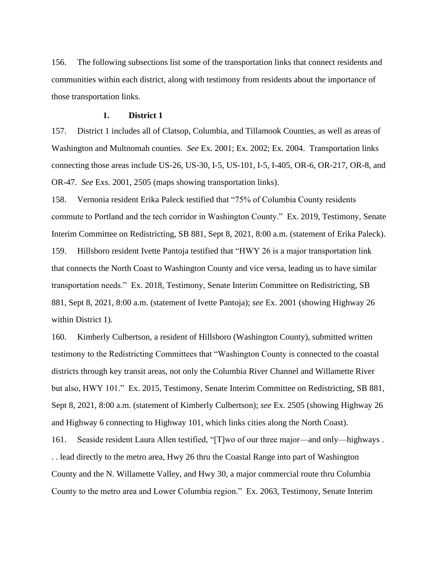156. The following subsections list some of the transportation links that connect residents and communities within each district, along with testimony from residents about the importance of those transportation links.

### **1. District 1**

157. District 1 includes all of Clatsop, Columbia, and Tillamook Counties, as well as areas of Washington and Multnomah counties. *See* Ex. 2001; Ex. 2002; Ex. 2004. Transportation links connecting those areas include US-26, US-30, I-5, US-101, I-5, I-405, OR-6, OR-217, OR-8, and OR-47. *See* Exs. 2001, 2505 (maps showing transportation links).

158. Vernonia resident Erika Paleck testified that "75% of Columbia County residents commute to Portland and the tech corridor in Washington County." Ex. 2019, Testimony, Senate Interim Committee on Redistricting, SB 881, Sept 8, 2021, 8:00 a.m. (statement of Erika Paleck). 159. Hillsboro resident Ivette Pantoja testified that "HWY 26 is a major transportation link that connects the North Coast to Washington County and vice versa, leading us to have similar transportation needs." Ex. 2018, Testimony, Senate Interim Committee on Redistricting, SB 881, Sept 8, 2021, 8:00 a.m. (statement of Ivette Pantoja); *see* Ex. 2001 (showing Highway 26 within District 1).

160. Kimberly Culbertson, a resident of Hillsboro (Washington County), submitted written testimony to the Redistricting Committees that "Washington County is connected to the coastal districts through key transit areas, not only the Columbia River Channel and Willamette River but also, HWY 101." Ex. 2015, Testimony, Senate Interim Committee on Redistricting, SB 881, Sept 8, 2021, 8:00 a.m. (statement of Kimberly Culbertson); *see* Ex. 2505 (showing Highway 26 and Highway 6 connecting to Highway 101, which links cities along the North Coast).

161. Seaside resident Laura Allen testified, "[T]wo of our three major—and only—highways . . . lead directly to the metro area, Hwy 26 thru the Coastal Range into part of Washington County and the N. Willamette Valley, and Hwy 30, a major commercial route thru Columbia County to the metro area and Lower Columbia region." Ex. 2063, Testimony, Senate Interim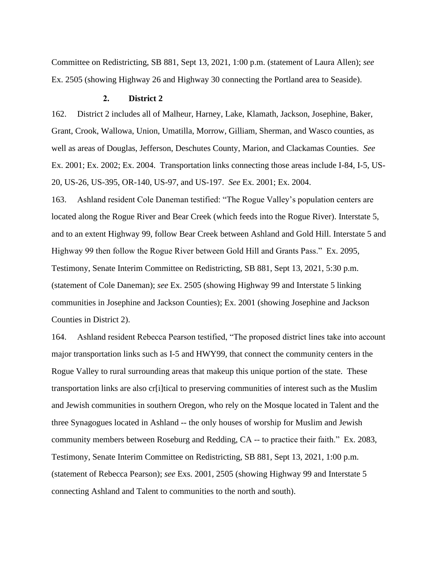Committee on Redistricting, SB 881, Sept 13, 2021, 1:00 p.m. (statement of Laura Allen); *see* Ex. 2505 (showing Highway 26 and Highway 30 connecting the Portland area to Seaside).

### **2. District 2**

162. District 2 includes all of Malheur, Harney, Lake, Klamath, Jackson, Josephine, Baker, Grant, Crook, Wallowa, Union, Umatilla, Morrow, Gilliam, Sherman, and Wasco counties, as well as areas of Douglas, Jefferson, Deschutes County, Marion, and Clackamas Counties. *See* Ex. 2001; Ex. 2002; Ex. 2004. Transportation links connecting those areas include I-84, I-5, US-20, US-26, US-395, OR-140, US-97, and US-197. *See* Ex. 2001; Ex. 2004.

163. Ashland resident Cole Daneman testified: "The Rogue Valley's population centers are located along the Rogue River and Bear Creek (which feeds into the Rogue River). Interstate 5, and to an extent Highway 99, follow Bear Creek between Ashland and Gold Hill. Interstate 5 and Highway 99 then follow the Rogue River between Gold Hill and Grants Pass." Ex. 2095, Testimony, Senate Interim Committee on Redistricting, SB 881, Sept 13, 2021, 5:30 p.m. (statement of Cole Daneman); *see* Ex. 2505 (showing Highway 99 and Interstate 5 linking communities in Josephine and Jackson Counties); Ex. 2001 (showing Josephine and Jackson Counties in District 2).

164. Ashland resident Rebecca Pearson testified, "The proposed district lines take into account major transportation links such as I-5 and HWY99, that connect the community centers in the Rogue Valley to rural surrounding areas that makeup this unique portion of the state. These transportation links are also cr[i]tical to preserving communities of interest such as the Muslim and Jewish communities in southern Oregon, who rely on the Mosque located in Talent and the three Synagogues located in Ashland -- the only houses of worship for Muslim and Jewish community members between Roseburg and Redding, CA -- to practice their faith." Ex. 2083, Testimony, Senate Interim Committee on Redistricting, SB 881, Sept 13, 2021, 1:00 p.m. (statement of Rebecca Pearson); *see* Exs. 2001, 2505 (showing Highway 99 and Interstate 5 connecting Ashland and Talent to communities to the north and south).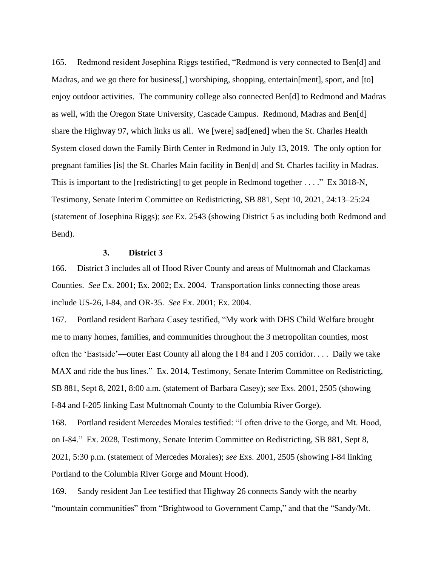165. Redmond resident Josephina Riggs testified, "Redmond is very connected to Ben[d] and Madras, and we go there for business[,] worshiping, shopping, entertain[ment], sport, and [to] enjoy outdoor activities. The community college also connected Ben[d] to Redmond and Madras as well, with the Oregon State University, Cascade Campus. Redmond, Madras and Ben[d] share the Highway 97, which links us all. We [were] sad[ened] when the St. Charles Health System closed down the Family Birth Center in Redmond in July 13, 2019. The only option for pregnant families [is] the St. Charles Main facility in Ben[d] and St. Charles facility in Madras. This is important to the [redistricting] to get people in Redmond together . . . ." Ex 3018-N, Testimony, Senate Interim Committee on Redistricting, SB 881, Sept 10, 2021, 24:13–25:24 (statement of Josephina Riggs); *see* Ex. 2543 (showing District 5 as including both Redmond and Bend).

## **3. District 3**

166. District 3 includes all of Hood River County and areas of Multnomah and Clackamas Counties. *See* Ex. 2001; Ex. 2002; Ex. 2004. Transportation links connecting those areas include US-26, I-84, and OR-35. *See* Ex. 2001; Ex. 2004.

167. Portland resident Barbara Casey testified, "My work with DHS Child Welfare brought me to many homes, families, and communities throughout the 3 metropolitan counties, most often the 'Eastside'—outer East County all along the I 84 and I 205 corridor. . . . Daily we take MAX and ride the bus lines." Ex. 2014, Testimony, Senate Interim Committee on Redistricting, SB 881, Sept 8, 2021, 8:00 a.m. (statement of Barbara Casey); *see* Exs. 2001, 2505 (showing I-84 and I-205 linking East Multnomah County to the Columbia River Gorge).

168. Portland resident Mercedes Morales testified: "I often drive to the Gorge, and Mt. Hood, on I-84." Ex. 2028, Testimony, Senate Interim Committee on Redistricting, SB 881, Sept 8, 2021, 5:30 p.m. (statement of Mercedes Morales); *see* Exs. 2001, 2505 (showing I-84 linking Portland to the Columbia River Gorge and Mount Hood).

169. Sandy resident Jan Lee testified that Highway 26 connects Sandy with the nearby "mountain communities" from "Brightwood to Government Camp," and that the "Sandy/Mt.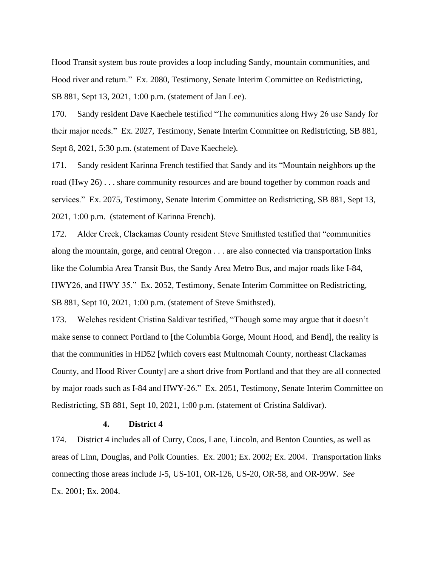Hood Transit system bus route provides a loop including Sandy, mountain communities, and Hood river and return." Ex. 2080, Testimony, Senate Interim Committee on Redistricting, SB 881, Sept 13, 2021, 1:00 p.m. (statement of Jan Lee).

170. Sandy resident Dave Kaechele testified "The communities along Hwy 26 use Sandy for their major needs." Ex. 2027, Testimony, Senate Interim Committee on Redistricting, SB 881, Sept 8, 2021, 5:30 p.m. (statement of Dave Kaechele).

171. Sandy resident Karinna French testified that Sandy and its "Mountain neighbors up the road (Hwy 26) . . . share community resources and are bound together by common roads and services." Ex. 2075, Testimony, Senate Interim Committee on Redistricting, SB 881, Sept 13, 2021, 1:00 p.m. (statement of Karinna French).

172. Alder Creek, Clackamas County resident Steve Smithsted testified that "communities along the mountain, gorge, and central Oregon . . . are also connected via transportation links like the Columbia Area Transit Bus, the Sandy Area Metro Bus, and major roads like I-84, HWY26, and HWY 35." Ex. 2052, Testimony, Senate Interim Committee on Redistricting, SB 881, Sept 10, 2021, 1:00 p.m. (statement of Steve Smithsted).

173. Welches resident Cristina Saldivar testified, "Though some may argue that it doesn't make sense to connect Portland to [the Columbia Gorge, Mount Hood, and Bend], the reality is that the communities in HD52 [which covers east Multnomah County, northeast Clackamas County, and Hood River County] are a short drive from Portland and that they are all connected by major roads such as I-84 and HWY-26." Ex. 2051, Testimony, Senate Interim Committee on Redistricting, SB 881, Sept 10, 2021, 1:00 p.m. (statement of Cristina Saldivar).

#### **4. District 4**

174. District 4 includes all of Curry, Coos, Lane, Lincoln, and Benton Counties, as well as areas of Linn, Douglas, and Polk Counties. Ex. 2001; Ex. 2002; Ex. 2004. Transportation links connecting those areas include I-5, US-101, OR-126, US-20, OR-58, and OR-99W. *See* Ex. 2001; Ex. 2004.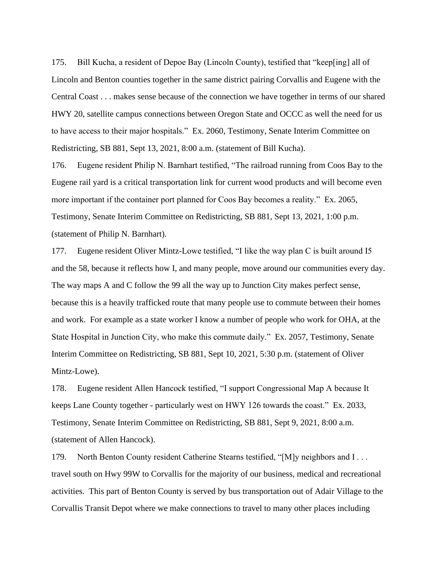175. Bill Kucha, a resident of Depoe Bay (Lincoln County), testified that "keep[ing] all of Lincoln and Benton counties together in the same district pairing Corvallis and Eugene with the Central Coast . . . makes sense because of the connection we have together in terms of our shared HWY 20, satellite campus connections between Oregon State and OCCC as well the need for us to have access to their major hospitals." Ex. 2060, Testimony, Senate Interim Committee on Redistricting, SB 881, Sept 13, 2021, 8:00 a.m. (statement of Bill Kucha).

176. Eugene resident Philip N. Barnhart testified, "The railroad running from Coos Bay to the Eugene rail yard is a critical transportation link for current wood products and will become even more important if the container port planned for Coos Bay becomes a reality." Ex. 2065, Testimony, Senate Interim Committee on Redistricting, SB 881, Sept 13, 2021, 1:00 p.m. (statement of Philip N. Barnhart).

177. Eugene resident Oliver Mintz-Lowe testified, "I like the way plan C is built around I5 and the 58, because it reflects how I, and many people, move around our communities every day. The way maps A and C follow the 99 all the way up to Junction City makes perfect sense, because this is a heavily trafficked route that many people use to commute between their homes and work. For example as a state worker I know a number of people who work for OHA, at the State Hospital in Junction City, who make this commute daily." Ex. 2057, Testimony, Senate Interim Committee on Redistricting, SB 881, Sept 10, 2021, 5:30 p.m. (statement of Oliver Mintz-Lowe).

178. Eugene resident Allen Hancock testified, "I support Congressional Map A because It keeps Lane County together - particularly west on HWY 126 towards the coast." Ex. 2033, Testimony, Senate Interim Committee on Redistricting, SB 881, Sept 9, 2021, 8:00 a.m. (statement of Allen Hancock).

179. North Benton County resident Catherine Stearns testified, "[M]y neighbors and I . . . travel south on Hwy 99W to Corvallis for the majority of our business, medical and recreational activities. This part of Benton County is served by bus transportation out of Adair Village to the Corvallis Transit Depot where we make connections to travel to many other places including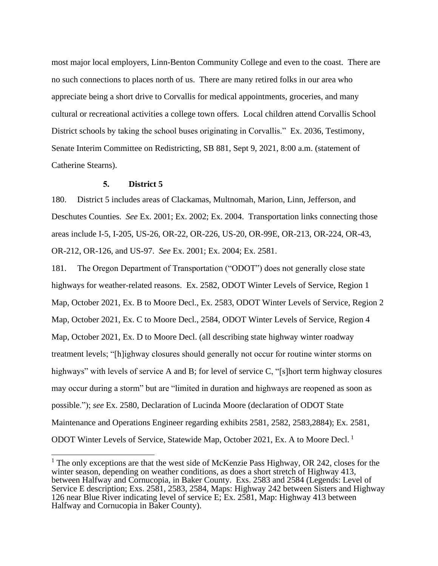most major local employers, Linn-Benton Community College and even to the coast. There are no such connections to places north of us. There are many retired folks in our area who appreciate being a short drive to Corvallis for medical appointments, groceries, and many cultural or recreational activities a college town offers. Local children attend Corvallis School District schools by taking the school buses originating in Corvallis." Ex. 2036, Testimony, Senate Interim Committee on Redistricting, SB 881, Sept 9, 2021, 8:00 a.m. (statement of Catherine Stearns).

#### **5. District 5**

180. District 5 includes areas of Clackamas, Multnomah, Marion, Linn, Jefferson, and Deschutes Counties. *See* Ex. 2001; Ex. 2002; Ex. 2004. Transportation links connecting those areas include I-5, I-205, US-26, OR-22, OR-226, US-20, OR-99E, OR-213, OR-224, OR-43, OR-212, OR-126, and US-97. *See* Ex. 2001; Ex. 2004; Ex. 2581.

181. The Oregon Department of Transportation ("ODOT") does not generally close state highways for weather-related reasons. Ex. 2582, ODOT Winter Levels of Service, Region 1 Map, October 2021, Ex. B to Moore Decl., Ex. 2583, ODOT Winter Levels of Service, Region 2 Map, October 2021, Ex. C to Moore Decl., 2584, ODOT Winter Levels of Service, Region 4 Map, October 2021, Ex. D to Moore Decl. (all describing state highway winter roadway treatment levels; "[h]ighway closures should generally not occur for routine winter storms on highways" with levels of service A and B; for level of service C, "[s]hort term highway closures may occur during a storm" but are "limited in duration and highways are reopened as soon as possible."); *see* Ex. 2580, Declaration of Lucinda Moore (declaration of ODOT State Maintenance and Operations Engineer regarding exhibits 2581, 2582, 2583,2884); Ex. 2581, ODOT Winter Levels of Service, Statewide Map, October 2021, Ex. A to Moore Decl. <sup>1</sup>

<sup>&</sup>lt;sup>1</sup> The only exceptions are that the west side of McKenzie Pass Highway, OR 242, closes for the winter season, depending on weather conditions, as does a short stretch of Highway 413, between Halfway and Cornucopia, in Baker County. Exs. 2583 and 2584 (Legends: Level of Service E description; Exs. 2581, 2583, 2584, Maps: Highway 242 between Sisters and Highway 126 near Blue River indicating level of service E; Ex. 2581, Map: Highway 413 between Halfway and Cornucopia in Baker County).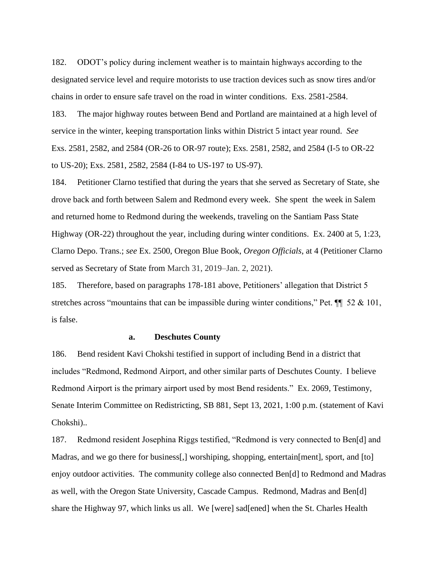182. ODOT's policy during inclement weather is to maintain highways according to the designated service level and require motorists to use traction devices such as snow tires and/or chains in order to ensure safe travel on the road in winter conditions. Exs. 2581-2584.

183. The major highway routes between Bend and Portland are maintained at a high level of service in the winter, keeping transportation links within District 5 intact year round. *See*  Exs. 2581, 2582, and 2584 (OR-26 to OR-97 route); Exs. 2581, 2582, and 2584 (I-5 to OR-22 to US-20); Exs. 2581, 2582, 2584 (I-84 to US-197 to US-97).

184. Petitioner Clarno testified that during the years that she served as Secretary of State, she drove back and forth between Salem and Redmond every week. She spent the week in Salem and returned home to Redmond during the weekends, traveling on the Santiam Pass State Highway (OR-22) throughout the year, including during winter conditions. Ex. 2400 at 5, 1:23, Clarno Depo. Trans.; *see* Ex. 2500, Oregon Blue Book, *Oregon Officials*, at 4 (Petitioner Clarno served as Secretary of State from March 31, 2019–Jan. 2, 2021).

185. Therefore, based on paragraphs 178-181 above, Petitioners' allegation that District 5 stretches across "mountains that can be impassible during winter conditions," Pet.  $\P$  52 & 101, is false.

#### **a. Deschutes County**

186. Bend resident Kavi Chokshi testified in support of including Bend in a district that includes "Redmond, Redmond Airport, and other similar parts of Deschutes County. I believe Redmond Airport is the primary airport used by most Bend residents." Ex. 2069, Testimony, Senate Interim Committee on Redistricting, SB 881, Sept 13, 2021, 1:00 p.m. (statement of Kavi Chokshi)..

187. Redmond resident Josephina Riggs testified, "Redmond is very connected to Ben[d] and Madras, and we go there for business[,] worshiping, shopping, entertain[ment], sport, and [to] enjoy outdoor activities. The community college also connected Ben[d] to Redmond and Madras as well, with the Oregon State University, Cascade Campus. Redmond, Madras and Ben[d] share the Highway 97, which links us all. We [were] sad[ened] when the St. Charles Health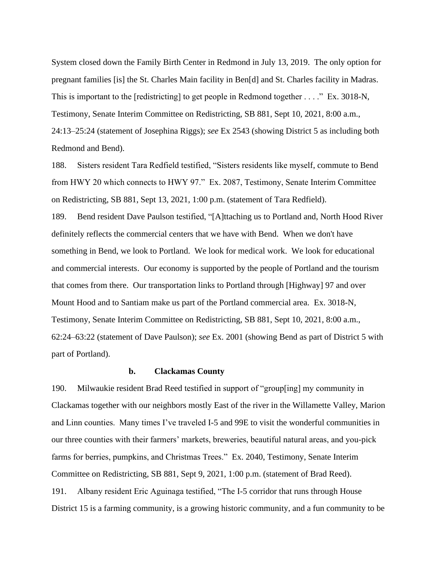System closed down the Family Birth Center in Redmond in July 13, 2019. The only option for pregnant families [is] the St. Charles Main facility in Ben[d] and St. Charles facility in Madras. This is important to the [redistricting] to get people in Redmond together . . . ." Ex. 3018-N, Testimony, Senate Interim Committee on Redistricting, SB 881, Sept 10, 2021, 8:00 a.m., 24:13–25:24 (statement of Josephina Riggs); *see* Ex 2543 (showing District 5 as including both Redmond and Bend).

188. Sisters resident Tara Redfield testified, "Sisters residents like myself, commute to Bend from HWY 20 which connects to HWY 97." Ex. 2087, Testimony, Senate Interim Committee on Redistricting, SB 881, Sept 13, 2021, 1:00 p.m. (statement of Tara Redfield).

189. Bend resident Dave Paulson testified, "[A]ttaching us to Portland and, North Hood River definitely reflects the commercial centers that we have with Bend. When we don't have something in Bend, we look to Portland. We look for medical work. We look for educational and commercial interests. Our economy is supported by the people of Portland and the tourism that comes from there. Our transportation links to Portland through [Highway] 97 and over Mount Hood and to Santiam make us part of the Portland commercial area. Ex. 3018-N, Testimony, Senate Interim Committee on Redistricting, SB 881, Sept 10, 2021, 8:00 a.m., 62:24–63:22 (statement of Dave Paulson); *see* Ex. 2001 (showing Bend as part of District 5 with part of Portland).

### **b. Clackamas County**

190. Milwaukie resident Brad Reed testified in support of "group[ing] my community in Clackamas together with our neighbors mostly East of the river in the Willamette Valley, Marion and Linn counties. Many times I've traveled I-5 and 99E to visit the wonderful communities in our three counties with their farmers' markets, breweries, beautiful natural areas, and you-pick farms for berries, pumpkins, and Christmas Trees." Ex. 2040, Testimony, Senate Interim Committee on Redistricting, SB 881, Sept 9, 2021, 1:00 p.m. (statement of Brad Reed). 191. Albany resident Eric Aguinaga testified, "The I-5 corridor that runs through House District 15 is a farming community, is a growing historic community, and a fun community to be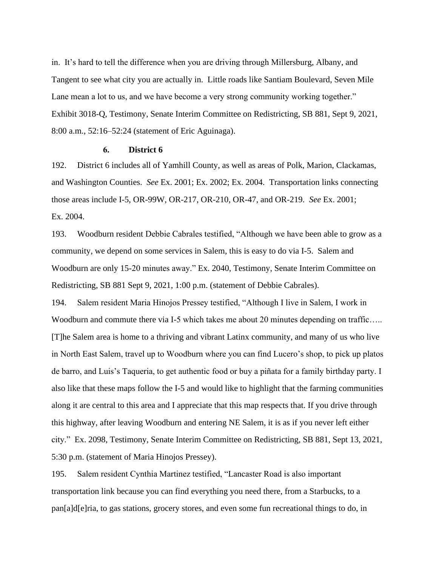in. It's hard to tell the difference when you are driving through Millersburg, Albany, and Tangent to see what city you are actually in. Little roads like Santiam Boulevard, Seven Mile Lane mean a lot to us, and we have become a very strong community working together." Exhibit 3018-Q, Testimony, Senate Interim Committee on Redistricting, SB 881, Sept 9, 2021, 8:00 a.m., 52:16–52:24 (statement of Eric Aguinaga).

#### **6. District 6**

192. District 6 includes all of Yamhill County, as well as areas of Polk, Marion, Clackamas, and Washington Counties. *See* Ex. 2001; Ex. 2002; Ex. 2004. Transportation links connecting those areas include I-5, OR-99W, OR-217, OR-210, OR-47, and OR-219. *See* Ex. 2001; Ex. 2004.

193. Woodburn resident Debbie Cabrales testified, "Although we have been able to grow as a community, we depend on some services in Salem, this is easy to do via I-5. Salem and Woodburn are only 15-20 minutes away." Ex. 2040, Testimony, Senate Interim Committee on Redistricting, SB 881 Sept 9, 2021, 1:00 p.m. (statement of Debbie Cabrales).

194. Salem resident Maria Hinojos Pressey testified, "Although I live in Salem, I work in Woodburn and commute there via I-5 which takes me about 20 minutes depending on traffic..... [T]he Salem area is home to a thriving and vibrant Latinx community, and many of us who live in North East Salem, travel up to Woodburn where you can find Lucero's shop, to pick up platos de barro, and Luis's Taqueria, to get authentic food or buy a piñata for a family birthday party. I also like that these maps follow the I-5 and would like to highlight that the farming communities along it are central to this area and I appreciate that this map respects that. If you drive through this highway, after leaving Woodburn and entering NE Salem, it is as if you never left either city." Ex. 2098, Testimony, Senate Interim Committee on Redistricting, SB 881, Sept 13, 2021, 5:30 p.m. (statement of Maria Hinojos Pressey).

195. Salem resident Cynthia Martinez testified, "Lancaster Road is also important transportation link because you can find everything you need there, from a Starbucks, to a pan[a]d[e]ria, to gas stations, grocery stores, and even some fun recreational things to do, in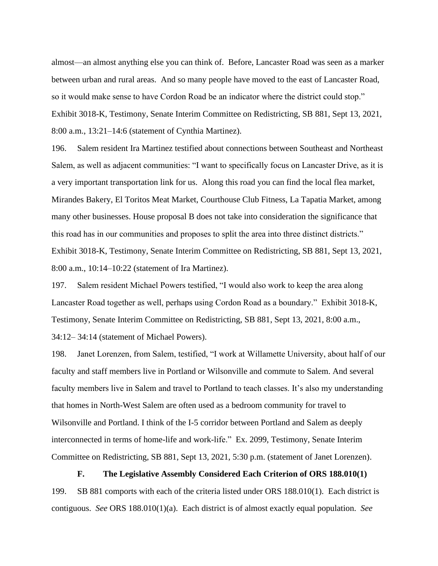almost—an almost anything else you can think of. Before, Lancaster Road was seen as a marker between urban and rural areas. And so many people have moved to the east of Lancaster Road, so it would make sense to have Cordon Road be an indicator where the district could stop." Exhibit 3018-K, Testimony, Senate Interim Committee on Redistricting, SB 881, Sept 13, 2021, 8:00 a.m., 13:21–14:6 (statement of Cynthia Martinez).

196. Salem resident Ira Martinez testified about connections between Southeast and Northeast Salem, as well as adjacent communities: "I want to specifically focus on Lancaster Drive, as it is a very important transportation link for us. Along this road you can find the local flea market, Mirandes Bakery, El Toritos Meat Market, Courthouse Club Fitness, La Tapatia Market, among many other businesses. House proposal B does not take into consideration the significance that this road has in our communities and proposes to split the area into three distinct districts." Exhibit 3018-K, Testimony, Senate Interim Committee on Redistricting, SB 881, Sept 13, 2021, 8:00 a.m., 10:14–10:22 (statement of Ira Martinez).

197. Salem resident Michael Powers testified, "I would also work to keep the area along Lancaster Road together as well, perhaps using Cordon Road as a boundary." Exhibit 3018-K, Testimony, Senate Interim Committee on Redistricting, SB 881, Sept 13, 2021, 8:00 a.m., 34:12– 34:14 (statement of Michael Powers).

198. Janet Lorenzen, from Salem, testified, "I work at Willamette University, about half of our faculty and staff members live in Portland or Wilsonville and commute to Salem. And several faculty members live in Salem and travel to Portland to teach classes. It's also my understanding that homes in North-West Salem are often used as a bedroom community for travel to Wilsonville and Portland. I think of the I-5 corridor between Portland and Salem as deeply interconnected in terms of home-life and work-life." Ex. 2099, Testimony, Senate Interim Committee on Redistricting, SB 881, Sept 13, 2021, 5:30 p.m. (statement of Janet Lorenzen).

**F. The Legislative Assembly Considered Each Criterion of ORS 188.010(1)** 199. SB 881 comports with each of the criteria listed under ORS 188.010(1). Each district is contiguous. *See* ORS 188.010(1)(a). Each district is of almost exactly equal population. *See*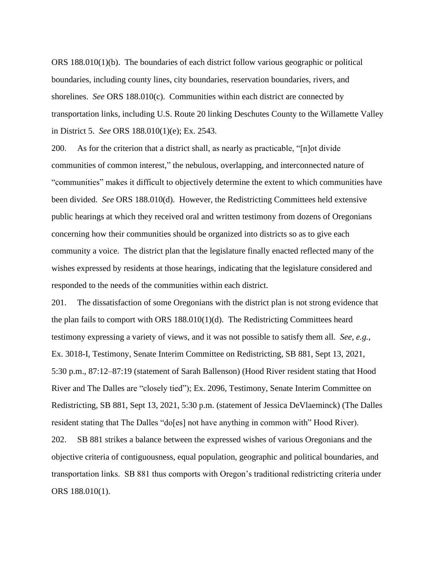ORS 188.010(1)(b). The boundaries of each district follow various geographic or political boundaries, including county lines, city boundaries, reservation boundaries, rivers, and shorelines. *See* ORS 188.010(c). Communities within each district are connected by transportation links, including U.S. Route 20 linking Deschutes County to the Willamette Valley in District 5. *See* ORS 188.010(1)(e); Ex. 2543.

200. As for the criterion that a district shall, as nearly as practicable, "[n]ot divide communities of common interest," the nebulous, overlapping, and interconnected nature of "communities" makes it difficult to objectively determine the extent to which communities have been divided. *See* ORS 188.010(d). However, the Redistricting Committees held extensive public hearings at which they received oral and written testimony from dozens of Oregonians concerning how their communities should be organized into districts so as to give each community a voice. The district plan that the legislature finally enacted reflected many of the wishes expressed by residents at those hearings, indicating that the legislature considered and responded to the needs of the communities within each district.

201. The dissatisfaction of some Oregonians with the district plan is not strong evidence that the plan fails to comport with ORS 188.010(1)(d). The Redistricting Committees heard testimony expressing a variety of views, and it was not possible to satisfy them all. *See, e.g.*, Ex. 3018-I, Testimony, Senate Interim Committee on Redistricting, SB 881, Sept 13, 2021, 5:30 p.m., 87:12–87:19 (statement of Sarah Ballenson) (Hood River resident stating that Hood River and The Dalles are "closely tied"); Ex. 2096, Testimony, Senate Interim Committee on Redistricting, SB 881, Sept 13, 2021, 5:30 p.m. (statement of Jessica DeVlaeminck) (The Dalles resident stating that The Dalles "do[es] not have anything in common with" Hood River). 202. SB 881 strikes a balance between the expressed wishes of various Oregonians and the objective criteria of contiguousness, equal population, geographic and political boundaries, and transportation links. SB 881 thus comports with Oregon's traditional redistricting criteria under ORS 188.010(1).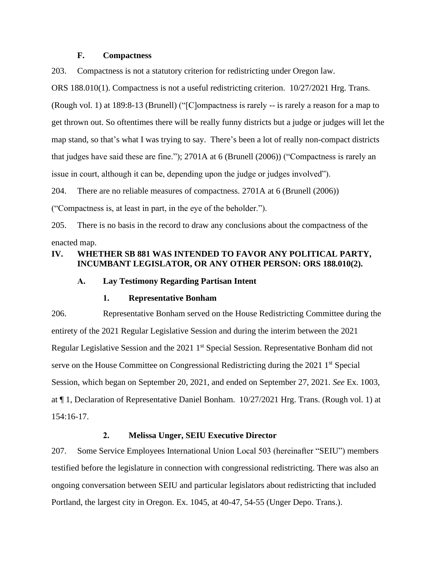#### **F. Compactness**

203. Compactness is not a statutory criterion for redistricting under Oregon law.

ORS 188.010(1). Compactness is not a useful redistricting criterion. 10/27/2021 Hrg. Trans. (Rough vol. 1) at 189:8-13 (Brunell) ("[C]ompactness is rarely -- is rarely a reason for a map to get thrown out. So oftentimes there will be really funny districts but a judge or judges will let the map stand, so that's what I was trying to say. There's been a lot of really non-compact districts that judges have said these are fine."); 2701A at 6 (Brunell (2006)) ("Compactness is rarely an issue in court, although it can be, depending upon the judge or judges involved").

204. There are no reliable measures of compactness. 2701A at 6 (Brunell (2006))

("Compactness is, at least in part, in the eye of the beholder.").

205. There is no basis in the record to draw any conclusions about the compactness of the enacted map.

## **IV. WHETHER SB 881 WAS INTENDED TO FAVOR ANY POLITICAL PARTY, INCUMBANT LEGISLATOR, OR ANY OTHER PERSON: ORS 188.010(2).**

## **A. Lay Testimony Regarding Partisan Intent**

#### **1. Representative Bonham**

206. Representative Bonham served on the House Redistricting Committee during the entirety of the 2021 Regular Legislative Session and during the interim between the 2021 Regular Legislative Session and the 2021 1<sup>st</sup> Special Session. Representative Bonham did not serve on the House Committee on Congressional Redistricting during the 2021 1<sup>st</sup> Special Session, which began on September 20, 2021, and ended on September 27, 2021. *See* Ex. 1003, at ¶ 1, Declaration of Representative Daniel Bonham. 10/27/2021 Hrg. Trans. (Rough vol. 1) at 154:16-17.

## **2. Melissa Unger, SEIU Executive Director**

207. Some Service Employees International Union Local 503 (hereinafter "SEIU") members testified before the legislature in connection with congressional redistricting. There was also an ongoing conversation between SEIU and particular legislators about redistricting that included Portland, the largest city in Oregon. Ex. 1045, at 40-47, 54-55 (Unger Depo. Trans.).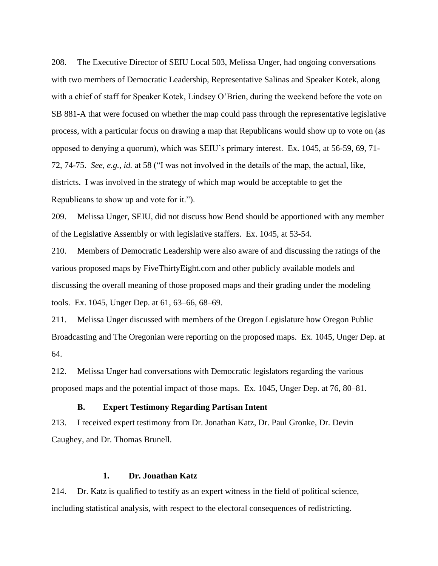208. The Executive Director of SEIU Local 503, Melissa Unger, had ongoing conversations with two members of Democratic Leadership, Representative Salinas and Speaker Kotek, along with a chief of staff for Speaker Kotek, Lindsey O'Brien, during the weekend before the vote on SB 881-A that were focused on whether the map could pass through the representative legislative process, with a particular focus on drawing a map that Republicans would show up to vote on (as opposed to denying a quorum), which was SEIU's primary interest. Ex. 1045, at 56-59, 69, 71- 72, 74-75. *See, e.g., id.* at 58 ("I was not involved in the details of the map, the actual, like, districts. I was involved in the strategy of which map would be acceptable to get the Republicans to show up and vote for it.").

209. Melissa Unger, SEIU, did not discuss how Bend should be apportioned with any member of the Legislative Assembly or with legislative staffers. Ex. 1045, at 53-54.

210. Members of Democratic Leadership were also aware of and discussing the ratings of the various proposed maps by FiveThirtyEight.com and other publicly available models and discussing the overall meaning of those proposed maps and their grading under the modeling tools. Ex. 1045, Unger Dep. at 61, 63–66, 68–69.

211. Melissa Unger discussed with members of the Oregon Legislature how Oregon Public Broadcasting and The Oregonian were reporting on the proposed maps. Ex. 1045, Unger Dep. at 64.

212. Melissa Unger had conversations with Democratic legislators regarding the various proposed maps and the potential impact of those maps. Ex. 1045, Unger Dep. at 76, 80–81.

## **B. Expert Testimony Regarding Partisan Intent**

213. I received expert testimony from Dr. Jonathan Katz, Dr. Paul Gronke, Dr. Devin Caughey, and Dr. Thomas Brunell.

## **1. Dr. Jonathan Katz**

214. Dr. Katz is qualified to testify as an expert witness in the field of political science, including statistical analysis, with respect to the electoral consequences of redistricting.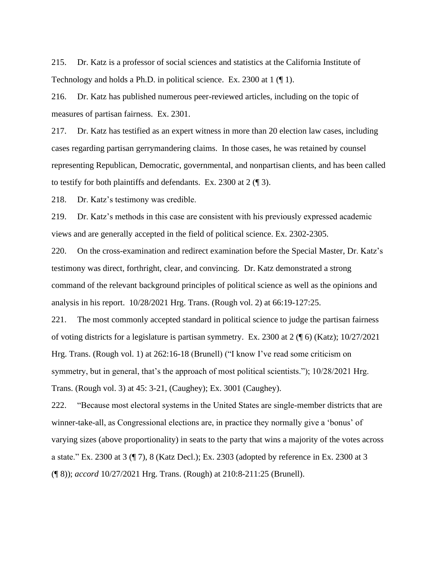215. Dr. Katz is a professor of social sciences and statistics at the California Institute of Technology and holds a Ph.D. in political science. Ex. 2300 at 1 (¶ 1).

216. Dr. Katz has published numerous peer-reviewed articles, including on the topic of measures of partisan fairness. Ex. 2301.

217. Dr. Katz has testified as an expert witness in more than 20 election law cases, including cases regarding partisan gerrymandering claims. In those cases, he was retained by counsel representing Republican, Democratic, governmental, and nonpartisan clients, and has been called to testify for both plaintiffs and defendants. Ex. 2300 at 2 (¶ 3).

218. Dr. Katz's testimony was credible.

219. Dr. Katz's methods in this case are consistent with his previously expressed academic views and are generally accepted in the field of political science. Ex. 2302-2305.

220. On the cross-examination and redirect examination before the Special Master, Dr. Katz's testimony was direct, forthright, clear, and convincing. Dr. Katz demonstrated a strong command of the relevant background principles of political science as well as the opinions and analysis in his report. 10/28/2021 Hrg. Trans. (Rough vol. 2) at 66:19-127:25.

221. The most commonly accepted standard in political science to judge the partisan fairness of voting districts for a legislature is partisan symmetry. Ex. 2300 at 2 (¶ 6) (Katz); 10/27/2021 Hrg. Trans. (Rough vol. 1) at 262:16-18 (Brunell) ("I know I've read some criticism on symmetry, but in general, that's the approach of most political scientists."); 10/28/2021 Hrg. Trans. (Rough vol. 3) at 45: 3-21, (Caughey); Ex. 3001 (Caughey).

222. "Because most electoral systems in the United States are single-member districts that are winner-take-all, as Congressional elections are, in practice they normally give a 'bonus' of varying sizes (above proportionality) in seats to the party that wins a majority of the votes across a state." Ex. 2300 at 3 (¶ 7), 8 (Katz Decl.); Ex. 2303 (adopted by reference in Ex. 2300 at 3 (¶ 8)); *accord* 10/27/2021 Hrg. Trans. (Rough) at 210:8-211:25 (Brunell).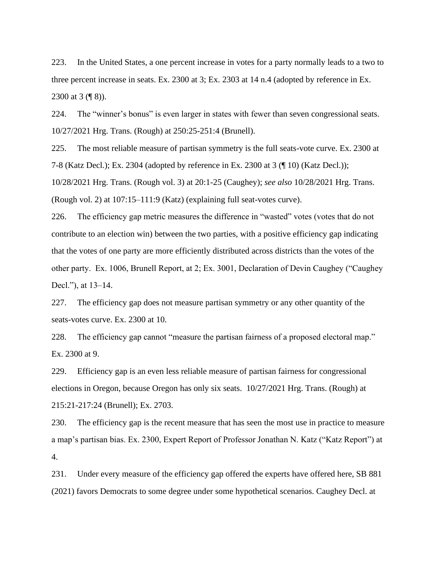223. In the United States, a one percent increase in votes for a party normally leads to a two to three percent increase in seats. Ex. 2300 at 3; Ex. 2303 at 14 n.4 (adopted by reference in Ex. 2300 at 3 (¶ 8)).

224. The "winner's bonus" is even larger in states with fewer than seven congressional seats. 10/27/2021 Hrg. Trans. (Rough) at 250:25-251:4 (Brunell).

225. The most reliable measure of partisan symmetry is the full seats-vote curve. Ex. 2300 at 7-8 (Katz Decl.); Ex. 2304 (adopted by reference in Ex. 2300 at 3 (¶ 10) (Katz Decl.)); 10/28/2021 Hrg. Trans. (Rough vol. 3) at 20:1-25 (Caughey); *see also* 10/28/2021 Hrg. Trans.

(Rough vol. 2) at 107:15–111:9 (Katz) (explaining full seat-votes curve).

226. The efficiency gap metric measures the difference in "wasted" votes (votes that do not contribute to an election win) between the two parties, with a positive efficiency gap indicating that the votes of one party are more efficiently distributed across districts than the votes of the other party. Ex. 1006, Brunell Report, at 2; Ex. 3001, Declaration of Devin Caughey ("Caughey Decl."), at 13–14.

227. The efficiency gap does not measure partisan symmetry or any other quantity of the seats-votes curve. Ex. 2300 at 10.

228. The efficiency gap cannot "measure the partisan fairness of a proposed electoral map." Ex. 2300 at 9.

229. Efficiency gap is an even less reliable measure of partisan fairness for congressional elections in Oregon, because Oregon has only six seats. 10/27/2021 Hrg. Trans. (Rough) at 215:21-217:24 (Brunell); Ex. 2703.

230. The efficiency gap is the recent measure that has seen the most use in practice to measure a map's partisan bias. Ex. 2300, Expert Report of Professor Jonathan N. Katz ("Katz Report") at 4.

231. Under every measure of the efficiency gap offered the experts have offered here, SB 881 (2021) favors Democrats to some degree under some hypothetical scenarios. Caughey Decl. at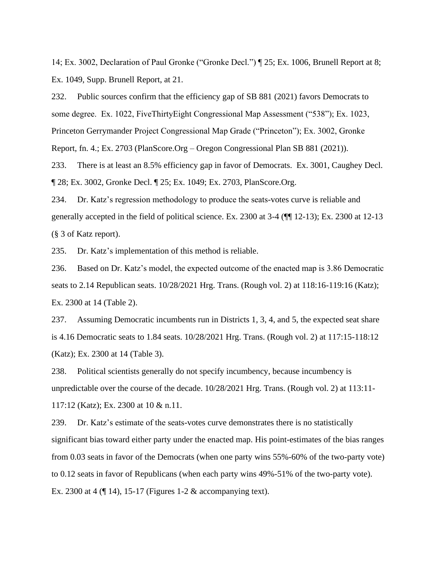14; Ex. 3002, Declaration of Paul Gronke ("Gronke Decl.") ¶ 25; Ex. 1006, Brunell Report at 8; Ex. 1049, Supp. Brunell Report, at 21.

232. Public sources confirm that the efficiency gap of SB 881 (2021) favors Democrats to some degree. Ex. 1022, FiveThirtyEight Congressional Map Assessment ("538"); Ex. 1023, Princeton Gerrymander Project Congressional Map Grade ("Princeton"); Ex. 3002, Gronke Report, fn. 4.; Ex. 2703 (PlanScore.Org – Oregon Congressional Plan SB 881 (2021)).

233. There is at least an 8.5% efficiency gap in favor of Democrats. Ex. 3001, Caughey Decl. ¶ 28; Ex. 3002, Gronke Decl. ¶ 25; Ex. 1049; Ex. 2703, PlanScore.Org.

234. Dr. Katz's regression methodology to produce the seats-votes curve is reliable and generally accepted in the field of political science. Ex. 2300 at 3-4 (¶¶ 12-13); Ex. 2300 at 12-13 (§ 3 of Katz report).

235. Dr. Katz's implementation of this method is reliable.

236. Based on Dr. Katz's model, the expected outcome of the enacted map is 3.86 Democratic seats to 2.14 Republican seats. 10/28/2021 Hrg. Trans. (Rough vol. 2) at 118:16-119:16 (Katz); Ex. 2300 at 14 (Table 2).

237. Assuming Democratic incumbents run in Districts 1, 3, 4, and 5, the expected seat share is 4.16 Democratic seats to 1.84 seats. 10/28/2021 Hrg. Trans. (Rough vol. 2) at 117:15-118:12 (Katz); Ex. 2300 at 14 (Table 3).

238. Political scientists generally do not specify incumbency, because incumbency is unpredictable over the course of the decade. 10/28/2021 Hrg. Trans. (Rough vol. 2) at 113:11- 117:12 (Katz); Ex. 2300 at 10 & n.11.

239. Dr. Katz's estimate of the seats-votes curve demonstrates there is no statistically significant bias toward either party under the enacted map. His point-estimates of the bias ranges from 0.03 seats in favor of the Democrats (when one party wins 55%-60% of the two-party vote) to 0.12 seats in favor of Republicans (when each party wins 49%-51% of the two-party vote). Ex. 2300 at 4 (¶ 14), 15-17 (Figures 1-2 & accompanying text).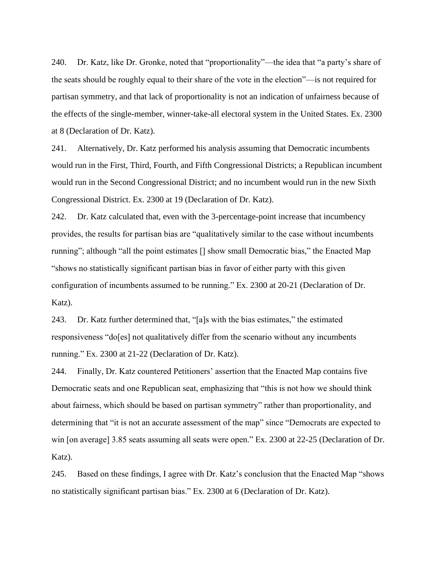240. Dr. Katz, like Dr. Gronke, noted that "proportionality"—the idea that "a party's share of the seats should be roughly equal to their share of the vote in the election"—is not required for partisan symmetry, and that lack of proportionality is not an indication of unfairness because of the effects of the single-member, winner-take-all electoral system in the United States. Ex. 2300 at 8 (Declaration of Dr. Katz).

241. Alternatively, Dr. Katz performed his analysis assuming that Democratic incumbents would run in the First, Third, Fourth, and Fifth Congressional Districts; a Republican incumbent would run in the Second Congressional District; and no incumbent would run in the new Sixth Congressional District. Ex. 2300 at 19 (Declaration of Dr. Katz).

242. Dr. Katz calculated that, even with the 3-percentage-point increase that incumbency provides, the results for partisan bias are "qualitatively similar to the case without incumbents running"; although "all the point estimates [] show small Democratic bias," the Enacted Map "shows no statistically significant partisan bias in favor of either party with this given configuration of incumbents assumed to be running." Ex. 2300 at 20-21 (Declaration of Dr. Katz).

243. Dr. Katz further determined that, "[a]s with the bias estimates," the estimated responsiveness "do[es] not qualitatively differ from the scenario without any incumbents running." Ex. 2300 at 21-22 (Declaration of Dr. Katz).

244. Finally, Dr. Katz countered Petitioners' assertion that the Enacted Map contains five Democratic seats and one Republican seat, emphasizing that "this is not how we should think about fairness, which should be based on partisan symmetry" rather than proportionality, and determining that "it is not an accurate assessment of the map" since "Democrats are expected to win [on average] 3.85 seats assuming all seats were open." Ex. 2300 at 22-25 (Declaration of Dr. Katz).

245. Based on these findings, I agree with Dr. Katz's conclusion that the Enacted Map "shows no statistically significant partisan bias." Ex. 2300 at 6 (Declaration of Dr. Katz).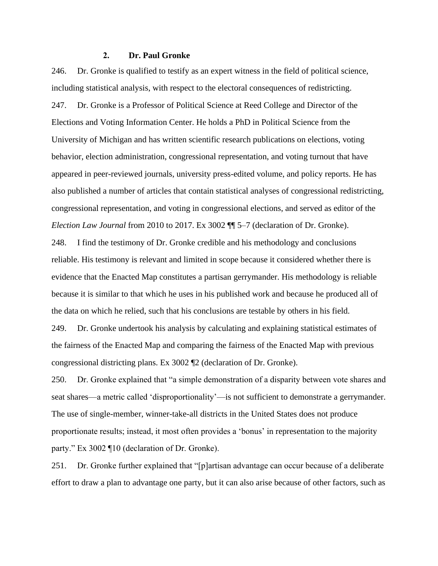### **2. Dr. Paul Gronke**

246. Dr. Gronke is qualified to testify as an expert witness in the field of political science, including statistical analysis, with respect to the electoral consequences of redistricting. 247. Dr. Gronke is a Professor of Political Science at Reed College and Director of the Elections and Voting Information Center. He holds a PhD in Political Science from the University of Michigan and has written scientific research publications on elections, voting behavior, election administration, congressional representation, and voting turnout that have appeared in peer-reviewed journals, university press-edited volume, and policy reports. He has also published a number of articles that contain statistical analyses of congressional redistricting, congressional representation, and voting in congressional elections, and served as editor of the *Election Law Journal* from 2010 to 2017. Ex 3002 ¶¶ 5–7 (declaration of Dr. Gronke).

248. I find the testimony of Dr. Gronke credible and his methodology and conclusions reliable. His testimony is relevant and limited in scope because it considered whether there is evidence that the Enacted Map constitutes a partisan gerrymander. His methodology is reliable because it is similar to that which he uses in his published work and because he produced all of the data on which he relied, such that his conclusions are testable by others in his field.

249. Dr. Gronke undertook his analysis by calculating and explaining statistical estimates of the fairness of the Enacted Map and comparing the fairness of the Enacted Map with previous congressional districting plans. Ex 3002 ¶2 (declaration of Dr. Gronke).

250. Dr. Gronke explained that "a simple demonstration of a disparity between vote shares and seat shares—a metric called 'disproportionality'—is not sufficient to demonstrate a gerrymander. The use of single-member, winner-take-all districts in the United States does not produce proportionate results; instead, it most often provides a 'bonus' in representation to the majority party." Ex 3002 ¶10 (declaration of Dr. Gronke).

251. Dr. Gronke further explained that "[p]artisan advantage can occur because of a deliberate effort to draw a plan to advantage one party, but it can also arise because of other factors, such as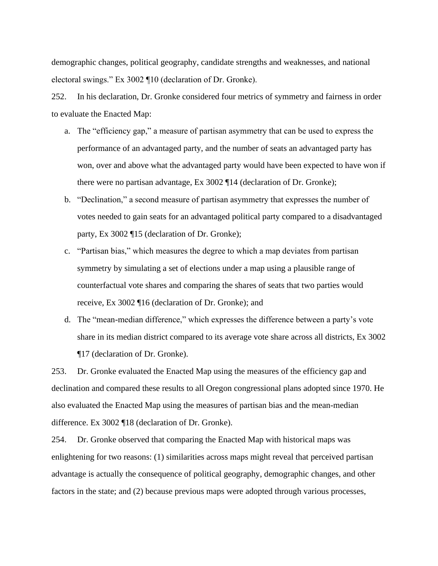demographic changes, political geography, candidate strengths and weaknesses, and national electoral swings." Ex 3002 ¶10 (declaration of Dr. Gronke).

252. In his declaration, Dr. Gronke considered four metrics of symmetry and fairness in order to evaluate the Enacted Map:

- a. The "efficiency gap," a measure of partisan asymmetry that can be used to express the performance of an advantaged party, and the number of seats an advantaged party has won, over and above what the advantaged party would have been expected to have won if there were no partisan advantage, Ex 3002 ¶14 (declaration of Dr. Gronke);
- b. "Declination," a second measure of partisan asymmetry that expresses the number of votes needed to gain seats for an advantaged political party compared to a disadvantaged party, Ex 3002 ¶15 (declaration of Dr. Gronke);
- c. "Partisan bias," which measures the degree to which a map deviates from partisan symmetry by simulating a set of elections under a map using a plausible range of counterfactual vote shares and comparing the shares of seats that two parties would receive, Ex 3002 ¶16 (declaration of Dr. Gronke); and
- d. The "mean-median difference," which expresses the difference between a party's vote share in its median district compared to its average vote share across all districts, Ex 3002 ¶17 (declaration of Dr. Gronke).

253. Dr. Gronke evaluated the Enacted Map using the measures of the efficiency gap and declination and compared these results to all Oregon congressional plans adopted since 1970. He also evaluated the Enacted Map using the measures of partisan bias and the mean-median difference. Ex 3002 ¶18 (declaration of Dr. Gronke).

254. Dr. Gronke observed that comparing the Enacted Map with historical maps was enlightening for two reasons: (1) similarities across maps might reveal that perceived partisan advantage is actually the consequence of political geography, demographic changes, and other factors in the state; and (2) because previous maps were adopted through various processes,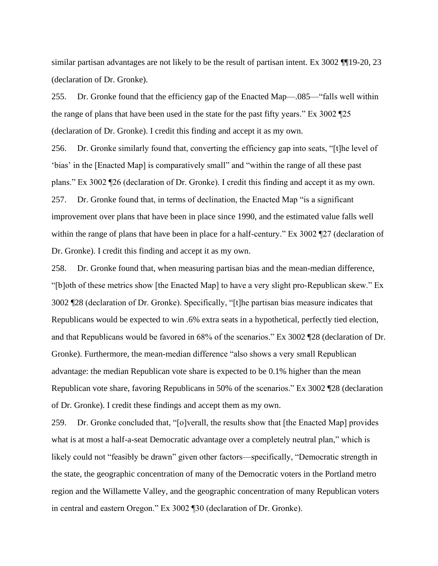similar partisan advantages are not likely to be the result of partisan intent. Ex 3002 ¶¶19-20, 23 (declaration of Dr. Gronke).

255. Dr. Gronke found that the efficiency gap of the Enacted Map—.085—"falls well within the range of plans that have been used in the state for the past fifty years." Ex 3002 ¶25 (declaration of Dr. Gronke). I credit this finding and accept it as my own.

256. Dr. Gronke similarly found that, converting the efficiency gap into seats, "[t]he level of 'bias' in the [Enacted Map] is comparatively small" and "within the range of all these past plans." Ex 3002 ¶26 (declaration of Dr. Gronke). I credit this finding and accept it as my own. 257. Dr. Gronke found that, in terms of declination, the Enacted Map "is a significant improvement over plans that have been in place since 1990, and the estimated value falls well within the range of plans that have been in place for a half-century." Ex 3002 ¶27 (declaration of Dr. Gronke). I credit this finding and accept it as my own.

258. Dr. Gronke found that, when measuring partisan bias and the mean-median difference, "[b]oth of these metrics show [the Enacted Map] to have a very slight pro-Republican skew." Ex 3002 ¶28 (declaration of Dr. Gronke). Specifically, "[t]he partisan bias measure indicates that Republicans would be expected to win .6% extra seats in a hypothetical, perfectly tied election, and that Republicans would be favored in 68% of the scenarios." Ex 3002 ¶28 (declaration of Dr. Gronke). Furthermore, the mean-median difference "also shows a very small Republican advantage: the median Republican vote share is expected to be 0.1% higher than the mean Republican vote share, favoring Republicans in 50% of the scenarios." Ex 3002 ¶28 (declaration of Dr. Gronke). I credit these findings and accept them as my own.

259. Dr. Gronke concluded that, "[o]verall, the results show that [the Enacted Map] provides what is at most a half-a-seat Democratic advantage over a completely neutral plan," which is likely could not "feasibly be drawn" given other factors—specifically, "Democratic strength in the state, the geographic concentration of many of the Democratic voters in the Portland metro region and the Willamette Valley, and the geographic concentration of many Republican voters in central and eastern Oregon." Ex 3002 ¶30 (declaration of Dr. Gronke).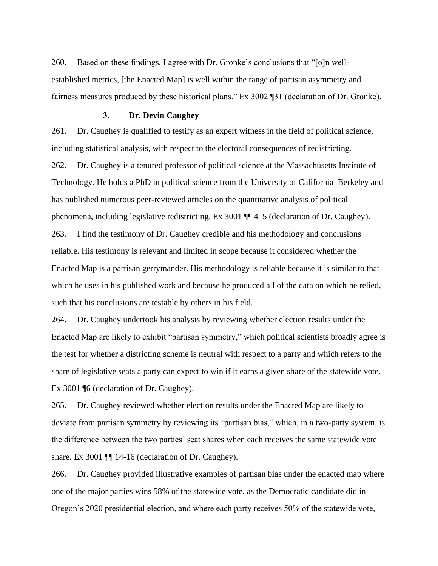260. Based on these findings, I agree with Dr. Gronke's conclusions that "[o]n wellestablished metrics, [the Enacted Map] is well within the range of partisan asymmetry and fairness measures produced by these historical plans." Ex 3002 ¶31 (declaration of Dr. Gronke).

#### **3. Dr. Devin Caughey**

261. Dr. Caughey is qualified to testify as an expert witness in the field of political science, including statistical analysis, with respect to the electoral consequences of redistricting. 262. Dr. Caughey is a tenured professor of political science at the Massachusetts Institute of Technology. He holds a PhD in political science from the University of California–Berkeley and has published numerous peer-reviewed articles on the quantitative analysis of political phenomena, including legislative redistricting. Ex 3001 ¶¶ 4–5 (declaration of Dr. Caughey). 263. I find the testimony of Dr. Caughey credible and his methodology and conclusions reliable. His testimony is relevant and limited in scope because it considered whether the Enacted Map is a partisan gerrymander. His methodology is reliable because it is similar to that which he uses in his published work and because he produced all of the data on which he relied, such that his conclusions are testable by others in his field.

264. Dr. Caughey undertook his analysis by reviewing whether election results under the Enacted Map are likely to exhibit "partisan symmetry," which political scientists broadly agree is the test for whether a districting scheme is neutral with respect to a party and which refers to the share of legislative seats a party can expect to win if it earns a given share of the statewide vote. Ex 3001 ¶6 (declaration of Dr. Caughey).

265. Dr. Caughey reviewed whether election results under the Enacted Map are likely to deviate from partisan symmetry by reviewing its "partisan bias," which, in a two-party system, is the difference between the two parties' seat shares when each receives the same statewide vote share. Ex 3001  $\P$  14-16 (declaration of Dr. Caughey).

266. Dr. Caughey provided illustrative examples of partisan bias under the enacted map where one of the major parties wins 58% of the statewide vote, as the Democratic candidate did in Oregon's 2020 presidential election, and where each party receives 50% of the statewide vote,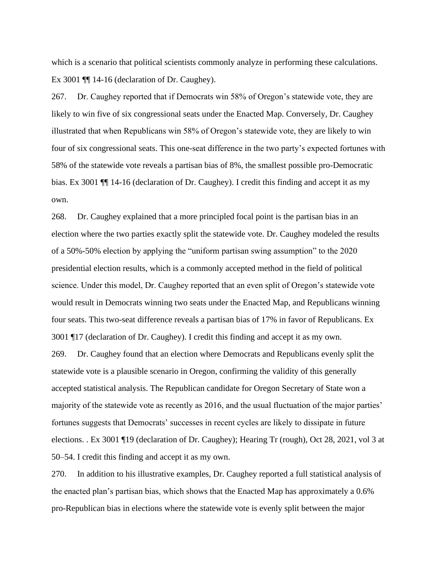which is a scenario that political scientists commonly analyze in performing these calculations. Ex 3001 ¶¶ 14-16 (declaration of Dr. Caughey).

267. Dr. Caughey reported that if Democrats win 58% of Oregon's statewide vote, they are likely to win five of six congressional seats under the Enacted Map. Conversely, Dr. Caughey illustrated that when Republicans win 58% of Oregon's statewide vote, they are likely to win four of six congressional seats. This one-seat difference in the two party's expected fortunes with 58% of the statewide vote reveals a partisan bias of 8%, the smallest possible pro-Democratic bias. Ex 3001 ¶¶ 14-16 (declaration of Dr. Caughey). I credit this finding and accept it as my own.

268. Dr. Caughey explained that a more principled focal point is the partisan bias in an election where the two parties exactly split the statewide vote. Dr. Caughey modeled the results of a 50%-50% election by applying the "uniform partisan swing assumption" to the 2020 presidential election results, which is a commonly accepted method in the field of political science. Under this model, Dr. Caughey reported that an even split of Oregon's statewide vote would result in Democrats winning two seats under the Enacted Map, and Republicans winning four seats. This two-seat difference reveals a partisan bias of 17% in favor of Republicans. Ex 3001 ¶17 (declaration of Dr. Caughey). I credit this finding and accept it as my own. 269. Dr. Caughey found that an election where Democrats and Republicans evenly split the statewide vote is a plausible scenario in Oregon, confirming the validity of this generally accepted statistical analysis. The Republican candidate for Oregon Secretary of State won a majority of the statewide vote as recently as 2016, and the usual fluctuation of the major parties' fortunes suggests that Democrats' successes in recent cycles are likely to dissipate in future elections. . Ex 3001 ¶19 (declaration of Dr. Caughey); Hearing Tr (rough), Oct 28, 2021, vol 3 at 50–54. I credit this finding and accept it as my own.

270. In addition to his illustrative examples, Dr. Caughey reported a full statistical analysis of the enacted plan's partisan bias, which shows that the Enacted Map has approximately a 0.6% pro-Republican bias in elections where the statewide vote is evenly split between the major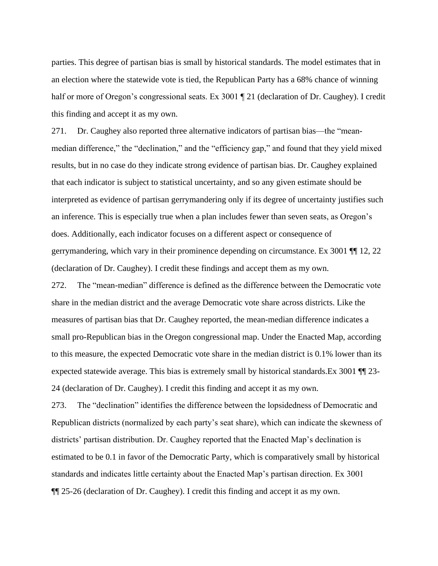parties. This degree of partisan bias is small by historical standards. The model estimates that in an election where the statewide vote is tied, the Republican Party has a 68% chance of winning half or more of Oregon's congressional seats. Ex 3001 ¶ 21 (declaration of Dr. Caughey). I credit this finding and accept it as my own.

271. Dr. Caughey also reported three alternative indicators of partisan bias—the "meanmedian difference," the "declination," and the "efficiency gap," and found that they yield mixed results, but in no case do they indicate strong evidence of partisan bias. Dr. Caughey explained that each indicator is subject to statistical uncertainty, and so any given estimate should be interpreted as evidence of partisan gerrymandering only if its degree of uncertainty justifies such an inference. This is especially true when a plan includes fewer than seven seats, as Oregon's does. Additionally, each indicator focuses on a different aspect or consequence of gerrymandering, which vary in their prominence depending on circumstance. Ex 3001 ¶¶ 12, 22 (declaration of Dr. Caughey). I credit these findings and accept them as my own.

272. The "mean-median" difference is defined as the difference between the Democratic vote share in the median district and the average Democratic vote share across districts. Like the measures of partisan bias that Dr. Caughey reported, the mean-median difference indicates a small pro-Republican bias in the Oregon congressional map. Under the Enacted Map, according to this measure, the expected Democratic vote share in the median district is 0.1% lower than its expected statewide average. This bias is extremely small by historical standards.Ex 3001 ¶¶ 23- 24 (declaration of Dr. Caughey). I credit this finding and accept it as my own.

273. The "declination" identifies the difference between the lopsidedness of Democratic and Republican districts (normalized by each party's seat share), which can indicate the skewness of districts' partisan distribution. Dr. Caughey reported that the Enacted Map's declination is estimated to be 0.1 in favor of the Democratic Party, which is comparatively small by historical standards and indicates little certainty about the Enacted Map's partisan direction. Ex 3001 ¶¶ 25-26 (declaration of Dr. Caughey). I credit this finding and accept it as my own.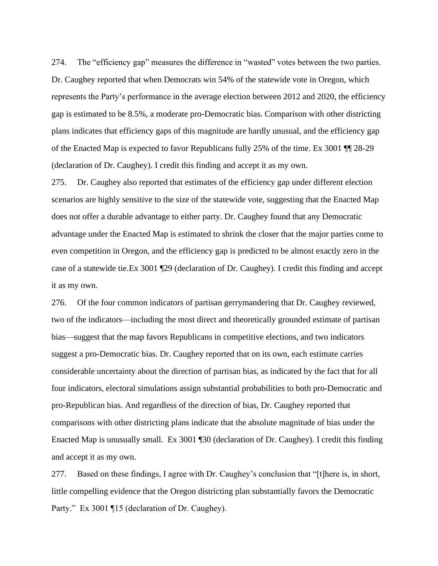274. The "efficiency gap" measures the difference in "wasted" votes between the two parties. Dr. Caughey reported that when Democrats win 54% of the statewide vote in Oregon, which represents the Party's performance in the average election between 2012 and 2020, the efficiency gap is estimated to be 8.5%, a moderate pro-Democratic bias. Comparison with other districting plans indicates that efficiency gaps of this magnitude are hardly unusual, and the efficiency gap of the Enacted Map is expected to favor Republicans fully 25% of the time. Ex 3001 ¶¶ 28-29 (declaration of Dr. Caughey). I credit this finding and accept it as my own.

275. Dr. Caughey also reported that estimates of the efficiency gap under different election scenarios are highly sensitive to the size of the statewide vote, suggesting that the Enacted Map does not offer a durable advantage to either party. Dr. Caughey found that any Democratic advantage under the Enacted Map is estimated to shrink the closer that the major parties come to even competition in Oregon, and the efficiency gap is predicted to be almost exactly zero in the case of a statewide tie.Ex 3001 ¶29 (declaration of Dr. Caughey). I credit this finding and accept it as my own.

276. Of the four common indicators of partisan gerrymandering that Dr. Caughey reviewed, two of the indicators—including the most direct and theoretically grounded estimate of partisan bias—suggest that the map favors Republicans in competitive elections, and two indicators suggest a pro-Democratic bias. Dr. Caughey reported that on its own, each estimate carries considerable uncertainty about the direction of partisan bias, as indicated by the fact that for all four indicators, electoral simulations assign substantial probabilities to both pro-Democratic and pro-Republican bias. And regardless of the direction of bias, Dr. Caughey reported that comparisons with other districting plans indicate that the absolute magnitude of bias under the Enacted Map is unusually small. Ex 3001 ¶30 (declaration of Dr. Caughey). I credit this finding and accept it as my own.

277. Based on these findings, I agree with Dr. Caughey's conclusion that "[t]here is, in short, little compelling evidence that the Oregon districting plan substantially favors the Democratic Party." Ex 3001 ¶15 (declaration of Dr. Caughey).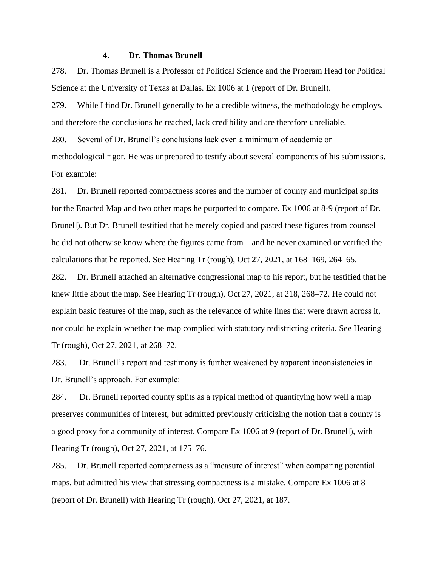## **4. Dr. Thomas Brunell**

278. Dr. Thomas Brunell is a Professor of Political Science and the Program Head for Political Science at the University of Texas at Dallas. Ex 1006 at 1 (report of Dr. Brunell).

279. While I find Dr. Brunell generally to be a credible witness, the methodology he employs, and therefore the conclusions he reached, lack credibility and are therefore unreliable.

280. Several of Dr. Brunell's conclusions lack even a minimum of academic or methodological rigor. He was unprepared to testify about several components of his submissions. For example:

281. Dr. Brunell reported compactness scores and the number of county and municipal splits for the Enacted Map and two other maps he purported to compare. Ex 1006 at 8-9 (report of Dr. Brunell). But Dr. Brunell testified that he merely copied and pasted these figures from counsel he did not otherwise know where the figures came from—and he never examined or verified the calculations that he reported. See Hearing Tr (rough), Oct 27, 2021, at 168–169, 264–65.

282. Dr. Brunell attached an alternative congressional map to his report, but he testified that he knew little about the map. See Hearing Tr (rough), Oct 27, 2021, at 218, 268–72. He could not explain basic features of the map, such as the relevance of white lines that were drawn across it, nor could he explain whether the map complied with statutory redistricting criteria. See Hearing Tr (rough), Oct 27, 2021, at 268–72.

283. Dr. Brunell's report and testimony is further weakened by apparent inconsistencies in Dr. Brunell's approach. For example:

284. Dr. Brunell reported county splits as a typical method of quantifying how well a map preserves communities of interest, but admitted previously criticizing the notion that a county is a good proxy for a community of interest. Compare Ex 1006 at 9 (report of Dr. Brunell), with Hearing Tr (rough), Oct 27, 2021, at 175–76.

285. Dr. Brunell reported compactness as a "measure of interest" when comparing potential maps, but admitted his view that stressing compactness is a mistake. Compare Ex 1006 at 8 (report of Dr. Brunell) with Hearing Tr (rough), Oct 27, 2021, at 187.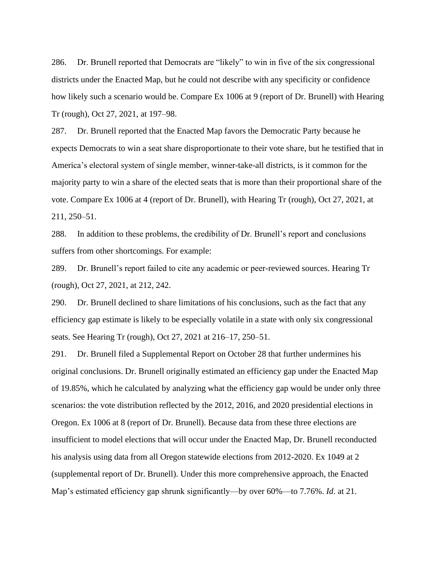286. Dr. Brunell reported that Democrats are "likely" to win in five of the six congressional districts under the Enacted Map, but he could not describe with any specificity or confidence how likely such a scenario would be. Compare Ex 1006 at 9 (report of Dr. Brunell) with Hearing Tr (rough), Oct 27, 2021, at 197–98.

287. Dr. Brunell reported that the Enacted Map favors the Democratic Party because he expects Democrats to win a seat share disproportionate to their vote share, but he testified that in America's electoral system of single member, winner-take-all districts, is it common for the majority party to win a share of the elected seats that is more than their proportional share of the vote. Compare Ex 1006 at 4 (report of Dr. Brunell), with Hearing Tr (rough), Oct 27, 2021, at 211, 250–51.

288. In addition to these problems, the credibility of Dr. Brunell's report and conclusions suffers from other shortcomings. For example:

289. Dr. Brunell's report failed to cite any academic or peer-reviewed sources. Hearing Tr (rough), Oct 27, 2021, at 212, 242.

290. Dr. Brunell declined to share limitations of his conclusions, such as the fact that any efficiency gap estimate is likely to be especially volatile in a state with only six congressional seats. See Hearing Tr (rough), Oct 27, 2021 at 216–17, 250–51.

291. Dr. Brunell filed a Supplemental Report on October 28 that further undermines his original conclusions. Dr. Brunell originally estimated an efficiency gap under the Enacted Map of 19.85%, which he calculated by analyzing what the efficiency gap would be under only three scenarios: the vote distribution reflected by the 2012, 2016, and 2020 presidential elections in Oregon. Ex 1006 at 8 (report of Dr. Brunell). Because data from these three elections are insufficient to model elections that will occur under the Enacted Map, Dr. Brunell reconducted his analysis using data from all Oregon statewide elections from 2012-2020. Ex 1049 at 2 (supplemental report of Dr. Brunell). Under this more comprehensive approach, the Enacted Map's estimated efficiency gap shrunk significantly—by over 60%—to 7.76%. *Id*. at 21.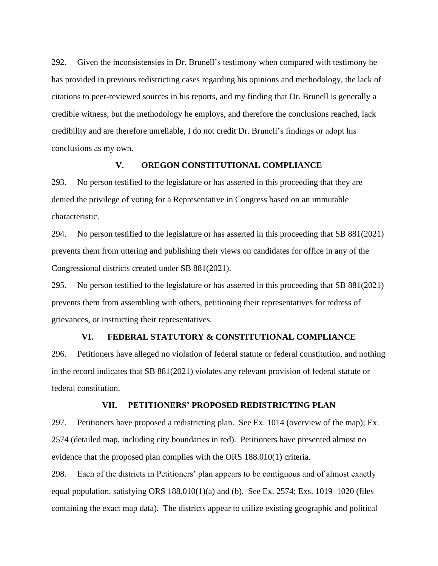292. Given the inconsistensies in Dr. Brunell's testimony when compared with testimony he has provided in previous redistricting cases regarding his opinions and methodology, the lack of citations to peer-reviewed sources in his reports, and my finding that Dr. Brunell is generally a credible witness, but the methodology he employs, and therefore the conclusions reached, lack credibility and are therefore unreliable, I do not credit Dr. Brunell's findings or adopt his conclusions as my own.

## **V. OREGON CONSTITUTIONAL COMPLIANCE**

293. No person testified to the legislature or has asserted in this proceeding that they are denied the privilege of voting for a Representative in Congress based on an immutable characteristic.

294. No person testified to the legislature or has asserted in this proceeding that SB 881(2021) prevents them from uttering and publishing their views on candidates for office in any of the Congressional districts created under SB 881(2021).

295. No person testified to the legislature or has asserted in this proceeding that SB 881(2021) prevents them from assembling with others, petitioning their representatives for redress of grievances, or instructing their representatives.

## **VI. FEDERAL STATUTORY & CONSTITUTIONAL COMPLIANCE**

296. Petitioners have alleged no violation of federal statute or federal constitution, and nothing in the record indicates that SB 881(2021) violates any relevant provision of federal statute or federal constitution.

## **VII. PETITIONERS' PROPOSED REDISTRICTING PLAN**

297. Petitioners have proposed a redistricting plan. See Ex. 1014 (overview of the map); Ex. 2574 (detailed map, including city boundaries in red). Petitioners have presented almost no evidence that the proposed plan complies with the ORS 188.010(1) criteria.

298. Each of the districts in Petitioners' plan appears to be contiguous and of almost exactly equal population, satisfying ORS 188.010(1)(a) and (b). See Ex. 2574; Exs. 1019–1020 (files containing the exact map data). The districts appear to utilize existing geographic and political